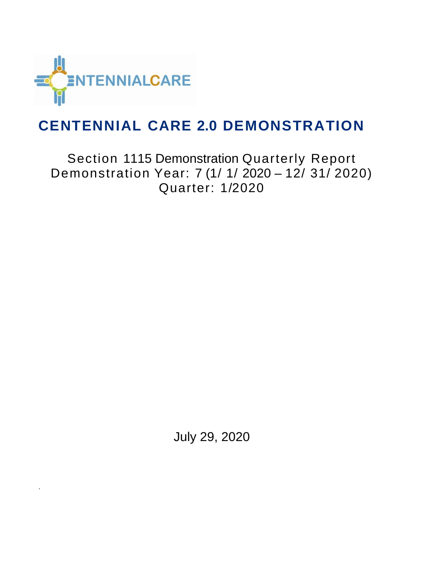

.

### **CENTENNIAL CARE 2.0 DEMONSTRATION**

Section 1115 Demonstration Quarterly Report Demonstration Year: 7 (1/ 1/ 2020 – 12/ 31/ 2020) Quarter: 1/2020

July 29, 2020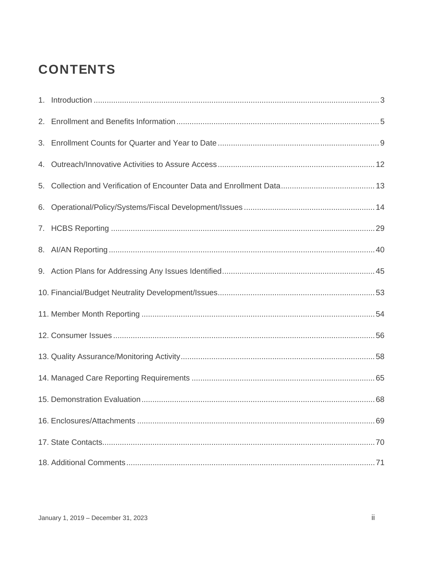### **CONTENTS**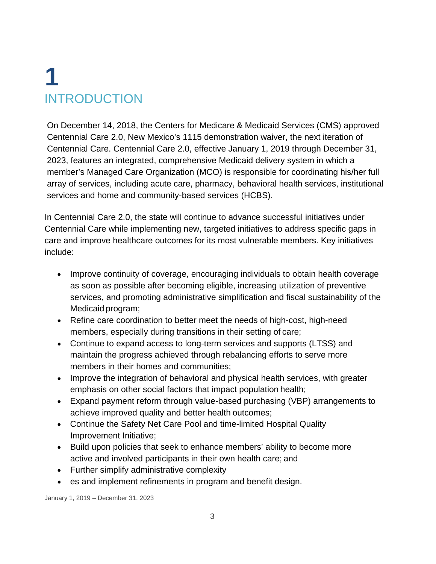# **1** INTRODUCTION

On December 14, 2018, the Centers for Medicare & Medicaid Services (CMS) approved Centennial Care 2.0, New Mexico's 1115 demonstration waiver, the next iteration of Centennial Care. Centennial Care 2.0, effective January 1, 2019 through December 31, 2023, features an integrated, comprehensive Medicaid delivery system in which a member's Managed Care Organization (MCO) is responsible for coordinating his/her full array of services, including acute care, pharmacy, behavioral health services, institutional services and home and community-based services (HCBS).

In Centennial Care 2.0, the state will continue to advance successful initiatives under Centennial Care while implementing new, targeted initiatives to address specific gaps in care and improve healthcare outcomes for its most vulnerable members. Key initiatives include:

- Improve continuity of coverage, encouraging individuals to obtain health coverage as soon as possible after becoming eligible, increasing utilization of preventive services, and promoting administrative simplification and fiscal sustainability of the Medicaid program;
- Refine care coordination to better meet the needs of high-cost, high-need members, especially during transitions in their setting of care;
- Continue to expand access to long-term services and supports (LTSS) and maintain the progress achieved through rebalancing efforts to serve more members in their homes and communities;
- Improve the integration of behavioral and physical health services, with greater emphasis on other social factors that impact population health;
- Expand payment reform through value-based purchasing (VBP) arrangements to achieve improved quality and better health outcomes;
- Continue the Safety Net Care Pool and time-limited Hospital Quality Improvement Initiative;
- Build upon policies that seek to enhance members' ability to become more active and involved participants in their own health care; and
- Further simplify administrative complexity
- es and implement refinements in program and benefit design.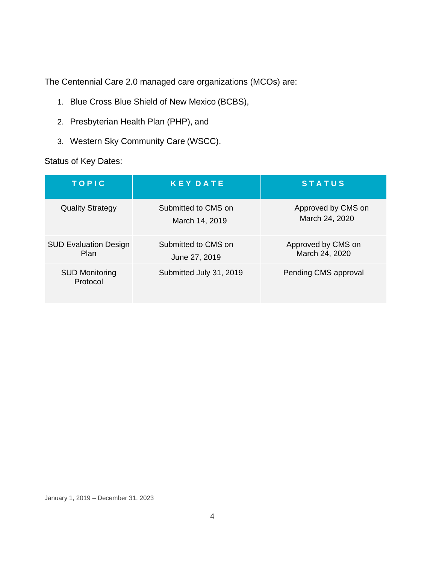The Centennial Care 2.0 managed care organizations (MCOs) are:

- 1. Blue Cross Blue Shield of New Mexico (BCBS),
- 2. Presbyterian Health Plan (PHP), and
- 3. Western Sky Community Care (WSCC).

#### Status of Key Dates:

| <b>TOPIC</b>                         | <b>KEY DATE</b>                       | <b>STATUS</b>                        |
|--------------------------------------|---------------------------------------|--------------------------------------|
| <b>Quality Strategy</b>              | Submitted to CMS on<br>March 14, 2019 | Approved by CMS on<br>March 24, 2020 |
| <b>SUD Evaluation Design</b><br>Plan | Submitted to CMS on<br>June 27, 2019  | Approved by CMS on<br>March 24, 2020 |
| <b>SUD Monitoring</b><br>Protocol    | Submitted July 31, 2019               | Pending CMS approval                 |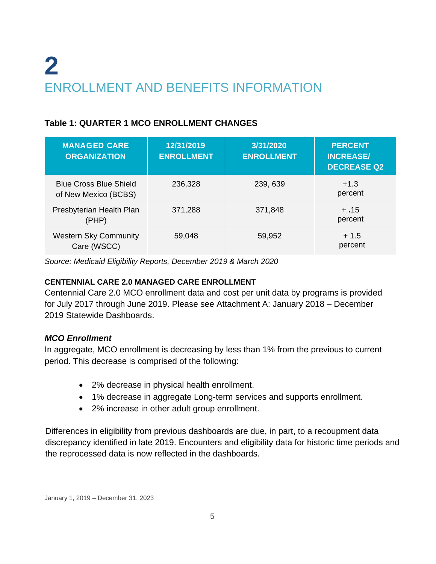# **2** ENROLLMENT AND BENEFITS INFORMATION

#### **Table 1: QUARTER 1 MCO ENROLLMENT CHANGES**

| <b>MANAGED CARE</b><br><b>ORGANIZATION</b>            | 12/31/2019<br><b>ENROLLMENT</b> | 3/31/2020<br><b>ENROLLMENT</b> | <b>PERCENT</b><br><b>INCREASE/</b><br><b>DECREASE Q2</b> |
|-------------------------------------------------------|---------------------------------|--------------------------------|----------------------------------------------------------|
| <b>Blue Cross Blue Shield</b><br>of New Mexico (BCBS) | 236,328                         | 239, 639                       | $+1.3$<br>percent                                        |
| Presbyterian Health Plan<br>(PHP)                     | 371,288                         | 371,848                        | $+.15$<br>percent                                        |
| <b>Western Sky Community</b><br>Care (WSCC)           | 59,048                          | 59,952                         | $+1.5$<br>percent                                        |

*Source: Medicaid Eligibility Reports, December 2019 & March 2020*

#### **CENTENNIAL CARE 2.0 MANAGED CARE ENROLLMENT**

Centennial Care 2.0 MCO enrollment data and cost per unit data by programs is provided for July 2017 through June 2019. Please see Attachment A: January 2018 – December 2019 Statewide Dashboards.

#### *MCO Enrollment*

In aggregate, MCO enrollment is decreasing by less than 1% from the previous to current period. This decrease is comprised of the following:

- 2% decrease in physical health enrollment.
- 1% decrease in aggregate Long-term services and supports enrollment.
- 2% increase in other adult group enrollment.

Differences in eligibility from previous dashboards are due, in part, to a recoupment data discrepancy identified in late 2019. Encounters and eligibility data for historic time periods and the reprocessed data is now reflected in the dashboards.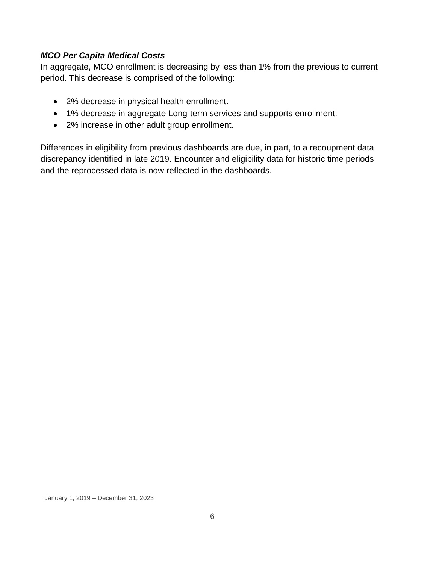#### *MCO Per Capita Medical Costs*

In aggregate, MCO enrollment is decreasing by less than 1% from the previous to current period. This decrease is comprised of the following:

- 2% decrease in physical health enrollment.
- 1% decrease in aggregate Long-term services and supports enrollment.
- 2% increase in other adult group enrollment.

Differences in eligibility from previous dashboards are due, in part, to a recoupment data discrepancy identified in late 2019. Encounter and eligibility data for historic time periods and the reprocessed data is now reflected in the dashboards.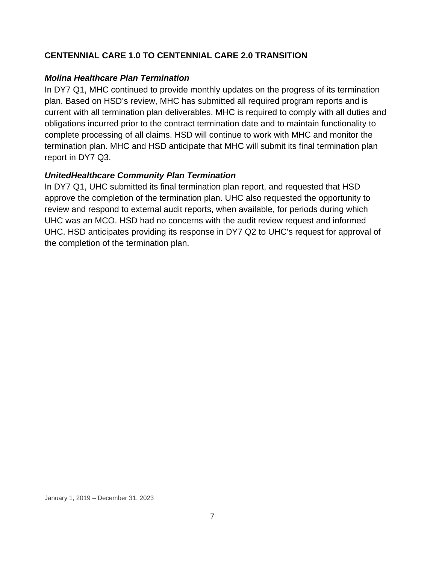#### **CENTENNIAL CARE 1.0 TO CENTENNIAL CARE 2.0 TRANSITION**

#### *Molina Healthcare Plan Termination*

In DY7 Q1, MHC continued to provide monthly updates on the progress of its termination plan. Based on HSD's review, MHC has submitted all required program reports and is current with all termination plan deliverables. MHC is required to comply with all duties and obligations incurred prior to the contract termination date and to maintain functionality to complete processing of all claims. HSD will continue to work with MHC and monitor the termination plan. MHC and HSD anticipate that MHC will submit its final termination plan report in DY7 Q3.

#### *UnitedHealthcare Community Plan Termination*

In DY7 Q1, UHC submitted its final termination plan report, and requested that HSD approve the completion of the termination plan. UHC also requested the opportunity to review and respond to external audit reports, when available, for periods during which UHC was an MCO. HSD had no concerns with the audit review request and informed UHC. HSD anticipates providing its response in DY7 Q2 to UHC's request for approval of the completion of the termination plan.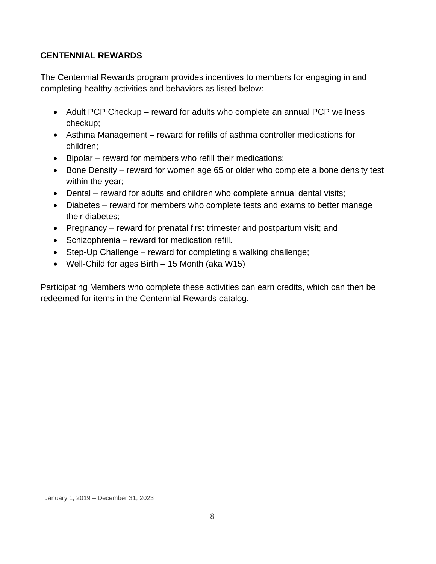#### **CENTENNIAL REWARDS**

The Centennial Rewards program provides incentives to members for engaging in and completing healthy activities and behaviors as listed below:

- Adult PCP Checkup reward for adults who complete an annual PCP wellness checkup;
- Asthma Management reward for refills of asthma controller medications for children;
- Bipolar reward for members who refill their medications;
- Bone Density reward for women age 65 or older who complete a bone density test within the year;
- Dental reward for adults and children who complete annual dental visits;
- Diabetes reward for members who complete tests and exams to better manage their diabetes;
- Pregnancy reward for prenatal first trimester and postpartum visit; and
- Schizophrenia reward for medication refill.
- Step-Up Challenge reward for completing a walking challenge;
- Well-Child for ages Birth 15 Month (aka W15)

Participating Members who complete these activities can earn credits, which can then be redeemed for items in the Centennial Rewards catalog.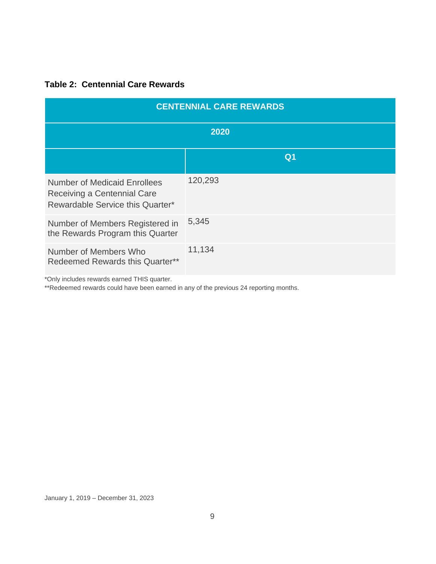#### **Table 2: Centennial Care Rewards**

| <b>CENTENNIAL CARE REWARDS</b>                                                                         |                |  |  |
|--------------------------------------------------------------------------------------------------------|----------------|--|--|
| 2020                                                                                                   |                |  |  |
|                                                                                                        | Q <sub>1</sub> |  |  |
| <b>Number of Medicaid Enrollees</b><br>Receiving a Centennial Care<br>Rewardable Service this Quarter* | 120,293        |  |  |
| Number of Members Registered in<br>the Rewards Program this Quarter                                    | 5,345          |  |  |
| Number of Members Who<br>Redeemed Rewards this Quarter**                                               | 11,134         |  |  |

\*Only includes rewards earned THIS quarter.

\*\*Redeemed rewards could have been earned in any of the previous 24 reporting months.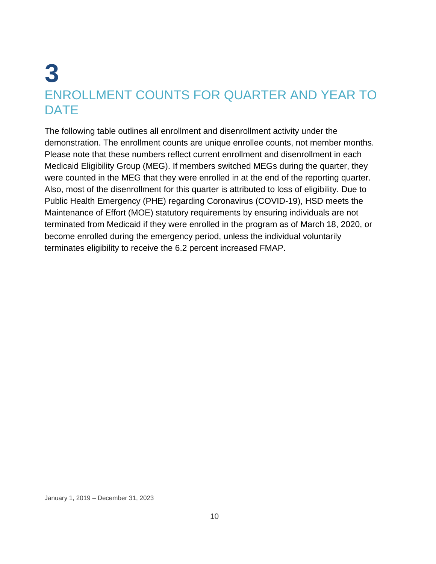## **3** ENROLLMENT COUNTS FOR QUARTER AND YEAR TO **DATE**

The following table outlines all enrollment and disenrollment activity under the demonstration. The enrollment counts are unique enrollee counts, not member months. Please note that these numbers reflect current enrollment and disenrollment in each Medicaid Eligibility Group (MEG). If members switched MEGs during the quarter, they were counted in the MEG that they were enrolled in at the end of the reporting quarter. Also, most of the disenrollment for this quarter is attributed to loss of eligibility. Due to Public Health Emergency (PHE) regarding Coronavirus (COVID-19), HSD meets the Maintenance of Effort (MOE) statutory requirements by ensuring individuals are not terminated from Medicaid if they were enrolled in the program as of March 18, 2020, or become enrolled during the emergency period, unless the individual voluntarily terminates eligibility to receive the 6.2 percent increased FMAP.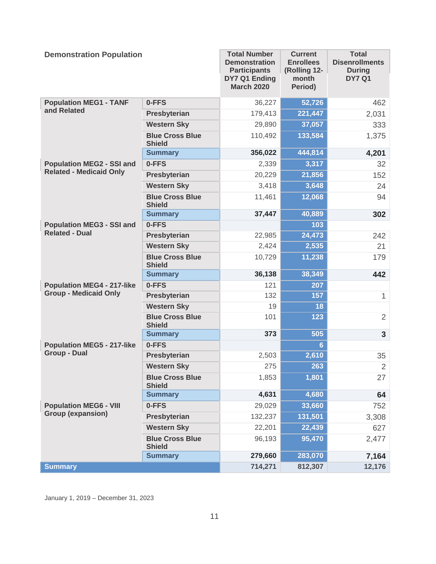| <b>Demonstration Population</b>   |                                         | <b>Total Number</b><br><b>Demonstration</b><br><b>Participants</b><br>DY7 Q1 Ending<br><b>March 2020</b> | <b>Current</b><br><b>Enrollees</b><br>(Rolling 12-<br>month<br>Period) | <b>Total</b><br><b>Disenrollments</b><br><b>During</b><br><b>DY7 Q1</b> |
|-----------------------------------|-----------------------------------------|----------------------------------------------------------------------------------------------------------|------------------------------------------------------------------------|-------------------------------------------------------------------------|
| <b>Population MEG1 - TANF</b>     | 0-FFS                                   | 36,227                                                                                                   | 52,726                                                                 | 462                                                                     |
| and Related                       | Presbyterian                            | 179,413                                                                                                  | 221,447                                                                | 2,031                                                                   |
|                                   | <b>Western Sky</b>                      | 29,890                                                                                                   | 37,057                                                                 | 333                                                                     |
|                                   | <b>Blue Cross Blue</b><br><b>Shield</b> | 110,492                                                                                                  | 133,584                                                                | 1,375                                                                   |
|                                   | <b>Summary</b>                          | 356,022                                                                                                  | 444,814                                                                | 4,201                                                                   |
| <b>Population MEG2 - SSI and</b>  | 0-FFS                                   | 2,339                                                                                                    | 3,317                                                                  | 32                                                                      |
| <b>Related - Medicaid Only</b>    | Presbyterian                            | 20,229                                                                                                   | 21,856                                                                 | 152                                                                     |
|                                   | <b>Western Sky</b>                      | 3,418                                                                                                    | 3,648                                                                  | 24                                                                      |
|                                   | <b>Blue Cross Blue</b><br><b>Shield</b> | 11,461                                                                                                   | 12,068                                                                 | 94                                                                      |
|                                   | <b>Summary</b>                          | 37,447                                                                                                   | 40,889                                                                 | 302                                                                     |
| <b>Population MEG3 - SSI and</b>  | 0-FFS                                   |                                                                                                          | 103                                                                    |                                                                         |
| <b>Related - Dual</b>             | Presbyterian                            | 22,985                                                                                                   | 24,473                                                                 | 242                                                                     |
|                                   | <b>Western Sky</b>                      | 2,424                                                                                                    | 2,535                                                                  | 21                                                                      |
|                                   | <b>Blue Cross Blue</b><br><b>Shield</b> | 10,729                                                                                                   | 11,238                                                                 | 179                                                                     |
|                                   | <b>Summary</b>                          | 36,138                                                                                                   | 38,349                                                                 | 442                                                                     |
| <b>Population MEG4 - 217-like</b> | 0-FFS                                   | 121                                                                                                      | 207                                                                    |                                                                         |
| <b>Group - Medicaid Only</b>      | Presbyterian                            | 132                                                                                                      | 157                                                                    | $\mathbf{1}$                                                            |
|                                   | <b>Western Sky</b>                      | 19                                                                                                       | 18                                                                     |                                                                         |
|                                   | <b>Blue Cross Blue</b><br><b>Shield</b> | 101                                                                                                      | 123                                                                    | $\overline{2}$                                                          |
|                                   | <b>Summary</b>                          | 373                                                                                                      | 505                                                                    | $\mathbf{3}$                                                            |
| <b>Population MEG5 - 217-like</b> | 0-FFS                                   |                                                                                                          | $6\phantom{1}$                                                         |                                                                         |
| <b>Group - Dual</b>               | Presbyterian                            | 2,503                                                                                                    | 2,610                                                                  | 35                                                                      |
|                                   | <b>Western Sky</b>                      | 275                                                                                                      | 263                                                                    | $\overline{2}$                                                          |
|                                   | <b>Blue Cross Blue</b><br><b>Shield</b> | 1,853                                                                                                    | 1,801                                                                  | 27                                                                      |
|                                   | <b>Summary</b>                          | 4,631                                                                                                    | 4,680                                                                  | 64                                                                      |
| <b>Population MEG6 - VIII</b>     | 0-FFS                                   | 29,029                                                                                                   | 33,660                                                                 | 752                                                                     |
| <b>Group (expansion)</b>          | Presbyterian                            | 132,237                                                                                                  | 131,501                                                                | 3,308                                                                   |
|                                   | <b>Western Sky</b>                      | 22,201                                                                                                   | 22,439                                                                 | 627                                                                     |
|                                   | <b>Blue Cross Blue</b><br><b>Shield</b> | 96,193                                                                                                   | 95,470                                                                 | 2,477                                                                   |
|                                   | <b>Summary</b>                          | 279,660                                                                                                  | 283,070                                                                | 7,164                                                                   |
| <b>Summary</b>                    |                                         | 714,271                                                                                                  | 812,307                                                                | 12,176                                                                  |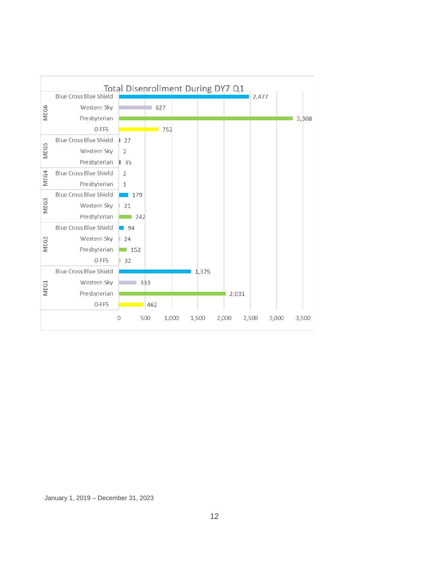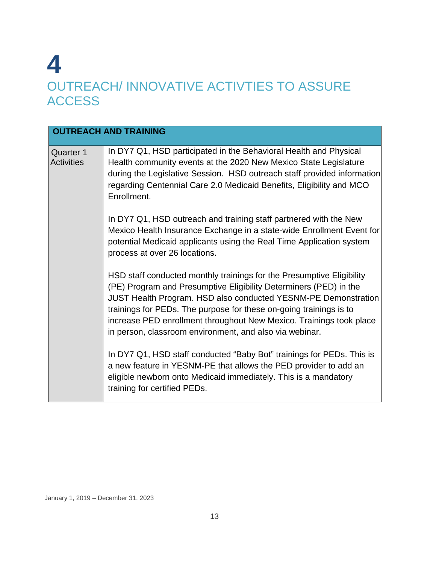## **4** OUTREACH/ INNOVATIVE ACTIVTIES TO ASSURE **ACCESS**

|                                       | <b>OUTREACH AND TRAINING</b>                                                                                                                                                                                                                                                                                                                                                                                                |
|---------------------------------------|-----------------------------------------------------------------------------------------------------------------------------------------------------------------------------------------------------------------------------------------------------------------------------------------------------------------------------------------------------------------------------------------------------------------------------|
| <b>Quarter 1</b><br><b>Activities</b> | In DY7 Q1, HSD participated in the Behavioral Health and Physical<br>Health community events at the 2020 New Mexico State Legislature<br>during the Legislative Session. HSD outreach staff provided information<br>regarding Centennial Care 2.0 Medicaid Benefits, Eligibility and MCO<br>Enrollment.                                                                                                                     |
|                                       | In DY7 Q1, HSD outreach and training staff partnered with the New<br>Mexico Health Insurance Exchange in a state-wide Enrollment Event for<br>potential Medicaid applicants using the Real Time Application system<br>process at over 26 locations.                                                                                                                                                                         |
|                                       | HSD staff conducted monthly trainings for the Presumptive Eligibility<br>(PE) Program and Presumptive Eligibility Determiners (PED) in the<br><b>JUST Health Program. HSD also conducted YESNM-PE Demonstration</b><br>trainings for PEDs. The purpose for these on-going trainings is to<br>increase PED enrollment throughout New Mexico. Trainings took place<br>in person, classroom environment, and also via webinar. |
|                                       | In DY7 Q1, HSD staff conducted "Baby Bot" trainings for PEDs. This is<br>a new feature in YESNM-PE that allows the PED provider to add an<br>eligible newborn onto Medicaid immediately. This is a mandatory<br>training for certified PEDs.                                                                                                                                                                                |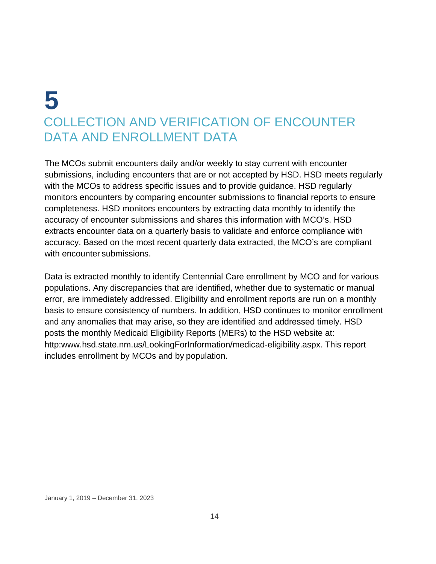# **5** COLLECTION AND VERIFICATION OF ENCOUNTER DATA AND ENROLLMENT DATA

The MCOs submit encounters daily and/or weekly to stay current with encounter submissions, including encounters that are or not accepted by HSD. HSD meets regularly with the MCOs to address specific issues and to provide guidance. HSD regularly monitors encounters by comparing encounter submissions to financial reports to ensure completeness. HSD monitors encounters by extracting data monthly to identify the accuracy of encounter submissions and shares this information with MCO's. HSD extracts encounter data on a quarterly basis to validate and enforce compliance with accuracy. Based on the most recent quarterly data extracted, the MCO's are compliant with encounter submissions.

Data is extracted monthly to identify Centennial Care enrollment by MCO and for various populations. Any discrepancies that are identified, whether due to systematic or manual error, are immediately addressed. Eligibility and enrollment reports are run on a monthly basis to ensure consistency of numbers. In addition, HSD continues to monitor enrollment and any anomalies that may arise, so they are identified and addressed timely. HSD posts the monthly Medicaid Eligibility Reports (MERs) to the HSD website at: http[:www.hsd.state.nm.us/LookingForInformation/medicad-eligibility.aspx.](http://www.hsd.state.nm.us/LookingForInformation/medicad-eligibility.aspx) This report includes enrollment by MCOs and by population.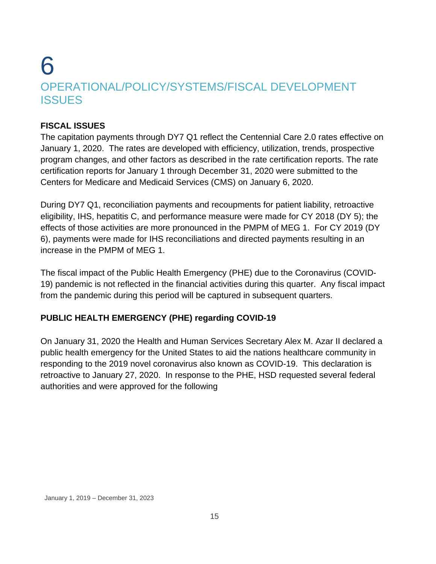### 6 OPERATIONAL/POLICY/SYSTEMS/FISCAL DEVELOPMENT **ISSUES**

#### **FISCAL ISSUES**

The capitation payments through DY7 Q1 reflect the Centennial Care 2.0 rates effective on January 1, 2020. The rates are developed with efficiency, utilization, trends, prospective program changes, and other factors as described in the rate certification reports. The rate certification reports for January 1 through December 31, 2020 were submitted to the Centers for Medicare and Medicaid Services (CMS) on January 6, 2020.

During DY7 Q1, reconciliation payments and recoupments for patient liability, retroactive eligibility, IHS, hepatitis C, and performance measure were made for CY 2018 (DY 5); the effects of those activities are more pronounced in the PMPM of MEG 1. For CY 2019 (DY 6), payments were made for IHS reconciliations and directed payments resulting in an increase in the PMPM of MEG 1.

The fiscal impact of the Public Health Emergency (PHE) due to the Coronavirus (COVID-19) pandemic is not reflected in the financial activities during this quarter. Any fiscal impact from the pandemic during this period will be captured in subsequent quarters.

#### **PUBLIC HEALTH EMERGENCY (PHE) regarding COVID-19**

On January 31, 2020 the Health and Human Services Secretary Alex M. Azar II declared a public health emergency for the United States to aid the nations healthcare community in responding to the 2019 novel coronavirus also known as COVID-19. This declaration is retroactive to January 27, 2020. In response to the PHE, HSD requested several federal authorities and were approved for the following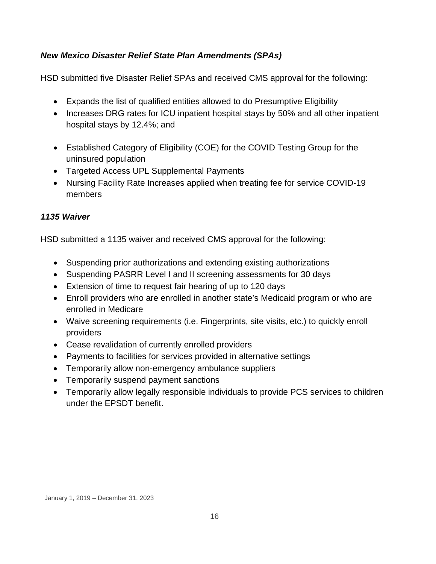#### *New Mexico Disaster Relief State Plan Amendments (SPAs)*

HSD submitted five Disaster Relief SPAs and received CMS approval for the following:

- Expands the list of qualified entities allowed to do Presumptive Eligibility
- Increases DRG rates for ICU inpatient hospital stays by 50% and all other inpatient hospital stays by 12.4%; and
- Established Category of Eligibility (COE) for the COVID Testing Group for the uninsured population
- Targeted Access UPL Supplemental Payments
- Nursing Facility Rate Increases applied when treating fee for service COVID-19 members

#### *1135 Waiver*

HSD submitted a 1135 waiver and received CMS approval for the following:

- Suspending prior authorizations and extending existing authorizations
- Suspending PASRR Level I and II screening assessments for 30 days
- Extension of time to request fair hearing of up to 120 days
- Enroll providers who are enrolled in another state's Medicaid program or who are enrolled in Medicare
- Waive screening requirements (i.e. Fingerprints, site visits, etc.) to quickly enroll providers
- Cease revalidation of currently enrolled providers
- Payments to facilities for services provided in alternative settings
- Temporarily allow non-emergency ambulance suppliers
- Temporarily suspend payment sanctions
- Temporarily allow legally responsible individuals to provide PCS services to children under the EPSDT benefit.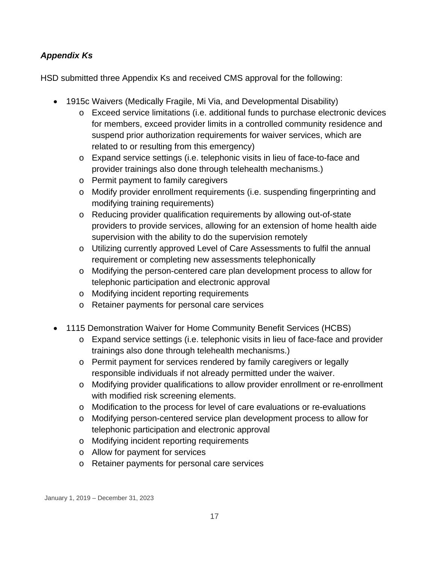#### *Appendix Ks*

HSD submitted three Appendix Ks and received CMS approval for the following:

- 1915c Waivers (Medically Fragile, Mi Via, and Developmental Disability)
	- o Exceed service limitations (i.e. additional funds to purchase electronic devices for members, exceed provider limits in a controlled community residence and suspend prior authorization requirements for waiver services, which are related to or resulting from this emergency)
	- o Expand service settings (i.e. telephonic visits in lieu of face-to-face and provider trainings also done through telehealth mechanisms.)
	- o Permit payment to family caregivers
	- o Modify provider enrollment requirements (i.e. suspending fingerprinting and modifying training requirements)
	- o Reducing provider qualification requirements by allowing out-of-state providers to provide services, allowing for an extension of home health aide supervision with the ability to do the supervision remotely
	- o Utilizing currently approved Level of Care Assessments to fulfil the annual requirement or completing new assessments telephonically
	- o Modifying the person-centered care plan development process to allow for telephonic participation and electronic approval
	- o Modifying incident reporting requirements
	- o Retainer payments for personal care services
- 1115 Demonstration Waiver for Home Community Benefit Services (HCBS)
	- o Expand service settings (i.e. telephonic visits in lieu of face-face and provider trainings also done through telehealth mechanisms.)
	- o Permit payment for services rendered by family caregivers or legally responsible individuals if not already permitted under the waiver.
	- o Modifying provider qualifications to allow provider enrollment or re-enrollment with modified risk screening elements.
	- o Modification to the process for level of care evaluations or re-evaluations
	- o Modifying person-centered service plan development process to allow for telephonic participation and electronic approval
	- o Modifying incident reporting requirements
	- o Allow for payment for services
	- o Retainer payments for personal care services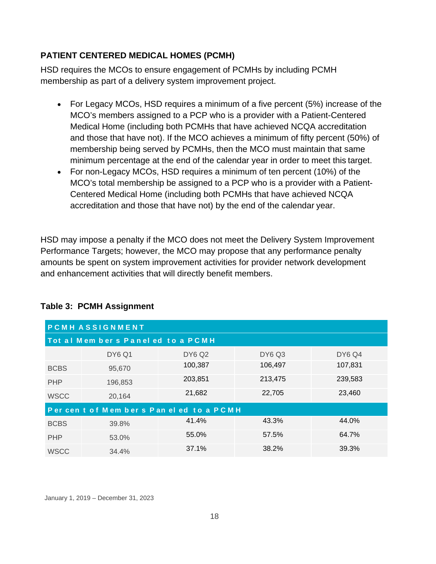#### **PATIENT CENTERED MEDICAL HOMES (PCMH)**

HSD requires the MCOs to ensure engagement of PCMHs by including PCMH membership as part of a delivery system improvement project.

- For Legacy MCOs, HSD requires a minimum of a five percent (5%) increase of the MCO's members assigned to a PCP who is a provider with a Patient-Centered Medical Home (including both PCMHs that have achieved NCQA accreditation and those that have not). If the MCO achieves a minimum of fifty percent (50%) of membership being served by PCMHs, then the MCO must maintain that same minimum percentage at the end of the calendar year in order to meet this target.
- For non-Legacy MCOs, HSD requires a minimum of ten percent (10%) of the MCO's total membership be assigned to a PCP who is a provider with a Patient-Centered Medical Home (including both PCMHs that have achieved NCQA accreditation and those that have not) by the end of the calendar year.

HSD may impose a penalty if the MCO does not meet the Delivery System Improvement Performance Targets; however, the MCO may propose that any performance penalty amounts be spent on system improvement activities for provider network development and enhancement activities that will directly benefit members.

| <b>PCMHASSIGNMENT</b>                 |               |               |               |               |  |  |
|---------------------------------------|---------------|---------------|---------------|---------------|--|--|
| Tot al Mem bers Panel ed to a PCMH    |               |               |               |               |  |  |
|                                       | <b>DY6 Q1</b> | <b>DY6 Q2</b> | <b>DY6 Q3</b> | <b>DY6 Q4</b> |  |  |
| <b>BCBS</b>                           | 95,670        | 100,387       | 106,497       | 107,831       |  |  |
| <b>PHP</b>                            | 196,853       | 203,851       | 213,475       | 239,583       |  |  |
| <b>WSCC</b>                           | 20,164        | 21,682        | 22,705        | 23,460        |  |  |
| Per cent of Members Paneled to a PCMH |               |               |               |               |  |  |
| <b>BCBS</b>                           | 39.8%         | 41.4%         | 43.3%         | 44.0%         |  |  |
| <b>PHP</b>                            | 53.0%         | 55.0%         | 57.5%         | 64.7%         |  |  |
| <b>WSCC</b>                           | 34.4%         | 37.1%         | 38.2%         | 39.3%         |  |  |

#### **Table 3: PCMH Assignment**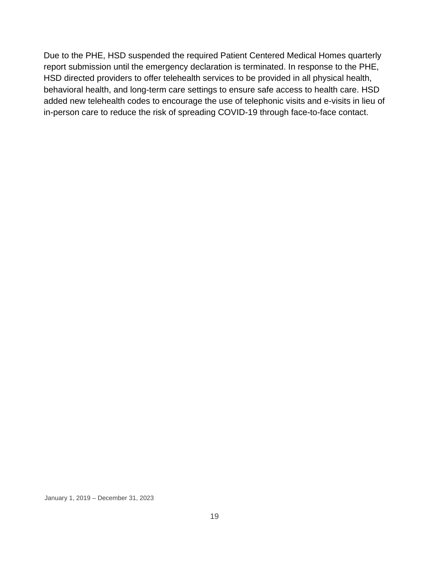Due to the PHE, HSD suspended the required Patient Centered Medical Homes quarterly report submission until the emergency declaration is terminated. In response to the PHE, HSD directed providers to offer telehealth services to be provided in all physical health, behavioral health, and long-term care settings to ensure safe access to health care. HSD added new telehealth codes to encourage the use of telephonic visits and e-visits in lieu of in-person care to reduce the risk of spreading COVID-19 through face-to-face contact.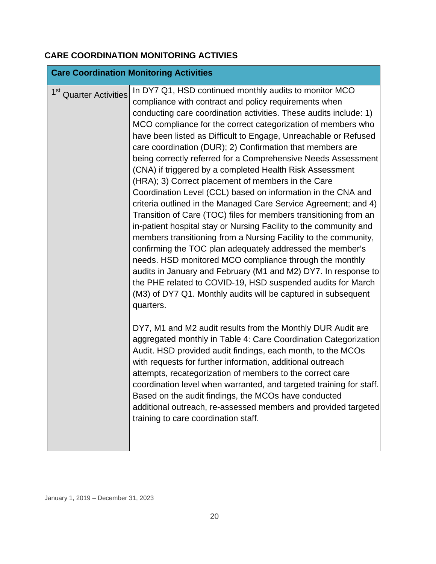#### **CARE COORDINATION MONITORING ACTIVIES**

|                                    | <b>Care Coordination Monitoring Activities</b>                                                                                                                                                                                                                                                                                                                                                                                                                                                                                                                                                                                                                                                                                                                                                                                                                                                                                                                                                                                                                                                                                                                                                                                                                                                                                                                                                                                                                                                                                                                                                                                                                                                                                                                                                                                     |
|------------------------------------|------------------------------------------------------------------------------------------------------------------------------------------------------------------------------------------------------------------------------------------------------------------------------------------------------------------------------------------------------------------------------------------------------------------------------------------------------------------------------------------------------------------------------------------------------------------------------------------------------------------------------------------------------------------------------------------------------------------------------------------------------------------------------------------------------------------------------------------------------------------------------------------------------------------------------------------------------------------------------------------------------------------------------------------------------------------------------------------------------------------------------------------------------------------------------------------------------------------------------------------------------------------------------------------------------------------------------------------------------------------------------------------------------------------------------------------------------------------------------------------------------------------------------------------------------------------------------------------------------------------------------------------------------------------------------------------------------------------------------------------------------------------------------------------------------------------------------------|
| 1 <sup>st</sup> Quarter Activities | In DY7 Q1, HSD continued monthly audits to monitor MCO<br>compliance with contract and policy requirements when<br>conducting care coordination activities. These audits include: 1)<br>MCO compliance for the correct categorization of members who<br>have been listed as Difficult to Engage, Unreachable or Refused<br>care coordination (DUR); 2) Confirmation that members are<br>being correctly referred for a Comprehensive Needs Assessment<br>(CNA) if triggered by a completed Health Risk Assessment<br>(HRA); 3) Correct placement of members in the Care<br>Coordination Level (CCL) based on information in the CNA and<br>criteria outlined in the Managed Care Service Agreement; and 4)<br>Transition of Care (TOC) files for members transitioning from an<br>in-patient hospital stay or Nursing Facility to the community and<br>members transitioning from a Nursing Facility to the community,<br>confirming the TOC plan adequately addressed the member's<br>needs. HSD monitored MCO compliance through the monthly<br>audits in January and February (M1 and M2) DY7. In response to<br>the PHE related to COVID-19, HSD suspended audits for March<br>(M3) of DY7 Q1. Monthly audits will be captured in subsequent<br>quarters.<br>DY7, M1 and M2 audit results from the Monthly DUR Audit are<br>aggregated monthly in Table 4: Care Coordination Categorization<br>Audit. HSD provided audit findings, each month, to the MCOs<br>with requests for further information, additional outreach<br>attempts, recategorization of members to the correct care<br>coordination level when warranted, and targeted training for staff.<br>Based on the audit findings, the MCOs have conducted<br>additional outreach, re-assessed members and provided targeted<br>training to care coordination staff. |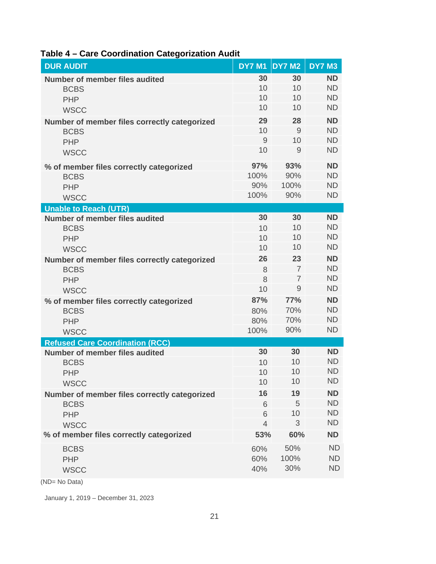| <b>DUR AUDIT</b>                                            |                     | <b>DY7 M1 DY7 M2</b> | <b>DY7 M3</b>          |
|-------------------------------------------------------------|---------------------|----------------------|------------------------|
| <b>Number of member files audited</b>                       | 30                  | 30                   | <b>ND</b>              |
| <b>BCBS</b>                                                 | 10                  | 10                   | <b>ND</b>              |
| <b>PHP</b>                                                  | 10                  | 10                   | <b>ND</b>              |
| <b>WSCC</b>                                                 | 10                  | 10                   | <b>ND</b>              |
| Number of member files correctly categorized                | 29                  | 28                   | <b>ND</b>              |
| <b>BCBS</b>                                                 | 10                  | 9                    | <b>ND</b>              |
| <b>PHP</b>                                                  | $\overline{9}$      | 10                   | <b>ND</b>              |
| <b>WSCC</b>                                                 | 10                  | 9                    | <b>ND</b>              |
| % of member files correctly categorized                     | 97%                 | 93%                  | <b>ND</b>              |
| <b>BCBS</b>                                                 | 100%                | 90%                  | <b>ND</b>              |
| <b>PHP</b>                                                  | 90%                 | 100%                 | <b>ND</b>              |
| <b>WSCC</b>                                                 | 100%                | 90%                  | <b>ND</b>              |
| <b>Unable to Reach (UTR)</b>                                |                     |                      |                        |
| <b>Number of member files audited</b>                       | 30                  | 30<br>10             | <b>ND</b><br><b>ND</b> |
| <b>BCBS</b>                                                 | 10<br>10            | 10                   | <b>ND</b>              |
| <b>PHP</b>                                                  | 10                  | 10                   | <b>ND</b>              |
| <b>WSCC</b>                                                 | 26                  | 23                   | <b>ND</b>              |
| Number of member files correctly categorized<br><b>BCBS</b> | 8                   | $\overline{7}$       | <b>ND</b>              |
| <b>PHP</b>                                                  | 8                   | $\overline{7}$       | <b>ND</b>              |
| <b>WSCC</b>                                                 | 10                  | 9                    | <b>ND</b>              |
| % of member files correctly categorized                     | 87%                 | <b>77%</b>           | <b>ND</b>              |
| <b>BCBS</b>                                                 | 80%                 | 70%                  | <b>ND</b>              |
| <b>PHP</b>                                                  | 80%                 | 70%                  | <b>ND</b>              |
| <b>WSCC</b>                                                 | 100%                | 90%                  | <b>ND</b>              |
| <b>Refused Care Coordination (RCC)</b>                      |                     |                      |                        |
| <b>Number of member files audited</b>                       | 30                  | 30                   | <b>ND</b>              |
| <b>BCBS</b>                                                 | 10                  | 10                   | <b>ND</b>              |
| <b>PHP</b>                                                  | 10                  | 10                   | <b>ND</b>              |
| <b>WSCC</b>                                                 | 10                  | 10                   | <b>ND</b>              |
| Number of member files correctly categorized                | 16                  | 19                   | <b>ND</b>              |
| <b>BCBS</b>                                                 | 6                   | 5                    | <b>ND</b>              |
| <b>PHP</b>                                                  | 6<br>$\overline{4}$ | 10<br>3              | <b>ND</b><br><b>ND</b> |
| <b>WSCC</b>                                                 |                     |                      |                        |
| % of member files correctly categorized                     | 53%                 | 60%                  | <b>ND</b>              |
| <b>BCBS</b>                                                 | 60%                 | 50%                  | <b>ND</b>              |
| <b>PHP</b>                                                  | 60%                 | 100%                 | <b>ND</b>              |
| <b>WSCC</b>                                                 | 40%                 | 30%                  | <b>ND</b>              |

#### **Table 4 – Care Coordination Categorization Audit**

(ND= No Data)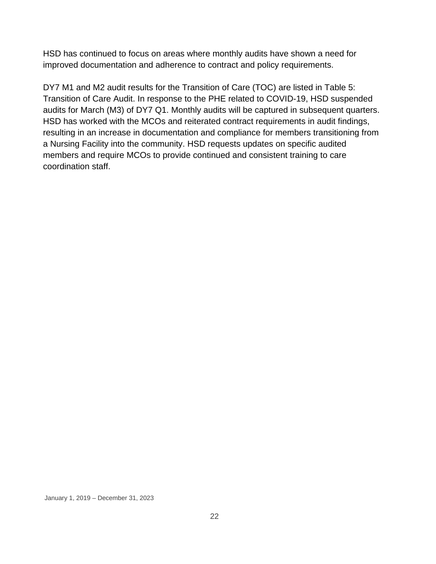HSD has continued to focus on areas where monthly audits have shown a need for improved documentation and adherence to contract and policy requirements.

DY7 M1 and M2 audit results for the Transition of Care (TOC) are listed in Table 5: Transition of Care Audit. In response to the PHE related to COVID-19, HSD suspended audits for March (M3) of DY7 Q1. Monthly audits will be captured in subsequent quarters. HSD has worked with the MCOs and reiterated contract requirements in audit findings, resulting in an increase in documentation and compliance for members transitioning from a Nursing Facility into the community. HSD requests updates on specific audited members and require MCOs to provide continued and consistent training to care coordination staff.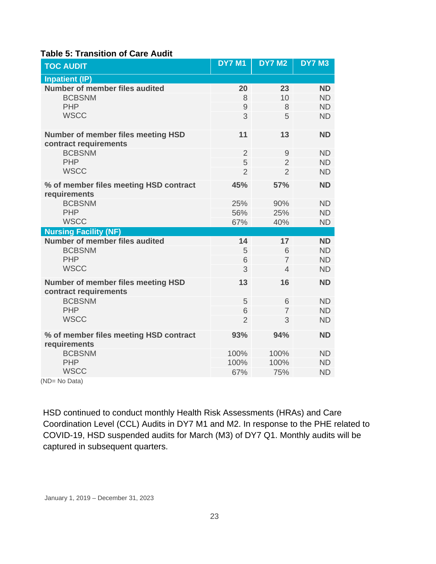#### **Table 5: Transition of Care Audit**

| <b>TOC AUDIT</b>                                                   | <b>DY7 M1</b>  | <b>DY7 M2</b>  | <b>DY7 M3</b> |
|--------------------------------------------------------------------|----------------|----------------|---------------|
| <b>Inpatient (IP)</b>                                              |                |                |               |
| Number of member files audited                                     | 20             | 23             | <b>ND</b>     |
| <b>BCBSNM</b>                                                      | 8              | 10             | <b>ND</b>     |
| <b>PHP</b>                                                         | $\overline{9}$ | 8              | <b>ND</b>     |
| <b>WSCC</b>                                                        | 3              | 5              | <b>ND</b>     |
| <b>Number of member files meeting HSD</b><br>contract requirements | 11             | 13             | <b>ND</b>     |
| <b>BCBSNM</b>                                                      | $\overline{2}$ | 9              | <b>ND</b>     |
| <b>PHP</b>                                                         | 5              | $\overline{2}$ | <b>ND</b>     |
| <b>WSCC</b>                                                        | $\overline{2}$ | $\overline{2}$ | <b>ND</b>     |
| % of member files meeting HSD contract<br>requirements             | 45%            | 57%            | <b>ND</b>     |
| <b>BCBSNM</b>                                                      | 25%            | 90%            | <b>ND</b>     |
| <b>PHP</b>                                                         | 56%            | 25%            | <b>ND</b>     |
| <b>WSCC</b>                                                        | 67%            | 40%            | <b>ND</b>     |
| <b>Nursing Facility (NF)</b>                                       |                |                |               |
| Number of member files audited                                     | 14             | 17             | <b>ND</b>     |
| <b>BCBSNM</b>                                                      | 5              | 6              | <b>ND</b>     |
| <b>PHP</b>                                                         | 6              | $\overline{7}$ | <b>ND</b>     |
| <b>WSCC</b>                                                        | 3              | $\overline{4}$ | <b>ND</b>     |
| <b>Number of member files meeting HSD</b><br>contract requirements | 13             | 16             | <b>ND</b>     |
| <b>BCBSNM</b>                                                      | 5              | 6              | <b>ND</b>     |
| <b>PHP</b>                                                         | 6              | $\overline{7}$ | <b>ND</b>     |
| <b>WSCC</b>                                                        | $\overline{2}$ | 3              | <b>ND</b>     |
| % of member files meeting HSD contract<br>requirements             | 93%            | 94%            | <b>ND</b>     |
| <b>BCBSNM</b>                                                      | 100%           | 100%           | <b>ND</b>     |
| <b>PHP</b>                                                         | 100%           | 100%           | <b>ND</b>     |
| <b>WSCC</b>                                                        | 67%            | 75%            | <b>ND</b>     |

(ND= No Data)

HSD continued to conduct monthly Health Risk Assessments (HRAs) and Care Coordination Level (CCL) Audits in DY7 M1 and M2. In response to the PHE related to COVID-19, HSD suspended audits for March (M3) of DY7 Q1. Monthly audits will be captured in subsequent quarters.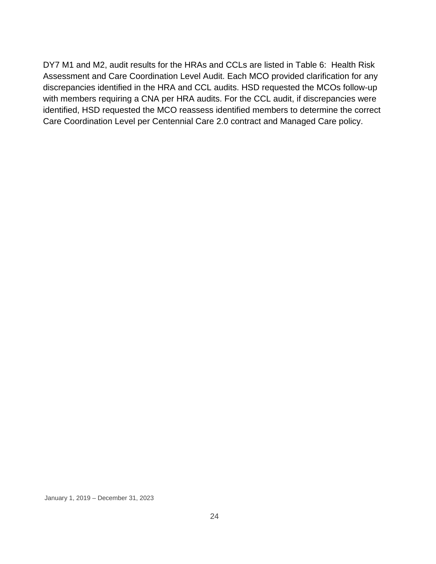DY7 M1 and M2, audit results for the HRAs and CCLs are listed in Table 6: Health Risk Assessment and Care Coordination Level Audit. Each MCO provided clarification for any discrepancies identified in the HRA and CCL audits. HSD requested the MCOs follow-up with members requiring a CNA per HRA audits. For the CCL audit, if discrepancies were identified, HSD requested the MCO reassess identified members to determine the correct Care Coordination Level per Centennial Care 2.0 contract and Managed Care policy.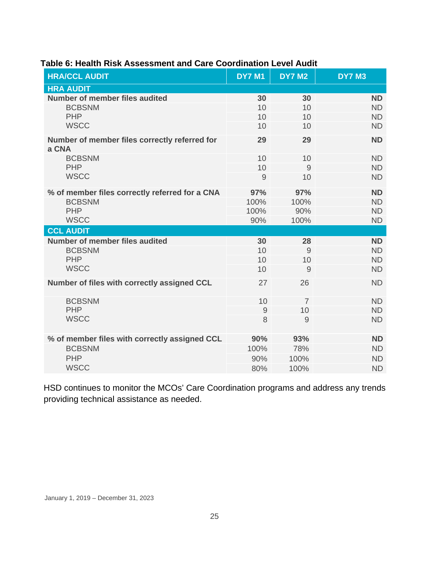| <b>HRA/CCL AUDIT</b>                                   | <b>DY7 M1</b> | <b>DY7 M2</b>  | <b>DY7 M3</b> |  |
|--------------------------------------------------------|---------------|----------------|---------------|--|
| <b>HRA AUDIT</b>                                       |               |                |               |  |
| <b>Number of member files audited</b>                  | 30            | 30             | <b>ND</b>     |  |
| <b>BCBSNM</b>                                          | 10            | 10             | <b>ND</b>     |  |
| <b>PHP</b>                                             | 10            | 10             | <b>ND</b>     |  |
| <b>WSCC</b>                                            | 10            | 10             | <b>ND</b>     |  |
| Number of member files correctly referred for<br>a CNA | 29            | 29             | <b>ND</b>     |  |
| <b>BCBSNM</b>                                          | 10            | 10             | <b>ND</b>     |  |
| <b>PHP</b>                                             | 10            | 9              | <b>ND</b>     |  |
| <b>WSCC</b>                                            | 9             | 10             | <b>ND</b>     |  |
| % of member files correctly referred for a CNA         | 97%           | 97%            | <b>ND</b>     |  |
| <b>BCBSNM</b>                                          | 100%          | 100%           | <b>ND</b>     |  |
| <b>PHP</b>                                             | 100%          | 90%            | <b>ND</b>     |  |
| <b>WSCC</b>                                            | 90%           | 100%           | <b>ND</b>     |  |
| <b>CCL AUDIT</b>                                       |               |                |               |  |
| <b>Number of member files audited</b>                  | 30            | 28             | <b>ND</b>     |  |
| <b>BCBSNM</b>                                          | 10            | 9              | <b>ND</b>     |  |
| <b>PHP</b>                                             | 10            | 10             | <b>ND</b>     |  |
| <b>WSCC</b>                                            | 10            | 9              | <b>ND</b>     |  |
| Number of files with correctly assigned CCL            | 27            | 26             | <b>ND</b>     |  |
| <b>BCBSNM</b>                                          | 10            | $\overline{7}$ | <b>ND</b>     |  |
| <b>PHP</b>                                             | 9             | 10             | <b>ND</b>     |  |
| <b>WSCC</b>                                            | 8             | 9              | <b>ND</b>     |  |
| % of member files with correctly assigned CCL          | 90%           | 93%            | <b>ND</b>     |  |
| <b>BCBSNM</b>                                          | 100%          | 78%            | <b>ND</b>     |  |
| <b>PHP</b>                                             | 90%           | 100%           | <b>ND</b>     |  |
| <b>WSCC</b>                                            | 80%           | 100%           | <b>ND</b>     |  |

#### **Table 6: Health Risk Assessment and Care Coordination Level Audit**

HSD continues to monitor the MCOs' Care Coordination programs and address any trends providing technical assistance as needed.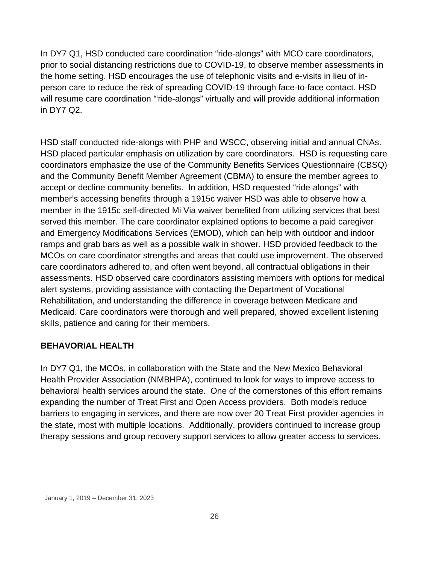In DY7 Q1, HSD conducted care coordination "ride-alongs" with MCO care coordinators, prior to social distancing restrictions due to COVID-19, to observe member assessments in the home setting. HSD encourages the use of telephonic visits and e-visits in lieu of inperson care to reduce the risk of spreading COVID-19 through face-to-face contact. HSD will resume care coordination "ride-alongs" virtually and will provide additional information in DY7 Q2.

HSD staff conducted ride-alongs with PHP and WSCC, observing initial and annual CNAs. HSD placed particular emphasis on utilization by care coordinators. HSD is requesting care coordinators emphasize the use of the Community Benefits Services Questionnaire (CBSQ) and the Community Benefit Member Agreement (CBMA) to ensure the member agrees to accept or decline community benefits. In addition, HSD requested "ride-alongs" with member's accessing benefits through a 1915c waiver HSD was able to observe how a member in the 1915c self-directed Mi Via waiver benefited from utilizing services that best served this member. The care coordinator explained options to become a paid caregiver and Emergency Modifications Services (EMOD), which can help with outdoor and indoor ramps and grab bars as well as a possible walk in shower. HSD provided feedback to the MCOs on care coordinator strengths and areas that could use improvement. The observed care coordinators adhered to, and often went beyond, all contractual obligations in their assessments. HSD observed care coordinators assisting members with options for medical alert systems, providing assistance with contacting the Department of Vocational Rehabilitation, and understanding the difference in coverage between Medicare and Medicaid. Care coordinators were thorough and well prepared, showed excellent listening skills, patience and caring for their members.

#### **BEHAVORIAL HEALTH**

In DY7 Q1, the MCOs, in collaboration with the State and the New Mexico Behavioral Health Provider Association (NMBHPA), continued to look for ways to improve access to behavioral health services around the state. One of the cornerstones of this effort remains expanding the number of Treat First and Open Access providers. Both models reduce barriers to engaging in services, and there are now over 20 Treat First provider agencies in the state, most with multiple locations. Additionally, providers continued to increase group therapy sessions and group recovery support services to allow greater access to services.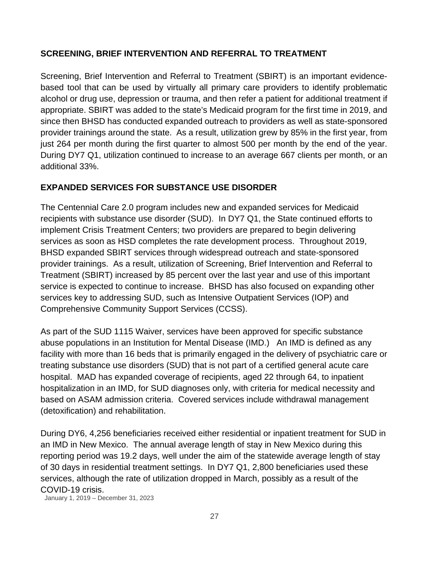#### **SCREENING, BRIEF INTERVENTION AND REFERRAL TO TREATMENT**

Screening, Brief Intervention and Referral to Treatment (SBIRT) is an important evidencebased tool that can be used by virtually all primary care providers to identify problematic alcohol or drug use, depression or trauma, and then refer a patient for additional treatment if appropriate. SBIRT was added to the state's Medicaid program for the first time in 2019, and since then BHSD has conducted expanded outreach to providers as well as state-sponsored provider trainings around the state. As a result, utilization grew by 85% in the first year, from just 264 per month during the first quarter to almost 500 per month by the end of the year. During DY7 Q1, utilization continued to increase to an average 667 clients per month, or an additional 33%.

#### **EXPANDED SERVICES FOR SUBSTANCE USE DISORDER**

The Centennial Care 2.0 program includes new and expanded services for Medicaid recipients with substance use disorder (SUD). In DY7 Q1, the State continued efforts to implement Crisis Treatment Centers; two providers are prepared to begin delivering services as soon as HSD completes the rate development process. Throughout 2019, BHSD expanded SBIRT services through widespread outreach and state-sponsored provider trainings. As a result, utilization of Screening, Brief Intervention and Referral to Treatment (SBIRT) increased by 85 percent over the last year and use of this important service is expected to continue to increase. BHSD has also focused on expanding other services key to addressing SUD, such as Intensive Outpatient Services (IOP) and Comprehensive Community Support Services (CCSS).

As part of the SUD 1115 Waiver, services have been approved for specific substance abuse populations in an Institution for Mental Disease (IMD.) An IMD is defined as any facility with more than 16 beds that is primarily engaged in the delivery of psychiatric care or treating substance use disorders (SUD) that is not part of a certified general acute care hospital. MAD has expanded coverage of recipients, aged 22 through 64, to inpatient hospitalization in an IMD, for SUD diagnoses only, with criteria for medical necessity and based on ASAM admission criteria. Covered services include withdrawal management (detoxification) and rehabilitation.

During DY6, 4,256 beneficiaries received either residential or inpatient treatment for SUD in an IMD in New Mexico. The annual average length of stay in New Mexico during this reporting period was 19.2 days, well under the aim of the statewide average length of stay of 30 days in residential treatment settings. In DY7 Q1, 2,800 beneficiaries used these services, although the rate of utilization dropped in March, possibly as a result of the COVID-19 crisis.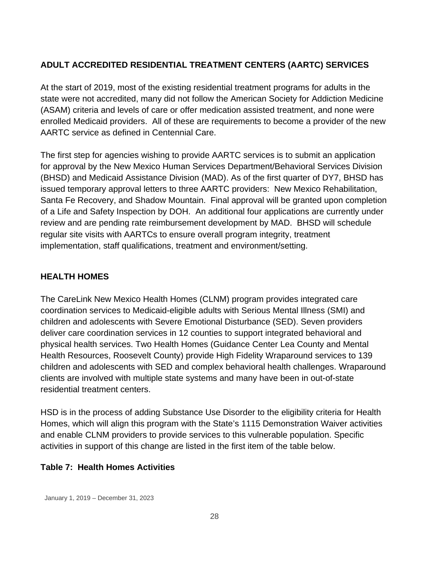#### **ADULT ACCREDITED RESIDENTIAL TREATMENT CENTERS (AARTC) SERVICES**

At the start of 2019, most of the existing residential treatment programs for adults in the state were not accredited, many did not follow the American Society for Addiction Medicine (ASAM) criteria and levels of care or offer medication assisted treatment, and none were enrolled Medicaid providers. All of these are requirements to become a provider of the new AARTC service as defined in Centennial Care.

The first step for agencies wishing to provide AARTC services is to submit an application for approval by the New Mexico Human Services Department/Behavioral Services Division (BHSD) and Medicaid Assistance Division (MAD). As of the first quarter of DY7, BHSD has issued temporary approval letters to three AARTC providers: New Mexico Rehabilitation, Santa Fe Recovery, and Shadow Mountain. Final approval will be granted upon completion of a Life and Safety Inspection by DOH. An additional four applications are currently under review and are pending rate reimbursement development by MAD. BHSD will schedule regular site visits with AARTCs to ensure overall program integrity, treatment implementation, staff qualifications, treatment and environment/setting.

#### **HEALTH HOMES**

The CareLink New Mexico Health Homes (CLNM) program provides integrated care coordination services to Medicaid-eligible adults with Serious Mental Illness (SMI) and children and adolescents with Severe Emotional Disturbance (SED). Seven providers deliver care coordination services in 12 counties to support integrated behavioral and physical health services. Two Health Homes (Guidance Center Lea County and Mental Health Resources, Roosevelt County) provide High Fidelity Wraparound services to 139 children and adolescents with SED and complex behavioral health challenges. Wraparound clients are involved with multiple state systems and many have been in out-of-state residential treatment centers.

HSD is in the process of adding Substance Use Disorder to the eligibility criteria for Health Homes, which will align this program with the State's 1115 Demonstration Waiver activities and enable CLNM providers to provide services to this vulnerable population. Specific activities in support of this change are listed in the first item of the table below.

#### **Table 7: Health Homes Activities**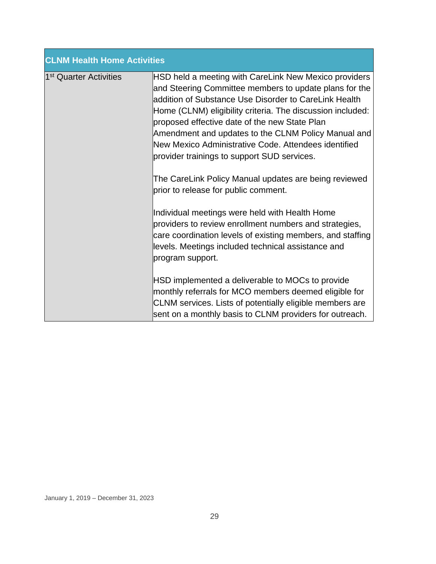| <b>CLNM Health Home Activities</b> |                                                                                                                                                                                                                                                                                                                                                                                                                                                                                                                                                        |  |  |
|------------------------------------|--------------------------------------------------------------------------------------------------------------------------------------------------------------------------------------------------------------------------------------------------------------------------------------------------------------------------------------------------------------------------------------------------------------------------------------------------------------------------------------------------------------------------------------------------------|--|--|
| 1 <sup>st</sup> Quarter Activities | HSD held a meeting with CareLink New Mexico providers<br>and Steering Committee members to update plans for the<br>addition of Substance Use Disorder to CareLink Health<br>Home (CLNM) eligibility criteria. The discussion included:<br>proposed effective date of the new State Plan<br>Amendment and updates to the CLNM Policy Manual and<br>New Mexico Administrative Code. Attendees identified<br>provider trainings to support SUD services.<br>The CareLink Policy Manual updates are being reviewed<br>prior to release for public comment. |  |  |
|                                    | Individual meetings were held with Health Home<br>providers to review enrollment numbers and strategies,<br>care coordination levels of existing members, and staffing<br>levels. Meetings included technical assistance and<br>program support.<br>HSD implemented a deliverable to MOCs to provide<br>monthly referrals for MCO members deemed eligible for<br>CLNM services. Lists of potentially eligible members are<br>sent on a monthly basis to CLNM providers for outreach.                                                                   |  |  |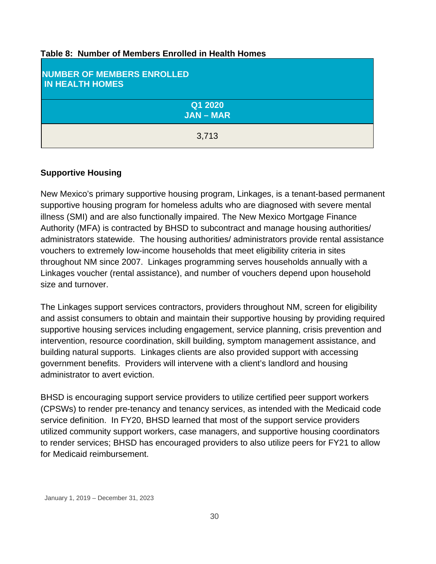| Table 8: Number of Members Enrolled in Health Homes |  |
|-----------------------------------------------------|--|
|-----------------------------------------------------|--|

| <b>NUMBER OF MEMBERS ENROLLED</b><br><b>IN HEALTH HOMES</b> |  |  |
|-------------------------------------------------------------|--|--|
| Q1 2020<br><b>JAN-MAR</b>                                   |  |  |
| 3,713                                                       |  |  |

#### **Supportive Housing**

New Mexico's primary supportive housing program, Linkages, is a tenant-based permanent supportive housing program for homeless adults who are diagnosed with severe mental illness (SMI) and are also functionally impaired. The New Mexico Mortgage Finance Authority (MFA) is contracted by BHSD to subcontract and manage housing authorities/ administrators statewide. The housing authorities/ administrators provide rental assistance vouchers to extremely low-income households that meet eligibility criteria in sites throughout NM since 2007. Linkages programming serves households annually with a Linkages voucher (rental assistance), and number of vouchers depend upon household size and turnover.

The Linkages support services contractors, providers throughout NM, screen for eligibility and assist consumers to obtain and maintain their supportive housing by providing required supportive housing services including engagement, service planning, crisis prevention and intervention, resource coordination, skill building, symptom management assistance, and building natural supports. Linkages clients are also provided support with accessing government benefits. Providers will intervene with a client's landlord and housing administrator to avert eviction.

BHSD is encouraging support service providers to utilize certified peer support workers (CPSWs) to render pre-tenancy and tenancy services, as intended with the Medicaid code service definition. In FY20, BHSD learned that most of the support service providers utilized community support workers, case managers, and supportive housing coordinators to render services; BHSD has encouraged providers to also utilize peers for FY21 to allow for Medicaid reimbursement.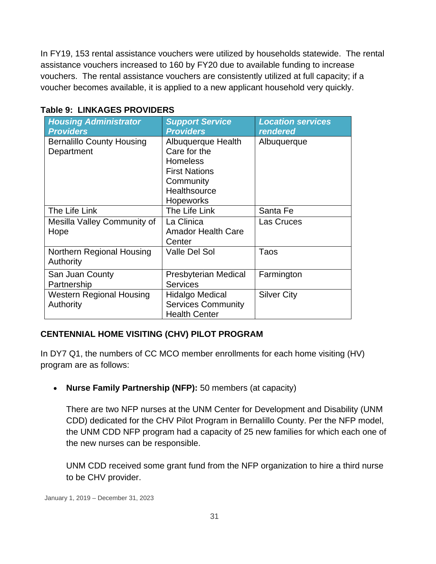In FY19, 153 rental assistance vouchers were utilized by households statewide. The rental assistance vouchers increased to 160 by FY20 due to available funding to increase vouchers. The rental assistance vouchers are consistently utilized at full capacity; if a voucher becomes available, it is applied to a new applicant household very quickly.

| <b>Housing Administrator</b><br><b>Providers</b> | <b>Support Service</b><br><b>Providers</b>                                                                                     | <b>Location services</b><br><b>rendered</b> |
|--------------------------------------------------|--------------------------------------------------------------------------------------------------------------------------------|---------------------------------------------|
| <b>Bernalillo County Housing</b><br>Department   | Albuquerque Health<br>Care for the<br><b>Homeless</b><br><b>First Nations</b><br>Community<br>Healthsource<br><b>Hopeworks</b> | Albuquerque                                 |
| The Life Link                                    | The Life Link                                                                                                                  | Santa Fe                                    |
| Mesilla Valley Community of<br>Hope              | La Clinica<br><b>Amador Health Care</b><br>Center                                                                              | Las Cruces                                  |
| Northern Regional Housing<br>Authority           | Valle Del Sol                                                                                                                  | Taos                                        |
| San Juan County<br>Partnership                   | <b>Presbyterian Medical</b><br><b>Services</b>                                                                                 | Farmington                                  |
| Western Regional Housing<br>Authority            | Hidalgo Medical<br><b>Services Community</b><br><b>Health Center</b>                                                           | <b>Silver City</b>                          |

#### **Table 9: LINKAGES PROVIDERS**

#### **CENTENNIAL HOME VISITING (CHV) PILOT PROGRAM**

In DY7 Q1, the numbers of CC MCO member enrollments for each home visiting (HV) program are as follows:

• **Nurse Family Partnership (NFP):** 50 members (at capacity)

There are two NFP nurses at the UNM Center for Development and Disability (UNM CDD) dedicated for the CHV Pilot Program in Bernalillo County. Per the NFP model, the UNM CDD NFP program had a capacity of 25 new families for which each one of the new nurses can be responsible.

UNM CDD received some grant fund from the NFP organization to hire a third nurse to be CHV provider.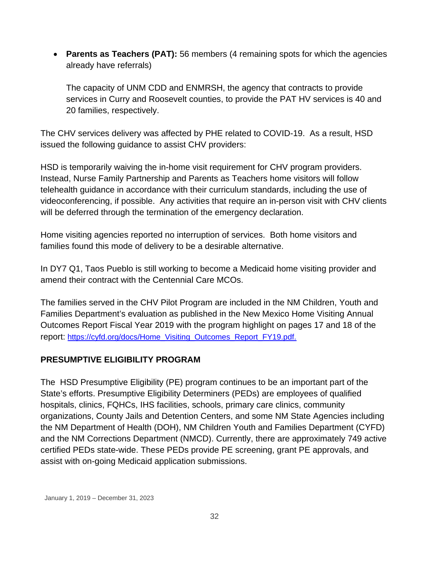• **Parents as Teachers (PAT):** 56 members (4 remaining spots for which the agencies already have referrals)

The capacity of UNM CDD and ENMRSH, the agency that contracts to provide services in Curry and Roosevelt counties, to provide the PAT HV services is 40 and 20 families, respectively.

The CHV services delivery was affected by PHE related to COVID-19. As a result, HSD issued the following guidance to assist CHV providers:

HSD is temporarily waiving the in-home visit requirement for CHV program providers. Instead, Nurse Family Partnership and Parents as Teachers home visitors will follow telehealth guidance in accordance with their curriculum standards, including the use of videoconferencing, if possible. Any activities that require an in-person visit with CHV clients will be deferred through the termination of the emergency declaration.

Home visiting agencies reported no interruption of services. Both home visitors and families found this mode of delivery to be a desirable alternative.

In DY7 Q1, Taos Pueblo is still working to become a Medicaid home visiting provider and amend their contract with the Centennial Care MCOs.

The families served in the CHV Pilot Program are included in the NM Children, Youth and Families Department's evaluation as published in the New Mexico Home Visiting Annual Outcomes Report Fiscal Year 2019 with the program highlight on pages 17 and 18 of the report: [https://cyfd.org/docs/Home\\_Visiting\\_Outcomes\\_Report\\_FY19.pdf.](https://cyfd.org/docs/Home_Visiting_Outcomes_Report_FY19.pdf)

#### **PRESUMPTIVE ELIGIBILITY PROGRAM**

The HSD Presumptive Eligibility (PE) program continues to be an important part of the State's efforts. Presumptive Eligibility Determiners (PEDs) are employees of qualified hospitals, clinics, FQHCs, IHS facilities, schools, primary care clinics, community organizations, County Jails and Detention Centers, and some NM State Agencies including the NM Department of Health (DOH), NM Children Youth and Families Department (CYFD) and the NM Corrections Department (NMCD). Currently, there are approximately 749 active certified PEDs state-wide. These PEDs provide PE screening, grant PE approvals, and assist with on-going Medicaid application submissions.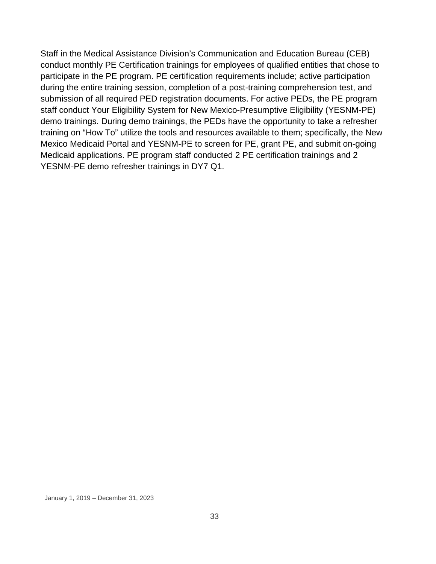Staff in the Medical Assistance Division's Communication and Education Bureau (CEB) conduct monthly PE Certification trainings for employees of qualified entities that chose to participate in the PE program. PE certification requirements include; active participation during the entire training session, completion of a post-training comprehension test, and submission of all required PED registration documents. For active PEDs, the PE program staff conduct Your Eligibility System for New Mexico-Presumptive Eligibility (YESNM-PE) demo trainings. During demo trainings, the PEDs have the opportunity to take a refresher training on "How To" utilize the tools and resources available to them; specifically, the New Mexico Medicaid Portal and YESNM-PE to screen for PE, grant PE, and submit on-going Medicaid applications. PE program staff conducted 2 PE certification trainings and 2 YESNM-PE demo refresher trainings in DY7 Q1.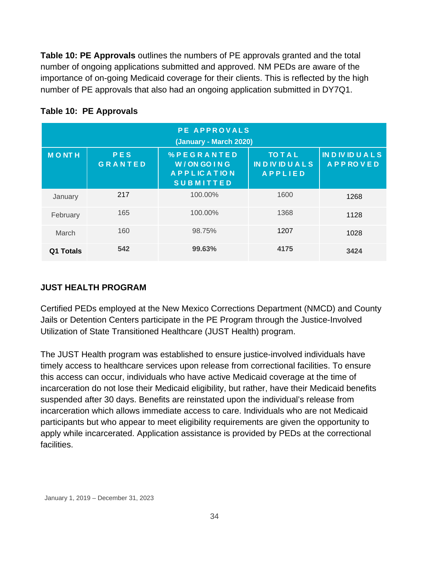**Table 10: PE Approvals** outlines the numbers of PE approvals granted and the total number of ongoing applications submitted and approved. NM PEDs are aware of the importance of on-going Medicaid coverage for their clients. This is reflected by the high number of PE approvals that also had an ongoing application submitted in DY7Q1.

| <b>PE APPROVALS</b><br>(January - March 2020) |                       |                                                                            |                                                         |                                       |
|-----------------------------------------------|-----------------------|----------------------------------------------------------------------------|---------------------------------------------------------|---------------------------------------|
| <b>MONTH</b>                                  | PES<br><b>GRANTED</b> | <b>%PEGRANTED</b><br>W/ON GO ING<br><b>APPLICATION</b><br><b>SUBMITTED</b> | <b>TO T A L</b><br><b>INDIVIDUALS</b><br><b>APPLIED</b> | <b>INDIVIDUALS</b><br><b>APPROVED</b> |
| January                                       | 217                   | 100.00%                                                                    | 1600                                                    | 1268                                  |
| February                                      | 165                   | 100.00%                                                                    | 1368                                                    | 1128                                  |
| March                                         | 160                   | 98.75%                                                                     | 1207                                                    | 1028                                  |
| Q1 Totals                                     | 542                   | 99.63%                                                                     | 4175                                                    | 3424                                  |

#### **Table 10: PE Approvals**

#### **JUST HEALTH PROGRAM**

Certified PEDs employed at the New Mexico Corrections Department (NMCD) and County Jails or Detention Centers participate in the PE Program through the Justice-Involved Utilization of State Transitioned Healthcare (JUST Health) program.

The JUST Health program was established to ensure justice-involved individuals have timely access to healthcare services upon release from correctional facilities. To ensure this access can occur, individuals who have active Medicaid coverage at the time of incarceration do not lose their Medicaid eligibility, but rather, have their Medicaid benefits suspended after 30 days. Benefits are reinstated upon the individual's release from incarceration which allows immediate access to care. Individuals who are not Medicaid participants but who appear to meet eligibility requirements are given the opportunity to apply while incarcerated. Application assistance is provided by PEDs at the correctional facilities.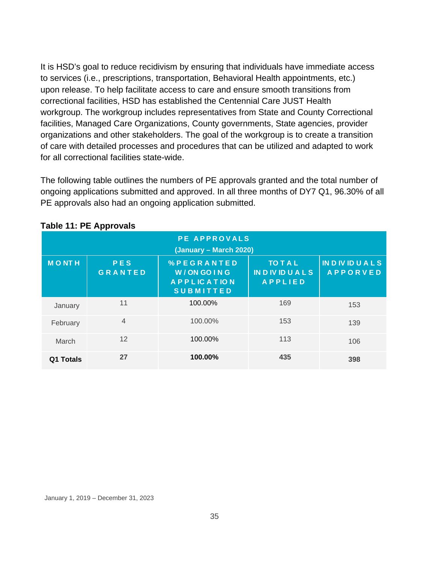It is HSD's goal to reduce recidivism by ensuring that individuals have immediate access to services (i.e., prescriptions, transportation, Behavioral Health appointments, etc.) upon release. To help facilitate access to care and ensure smooth transitions from correctional facilities, HSD has established the Centennial Care JUST Health workgroup. The workgroup includes representatives from State and County Correctional facilities, Managed Care Organizations, County governments, State agencies, provider organizations and other stakeholders. The goal of the workgroup is to create a transition of care with detailed processes and procedures that can be utilized and adapted to work for all correctional facilities state-wide.

The following table outlines the numbers of PE approvals granted and the total number of ongoing applications submitted and approved. In all three months of DY7 Q1, 96.30% of all PE approvals also had an ongoing application submitted.

| <b>PE APPROVALS</b><br>(January – March 2020) |                       |                                                                    |                                                       |                                              |
|-----------------------------------------------|-----------------------|--------------------------------------------------------------------|-------------------------------------------------------|----------------------------------------------|
| <b>MONTH</b>                                  | PES<br><b>GRANTED</b> | %PEGRANTED<br>W/ON GOING<br><b>APPLICATION</b><br><b>SUBMITTED</b> | <b>TO TAL</b><br><b>INDIVIDUALS</b><br><b>APPLIED</b> | <b>IN D IV ID U A L S</b><br><b>APPORVED</b> |
| January                                       | 11                    | 100.00%                                                            | 169                                                   | 153                                          |
| February                                      | $\overline{4}$        | 100.00%                                                            | 153                                                   | 139                                          |
| March                                         | 12                    | 100.00%                                                            | 113                                                   | 106                                          |
| Q1 Totals                                     | 27                    | 100.00%                                                            | 435                                                   | 398                                          |

#### **Table 11: PE Approvals**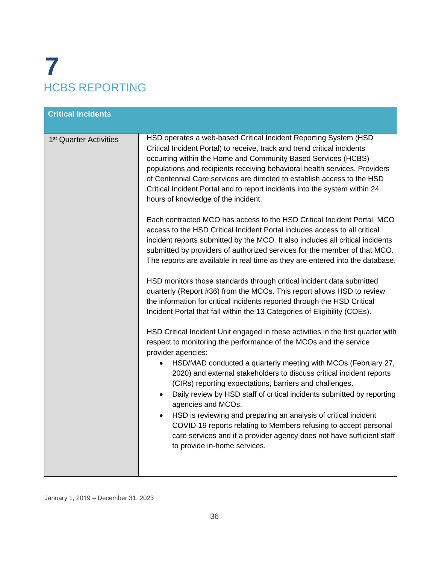# **7** HCBS REPORTING

| <b>Critical Incidents</b>          |                                                                                                                                                                                                                                                                                                                                                                                                                                                                                                                                                                                                                                                                                                                                                                                                                                                                                                                                                                                                                                                                                                                                                                                                                                                                                                                                                                                                                                                                                                                                                                                                                                                                                                                                                                                                                                                                                                                                                                                            |
|------------------------------------|--------------------------------------------------------------------------------------------------------------------------------------------------------------------------------------------------------------------------------------------------------------------------------------------------------------------------------------------------------------------------------------------------------------------------------------------------------------------------------------------------------------------------------------------------------------------------------------------------------------------------------------------------------------------------------------------------------------------------------------------------------------------------------------------------------------------------------------------------------------------------------------------------------------------------------------------------------------------------------------------------------------------------------------------------------------------------------------------------------------------------------------------------------------------------------------------------------------------------------------------------------------------------------------------------------------------------------------------------------------------------------------------------------------------------------------------------------------------------------------------------------------------------------------------------------------------------------------------------------------------------------------------------------------------------------------------------------------------------------------------------------------------------------------------------------------------------------------------------------------------------------------------------------------------------------------------------------------------------------------------|
| 1 <sup>st</sup> Quarter Activities | HSD operates a web-based Critical Incident Reporting System (HSD<br>Critical Incident Portal) to receive, track and trend critical incidents<br>occurring within the Home and Community Based Services (HCBS)<br>populations and recipients receiving behavioral health services. Providers<br>of Centennial Care services are directed to establish access to the HSD<br>Critical Incident Portal and to report incidents into the system within 24<br>hours of knowledge of the incident.<br>Each contracted MCO has access to the HSD Critical Incident Portal. MCO<br>access to the HSD Critical Incident Portal includes access to all critical<br>incident reports submitted by the MCO. It also includes all critical incidents<br>submitted by providers of authorized services for the member of that MCO.<br>The reports are available in real time as they are entered into the database.<br>HSD monitors those standards through critical incident data submitted<br>quarterly (Report #36) from the MCOs. This report allows HSD to review<br>the information for critical incidents reported through the HSD Critical<br>Incident Portal that fall within the 13 Categories of Eligibility (COEs).<br>HSD Critical Incident Unit engaged in these activities in the first quarter with<br>respect to monitoring the performance of the MCOs and the service<br>provider agencies:<br>HSD/MAD conducted a quarterly meeting with MCOs (February 27,<br>$\bullet$<br>2020) and external stakeholders to discuss critical incident reports<br>(CIRs) reporting expectations, barriers and challenges.<br>Daily review by HSD staff of critical incidents submitted by reporting<br>$\bullet$<br>agencies and MCOs.<br>HSD is reviewing and preparing an analysis of critical incident<br>$\bullet$<br>COVID-19 reports relating to Members refusing to accept personal<br>care services and if a provider agency does not have sufficient staff<br>to provide in-home services. |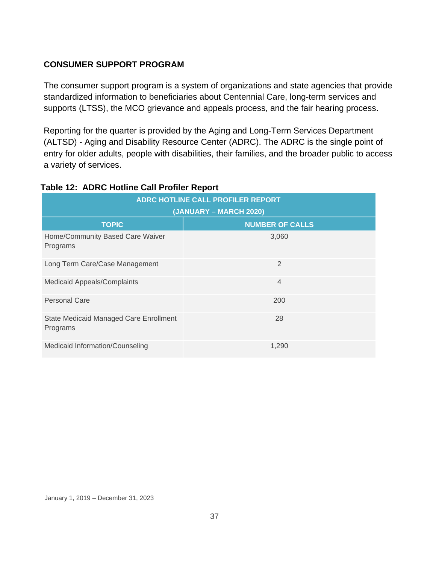#### **CONSUMER SUPPORT PROGRAM**

The consumer support program is a system of organizations and state agencies that provide standardized information to beneficiaries about Centennial Care, long-term services and supports (LTSS), the MCO grievance and appeals process, and the fair hearing process.

Reporting for the quarter is provided by the Aging and Long-Term Services Department (ALTSD) - Aging and Disability Resource Center (ADRC). The ADRC is the single point of entry for older adults, people with disabilities, their families, and the broader public to access a variety of services.

| ADRC HOTLINE CALL PROFILER REPORT<br>(JANUARY – MARCH 2020) |                        |  |
|-------------------------------------------------------------|------------------------|--|
| <b>TOPIC</b>                                                | <b>NUMBER OF CALLS</b> |  |
| Home/Community Based Care Waiver<br>Programs                | 3,060                  |  |
| Long Term Care/Case Management                              | $\overline{2}$         |  |
| <b>Medicaid Appeals/Complaints</b>                          | $\overline{4}$         |  |
| Personal Care                                               | 200                    |  |
| <b>State Medicaid Managed Care Enrollment</b><br>Programs   | 28                     |  |
| Medicaid Information/Counseling                             | 1.290                  |  |

#### **Table 12: ADRC Hotline Call Profiler Report**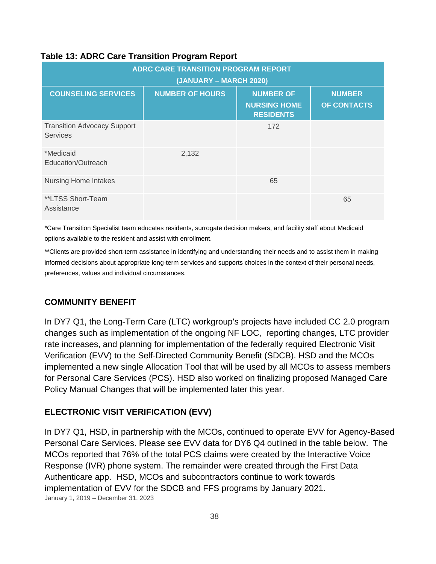#### **Table 13: ADRC Care Transition Program Report**

| <b>ADRC CARE TRANSITION PROGRAM REPORT</b><br>(JANUARY – MARCH 2020) |                        |                                                             |                              |  |
|----------------------------------------------------------------------|------------------------|-------------------------------------------------------------|------------------------------|--|
| <b>COUNSELING SERVICES</b>                                           | <b>NUMBER OF HOURS</b> | <b>NUMBER OF</b><br><b>NURSING HOME</b><br><b>RESIDENTS</b> | <b>NUMBER</b><br>OF CONTACTS |  |
| <b>Transition Advocacy Support</b><br><b>Services</b>                |                        | 172                                                         |                              |  |
| *Medicaid<br>Education/Outreach                                      | 2,132                  |                                                             |                              |  |
| <b>Nursing Home Intakes</b>                                          |                        | 65                                                          |                              |  |
| **LTSS Short-Team<br>Assistance                                      |                        |                                                             | 65                           |  |

\*Care Transition Specialist team educates residents, surrogate decision makers, and facility staff about Medicaid options available to the resident and assist with enrollment.

\*\*Clients are provided short-term assistance in identifying and understanding their needs and to assist them in making informed decisions about appropriate long-term services and supports choices in the context of their personal needs, preferences, values and individual circumstances.

#### **COMMUNITY BENEFIT**

In DY7 Q1, the Long-Term Care (LTC) workgroup's projects have included CC 2.0 program changes such as implementation of the ongoing NF LOC, reporting changes, LTC provider rate increases, and planning for implementation of the federally required Electronic Visit Verification (EVV) to the Self-Directed Community Benefit (SDCB). HSD and the MCOs implemented a new single Allocation Tool that will be used by all MCOs to assess members for Personal Care Services (PCS). HSD also worked on finalizing proposed Managed Care Policy Manual Changes that will be implemented later this year.

#### **ELECTRONIC VISIT VERIFICATION (EVV)**

January 1, 2019 – December 31, 2023 In DY7 Q1, HSD, in partnership with the MCOs, continued to operate EVV for Agency-Based Personal Care Services. Please see EVV data for DY6 Q4 outlined in the table below. The MCOs reported that 76% of the total PCS claims were created by the Interactive Voice Response (IVR) phone system. The remainder were created through the First Data Authenticare app. HSD, MCOs and subcontractors continue to work towards implementation of EVV for the SDCB and FFS programs by January 2021.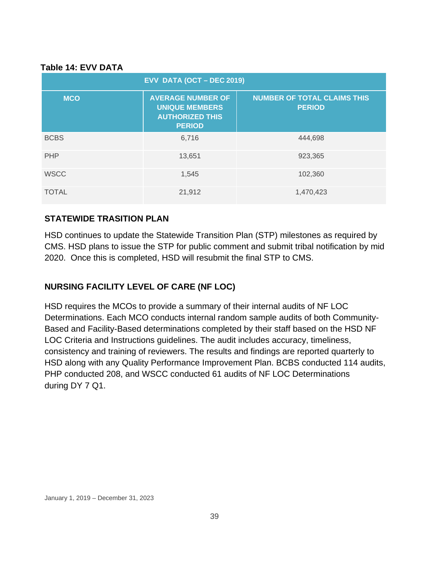#### **Table 14: EVV DATA**

| EVV DATA (OCT - DEC 2019) |                                                                                              |                                                     |  |  |
|---------------------------|----------------------------------------------------------------------------------------------|-----------------------------------------------------|--|--|
| <b>MCO</b>                | <b>AVERAGE NUMBER OF</b><br><b>UNIQUE MEMBERS</b><br><b>AUTHORIZED THIS</b><br><b>PERIOD</b> | <b>NUMBER OF TOTAL CLAIMS THIS</b><br><b>PERIOD</b> |  |  |
| <b>BCBS</b>               | 6,716                                                                                        | 444,698                                             |  |  |
| <b>PHP</b>                | 13,651                                                                                       | 923,365                                             |  |  |
| <b>WSCC</b>               | 1,545                                                                                        | 102,360                                             |  |  |
| <b>TOTAL</b>              | 21,912                                                                                       | 1,470,423                                           |  |  |

#### **STATEWIDE TRASITION PLAN**

HSD continues to update the Statewide Transition Plan (STP) milestones as required by CMS. HSD plans to issue the STP for public comment and submit tribal notification by mid 2020. Once this is completed, HSD will resubmit the final STP to CMS.

# **NURSING FACILITY LEVEL OF CARE (NF LOC)**

HSD requires the MCOs to provide a summary of their internal audits of NF LOC Determinations. Each MCO conducts internal random sample audits of both Community-Based and Facility-Based determinations completed by their staff based on the HSD NF LOC Criteria and Instructions guidelines. The audit includes accuracy, timeliness, consistency and training of reviewers. The results and findings are reported quarterly to HSD along with any Quality Performance Improvement Plan. BCBS conducted 114 audits, PHP conducted 208, and WSCC conducted 61 audits of NF LOC Determinations during DY 7 Q1.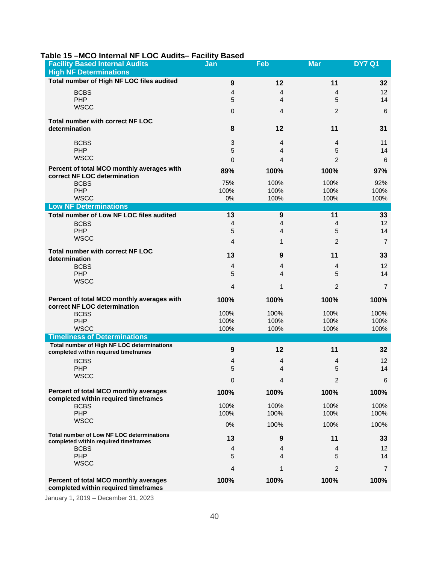| <b>Facility Based Internal Audits</b><br><b>High NF Determinations</b>                   | Jan              | Feb              | <b>Mar</b>     | <b>DY7 Q1</b>  |
|------------------------------------------------------------------------------------------|------------------|------------------|----------------|----------------|
| Total number of High NF LOC files audited                                                |                  |                  |                |                |
|                                                                                          | 9                | 12               | 11             | 32             |
| <b>BCBS</b>                                                                              | 4                | 4                | 4              | 12             |
| <b>PHP</b><br><b>WSCC</b>                                                                | 5                | 4                | 5              | 14             |
|                                                                                          | $\mathbf{0}$     | 4                | 2              | 6              |
| <b>Total number with correct NF LOC</b><br>determination                                 | 8                | 12               | 11             | 31             |
|                                                                                          |                  |                  |                |                |
| <b>BCBS</b>                                                                              | 3                | 4                | 4              | 11             |
| <b>PHP</b>                                                                               | 5                | 4                | 5              | 14             |
| <b>WSCC</b>                                                                              | $\Omega$         | 4                | $\overline{2}$ | 6              |
| Percent of total MCO monthly averages with<br>correct NF LOC determination               | 89%              | 100%             | 100%           | 97%            |
| <b>BCBS</b>                                                                              | 75%              | 100%             | 100%           | 92%            |
| PHP                                                                                      | 100%             | 100%             | 100%           | 100%           |
| <b>WSCC</b>                                                                              | 0%               | 100%             | 100%           | 100%           |
| <b>Low NF Determinations</b>                                                             |                  |                  |                |                |
| Total number of Low NF LOC files audited                                                 | 13               | $\boldsymbol{9}$ | 11             | 33             |
| <b>BCBS</b>                                                                              | 4                | 4                | 4              | 12             |
| <b>PHP</b><br><b>WSCC</b>                                                                | 5                | 4                | 5              | 14             |
|                                                                                          | 4                | 1                | $\overline{c}$ | $\overline{7}$ |
| Total number with correct NF LOC                                                         | 13               | 9                | 11             | 33             |
| determination                                                                            |                  |                  |                |                |
| <b>BCBS</b>                                                                              | 4                | 4                | 4              | 12             |
| PHP<br><b>WSCC</b>                                                                       | 5                | $\overline{4}$   | 5              | 14             |
|                                                                                          | $\overline{4}$   | 1                | $\mathbf{2}$   | $\overline{7}$ |
| Percent of total MCO monthly averages with<br>correct NF LOC determination               | 100%             | 100%             | 100%           | 100%           |
| <b>BCBS</b>                                                                              | 100%             | 100%             | 100%           | 100%           |
| PHP                                                                                      | 100%             | 100%             | 100%           | 100%           |
| <b>WSCC</b>                                                                              | 100%             | 100%             | 100%           | 100%           |
| <b>Timeliness of Determinations</b>                                                      |                  |                  |                |                |
| Total number of High NF LOC determinations<br>completed within required timeframes       | $\boldsymbol{9}$ | 12               | 11             | 32             |
| <b>BCBS</b>                                                                              | 4                | 4                | 4              | $12 \,$        |
| PHP                                                                                      | 5                | 4                | 5              | 14             |
| <b>WSCC</b>                                                                              | 0                | 4                | $\overline{2}$ | 6              |
| Percent of total MCO monthly averages<br>completed within required timeframes            | 100%             | 100%             | 100%           | 100%           |
| <b>BCBS</b>                                                                              | 100%             | 100%             | 100%           | 100%           |
| PHP                                                                                      | 100%             | 100%             | 100%           | 100%           |
| <b>WSCC</b>                                                                              | 0%               | 100%             | 100%           | 100%           |
| <b>Total number of Low NF LOC determinations</b><br>completed within required timeframes | 13               | 9                | 11             | 33             |
| <b>BCBS</b>                                                                              | 4                | 4                | 4              | 12             |
| PHP                                                                                      | 5                | 4                | 5              | 14             |
| <b>WSCC</b>                                                                              | 4                | 1                | $\overline{c}$ | 7              |
|                                                                                          |                  |                  |                |                |
| Percent of total MCO monthly averages<br>completed within required timeframes            | 100%             | 100%             | 100%           | 100%           |

#### **Table 15 –MCO Internal NF LOC Audits– Facility Based**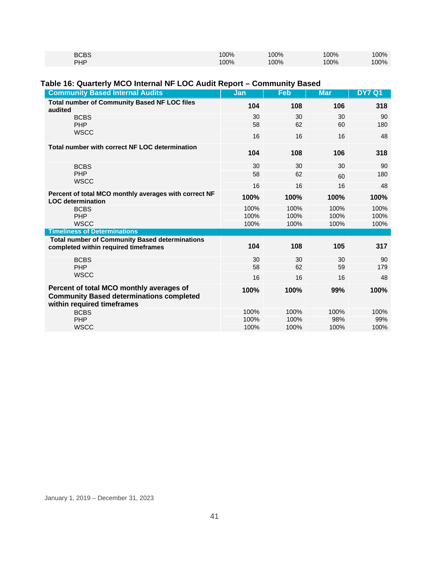| <b>BCBS</b> | 100% | 100% | 100% | 100% |
|-------------|------|------|------|------|
| <b>PHP</b>  | 100% | 100% | 100% | 100% |

#### **Table 16: Quarterly MCO Internal NF LOC Audit Report – Community Based**

| <b>Community Based Internal Audits</b>                                                                                    | Jan      | <b>Feb</b> | <b>Mar</b> | <b>DY7 Q1</b> |
|---------------------------------------------------------------------------------------------------------------------------|----------|------------|------------|---------------|
| <b>Total number of Community Based NF LOC files</b><br>audited                                                            | 104      | 108        | 106        | 318           |
| <b>BCBS</b><br><b>PHP</b>                                                                                                 | 30<br>58 | 30<br>62   | 30<br>60   | 90<br>180     |
| <b>WSCC</b>                                                                                                               | 16       | 16         | 16         | 48            |
| Total number with correct NF LOC determination                                                                            | 104      | 108        | 106        | 318           |
| <b>BCBS</b>                                                                                                               | 30       | 30         | 30         | 90            |
| PHP                                                                                                                       | 58       | 62         | 60         | 180           |
| <b>WSCC</b>                                                                                                               | 16       | 16         | 16         | 48            |
| Percent of total MCO monthly averages with correct NF<br><b>LOC</b> determination                                         | 100%     | 100%       | 100%       | 100%          |
| <b>BCBS</b>                                                                                                               | 100%     | 100%       | 100%       | 100%          |
| PHP                                                                                                                       | 100%     | 100%       | 100%       | 100%          |
| <b>WSCC</b><br><b>Timeliness of Determinations</b>                                                                        | 100%     | 100%       | 100%       | 100%          |
| <b>Total number of Community Based determinations</b>                                                                     |          |            |            |               |
| completed within required timeframes                                                                                      | 104      | 108        | 105        | 317           |
| <b>BCBS</b>                                                                                                               | 30       | 30         | 30         | 90            |
| PHP                                                                                                                       | 58       | 62         | 59         | 179           |
| <b>WSCC</b>                                                                                                               | 16       | 16         | 16         | 48            |
| Percent of total MCO monthly averages of<br><b>Community Based determinations completed</b><br>within required timeframes | 100%     | 100%       | 99%        | 100%          |
| <b>BCBS</b>                                                                                                               | 100%     | 100%       | 100%       | 100%          |
| PHP                                                                                                                       | 100%     | 100%       | 98%        | 99%           |
| <b>WSCC</b>                                                                                                               | 100%     | 100%       | 100%       | 100%          |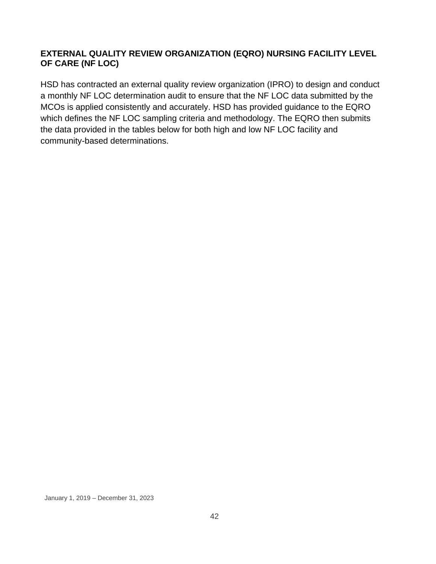#### **EXTERNAL QUALITY REVIEW ORGANIZATION (EQRO) NURSING FACILITY LEVEL OF CARE (NF LOC)**

HSD has contracted an external quality review organization (IPRO) to design and conduct a monthly NF LOC determination audit to ensure that the NF LOC data submitted by the MCOs is applied consistently and accurately. HSD has provided guidance to the EQRO which defines the NF LOC sampling criteria and methodology. The EQRO then submits the data provided in the tables below for both high and low NF LOC facility and community-based determinations.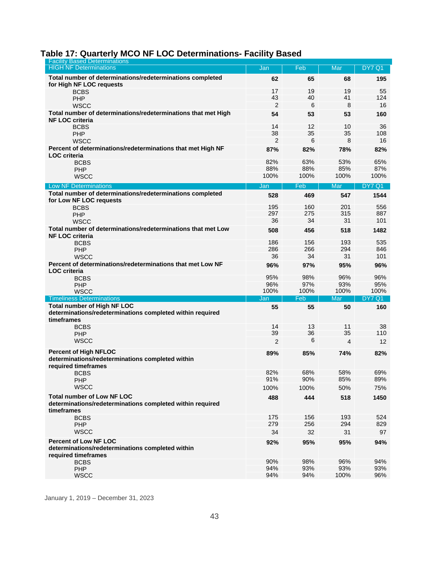### **Table 17: Quarterly MCO NF LOC Determinations- Facility Based**

| <b>Facility Based Determinations</b>                                                                         |      |      |      |               |
|--------------------------------------------------------------------------------------------------------------|------|------|------|---------------|
| <b>HIGH NF Determinations</b>                                                                                | Jan  | Feb  | Mar  | <b>DY7 Q1</b> |
| Total number of determinations/redeterminations completed<br>for High NF LOC requests                        | 62   | 65   | 68   | 195           |
| <b>BCBS</b>                                                                                                  | 17   | 19   | 19   | 55            |
| PHP                                                                                                          | 43   | 40   | 41   | 124           |
| WSCC                                                                                                         | 2    | 6    | 8    | 16            |
| Total number of determinations/redeterminations that met High                                                | 54   | 53   | 53   | 160           |
| <b>NF LOC criteria</b>                                                                                       |      |      |      |               |
| <b>BCBS</b>                                                                                                  | 14   | 12   | 10   | 36            |
| PHP                                                                                                          | 38   | 35   | 35   | 108           |
| WSCC                                                                                                         | 2    | 6    | 8    | 16            |
| Percent of determinations/redeterminations that met High NF                                                  | 87%  | 82%  | 78%  | 82%           |
| <b>LOC</b> criteria                                                                                          |      |      |      |               |
| <b>BCBS</b>                                                                                                  | 82%  | 63%  | 53%  | 65%           |
| PHP                                                                                                          | 88%  | 88%  | 85%  | 87%           |
| <b>WSCC</b>                                                                                                  | 100% | 100% | 100% | 100%          |
| <b>Low NF Determinations</b>                                                                                 | Jan  | Feb  | Mar  | <b>DY7 Q1</b> |
| Total number of determinations/redeterminations completed                                                    | 528  | 469  | 547  | 1544          |
| for Low NF LOC requests                                                                                      |      |      |      |               |
| <b>BCBS</b>                                                                                                  | 195  | 160  | 201  | 556           |
| PHP                                                                                                          | 297  | 275  | 315  | 887           |
| <b>WSCC</b>                                                                                                  | 36   | 34   | 31   | 101           |
| Total number of determinations/redeterminations that met Low                                                 | 508  | 456  | 518  | 1482          |
| <b>NF LOC criteria</b>                                                                                       |      |      |      |               |
| <b>BCBS</b>                                                                                                  | 186  | 156  | 193  | 535           |
| PHP                                                                                                          | 286  | 266  | 294  | 846           |
| <b>WSCC</b>                                                                                                  | 36   | 34   | 31   | 101           |
| Percent of determinations/redeterminations that met Low NF                                                   | 96%  | 97%  | 95%  | 96%           |
| <b>LOC</b> criteria                                                                                          |      |      |      |               |
| <b>BCBS</b>                                                                                                  | 95%  | 98%  | 96%  | 96%           |
| PHP                                                                                                          | 96%  | 97%  | 93%  | 95%           |
| <b>WSCC</b>                                                                                                  | 100% | 100% | 100% | 100%          |
| <b>Timeliness Determinations</b>                                                                             | Jan  | Feb  | Mar  | <b>DY7 Q1</b> |
| <b>Total number of High NF LOC</b>                                                                           | 55   | 55   | 50   | 160           |
| determinations/redeterminations completed within required<br>timeframes                                      |      |      |      |               |
| <b>BCBS</b>                                                                                                  | 14   | 13   | 11   | 38            |
| PHP                                                                                                          | 39   | 36   | 35   | 110           |
| <b>WSCC</b>                                                                                                  | 2    | 6    | 4    | 12            |
|                                                                                                              |      |      |      |               |
| <b>Percent of High NFLOC</b>                                                                                 | 89%  | 85%  | 74%  | 82%           |
| determinations/redeterminations completed within                                                             |      |      |      |               |
| required timeframes                                                                                          |      |      |      |               |
| <b>BCBS</b>                                                                                                  | 82%  | 68%  | 58%  | 69%           |
| PHP                                                                                                          | 91%  | 90%  | 85%  | 89%           |
| <b>WSCC</b>                                                                                                  | 100% | 100% | 50%  | 75%           |
| <b>Total number of Low NF LOC</b><br>determinations/redeterminations completed within required<br>timeframes | 488  | 444  | 518  | 1450          |
| <b>BCBS</b>                                                                                                  | 175  | 156  | 193  | 524           |
| PHP                                                                                                          | 279  | 256  | 294  | 829           |
| <b>WSCC</b>                                                                                                  | 34   | 32   | 31   | 97            |
|                                                                                                              |      |      |      |               |
| <b>Percent of Low NF LOC</b><br>determinations/redeterminations completed within<br>required timeframes      | 92%  | 95%  | 95%  | 94%           |
| <b>BCBS</b>                                                                                                  | 90%  | 98%  | 96%  | 94%           |
| PHP                                                                                                          | 94%  | 93%  | 93%  | 93%           |
| <b>WSCC</b>                                                                                                  | 94%  | 94%  | 100% | 96%           |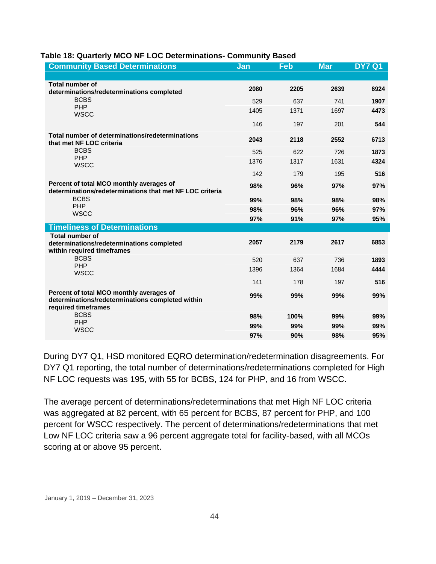| <b>Community Based Determinations</b>                                                                               | Jan  | Feb  | <b>Mar</b> | <b>DY7 Q1</b> |
|---------------------------------------------------------------------------------------------------------------------|------|------|------------|---------------|
|                                                                                                                     |      |      |            |               |
| <b>Total number of</b><br>determinations/redeterminations completed                                                 | 2080 | 2205 | 2639       | 6924          |
| <b>BCBS</b><br>PHP                                                                                                  | 529  | 637  | 741        | 1907          |
| <b>WSCC</b>                                                                                                         | 1405 | 1371 | 1697       | 4473          |
|                                                                                                                     | 146  | 197  | 201        | 544           |
| Total number of determinations/redeterminations<br>that met NF LOC criteria                                         | 2043 | 2118 | 2552       | 6713          |
| <b>BCBS</b>                                                                                                         | 525  | 622  | 726        | 1873          |
| <b>PHP</b><br><b>WSCC</b>                                                                                           | 1376 | 1317 | 1631       | 4324          |
|                                                                                                                     | 142  | 179  | 195        | 516           |
| Percent of total MCO monthly averages of<br>determinations/redeterminations that met NF LOC criteria                | 98%  | 96%  | 97%        | 97%           |
| <b>BCBS</b>                                                                                                         | 99%  | 98%  | 98%        | 98%           |
| PHP<br><b>WSCC</b>                                                                                                  | 98%  | 96%  | 96%        | 97%           |
|                                                                                                                     | 97%  | 91%  | 97%        | 95%           |
| <b>Timeliness of Determinations</b>                                                                                 |      |      |            |               |
| <b>Total number of</b><br>determinations/redeterminations completed<br>within required timeframes                   | 2057 | 2179 | 2617       | 6853          |
| <b>BCBS</b>                                                                                                         | 520  | 637  | 736        | 1893          |
| PHP<br><b>WSCC</b>                                                                                                  | 1396 | 1364 | 1684       | 4444          |
|                                                                                                                     | 141  | 178  | 197        | 516           |
| Percent of total MCO monthly averages of<br>determinations/redeterminations completed within<br>required timeframes | 99%  | 99%  | 99%        | 99%           |
| <b>BCBS</b><br>PHP                                                                                                  | 98%  | 100% | 99%        | 99%           |
| <b>WSCC</b>                                                                                                         | 99%  | 99%  | 99%        | 99%           |
|                                                                                                                     | 97%  | 90%  | 98%        | 95%           |

#### **Table 18: Quarterly MCO NF LOC Determinations- Community Based**

During DY7 Q1, HSD monitored EQRO determination/redetermination disagreements. For DY7 Q1 reporting, the total number of determinations/redeterminations completed for High NF LOC requests was 195, with 55 for BCBS, 124 for PHP, and 16 from WSCC.

The average percent of determinations/redeterminations that met High NF LOC criteria was aggregated at 82 percent, with 65 percent for BCBS, 87 percent for PHP, and 100 percent for WSCC respectively. The percent of determinations/redeterminations that met Low NF LOC criteria saw a 96 percent aggregate total for facility-based, with all MCOs scoring at or above 95 percent.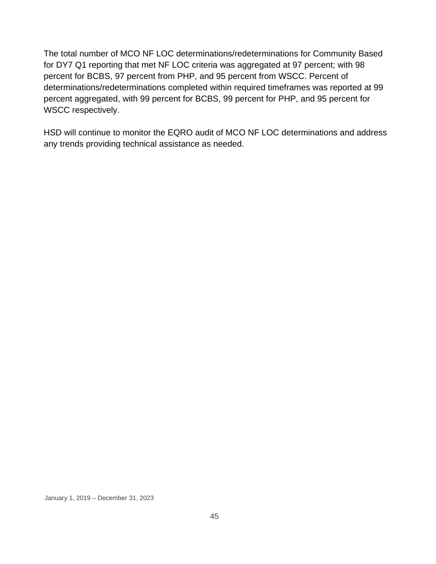The total number of MCO NF LOC determinations/redeterminations for Community Based for DY7 Q1 reporting that met NF LOC criteria was aggregated at 97 percent; with 98 percent for BCBS, 97 percent from PHP, and 95 percent from WSCC. Percent of determinations/redeterminations completed within required timeframes was reported at 99 percent aggregated, with 99 percent for BCBS, 99 percent for PHP, and 95 percent for WSCC respectively.

HSD will continue to monitor the EQRO audit of MCO NF LOC determinations and address any trends providing technical assistance as needed.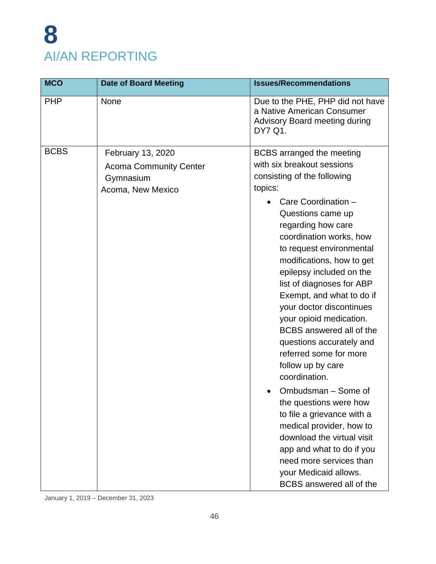# **8** AI/AN REPORTING

| <b>MCO</b>  | <b>Date of Board Meeting</b>                                                         | <b>Issues/Recommendations</b>                                                                                                                                                                                                                                                                                                                                                                                                                                                                                                                                                                                                                                                                                                                                                             |
|-------------|--------------------------------------------------------------------------------------|-------------------------------------------------------------------------------------------------------------------------------------------------------------------------------------------------------------------------------------------------------------------------------------------------------------------------------------------------------------------------------------------------------------------------------------------------------------------------------------------------------------------------------------------------------------------------------------------------------------------------------------------------------------------------------------------------------------------------------------------------------------------------------------------|
| <b>PHP</b>  | <b>None</b>                                                                          | Due to the PHE, PHP did not have<br>a Native American Consumer<br><b>Advisory Board meeting during</b><br>DY7 Q1.                                                                                                                                                                                                                                                                                                                                                                                                                                                                                                                                                                                                                                                                         |
| <b>BCBS</b> | February 13, 2020<br><b>Acoma Community Center</b><br>Gymnasium<br>Acoma, New Mexico | <b>BCBS</b> arranged the meeting<br>with six breakout sessions<br>consisting of the following<br>topics:<br>Care Coordination -<br>Questions came up<br>regarding how care<br>coordination works, how<br>to request environmental<br>modifications, how to get<br>epilepsy included on the<br>list of diagnoses for ABP<br>Exempt, and what to do if<br>your doctor discontinues<br>your opioid medication.<br>BCBS answered all of the<br>questions accurately and<br>referred some for more<br>follow up by care<br>coordination.<br>Ombudsman - Some of<br>the questions were how<br>to file a grievance with a<br>medical provider, how to<br>download the virtual visit<br>app and what to do if you<br>need more services than<br>your Medicaid allows.<br>BCBS answered all of the |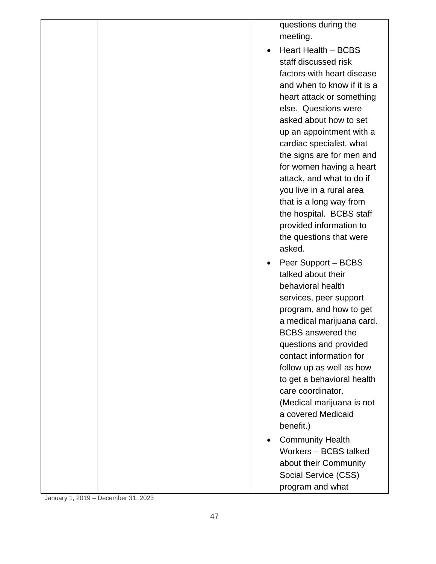|  | questions during the<br>meeting.                                                                                                                                                                                                                                                                                                                                                                                                                                               |
|--|--------------------------------------------------------------------------------------------------------------------------------------------------------------------------------------------------------------------------------------------------------------------------------------------------------------------------------------------------------------------------------------------------------------------------------------------------------------------------------|
|  | Heart Health - BCBS<br>staff discussed risk<br>factors with heart disease<br>and when to know if it is a<br>heart attack or something<br>else. Questions were<br>asked about how to set<br>up an appointment with a<br>cardiac specialist, what<br>the signs are for men and<br>for women having a heart<br>attack, and what to do if<br>you live in a rural area<br>that is a long way from<br>the hospital. BCBS staff<br>provided information to<br>the questions that were |
|  | asked.<br>Peer Support – BCBS<br>talked about their                                                                                                                                                                                                                                                                                                                                                                                                                            |
|  | behavioral health<br>services, peer support<br>program, and how to get<br>a medical marijuana card.<br><b>BCBS</b> answered the                                                                                                                                                                                                                                                                                                                                                |
|  | questions and provided<br>contact information for<br>follow up as well as how<br>to get a behavioral health<br>care coordinator.<br>(Medical marijuana is not<br>a covered Medicaid<br>benefit.)                                                                                                                                                                                                                                                                               |
|  | <b>Community Health</b><br>Workers - BCBS talked<br>about their Community<br>Social Service (CSS)<br>program and what                                                                                                                                                                                                                                                                                                                                                          |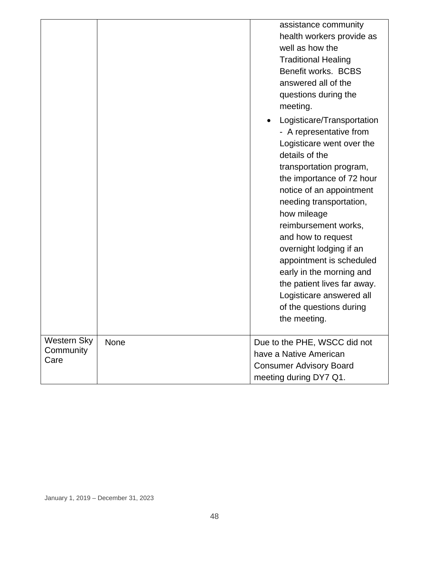|                                  |      | assistance community<br>health workers provide as<br>well as how the<br><b>Traditional Healing</b><br>Benefit works. BCBS<br>answered all of the<br>questions during the                                                                                                                                                                                                                                                                                                              |
|----------------------------------|------|---------------------------------------------------------------------------------------------------------------------------------------------------------------------------------------------------------------------------------------------------------------------------------------------------------------------------------------------------------------------------------------------------------------------------------------------------------------------------------------|
|                                  |      | meeting.<br>Logisticare/Transportation<br>- A representative from<br>Logisticare went over the<br>details of the<br>transportation program,<br>the importance of 72 hour<br>notice of an appointment<br>needing transportation,<br>how mileage<br>reimbursement works,<br>and how to request<br>overnight lodging if an<br>appointment is scheduled<br>early in the morning and<br>the patient lives far away.<br>Logisticare answered all<br>of the questions during<br>the meeting. |
| Western Sky<br>Community<br>Care | None | Due to the PHE, WSCC did not<br>have a Native American<br><b>Consumer Advisory Board</b><br>meeting during DY7 Q1.                                                                                                                                                                                                                                                                                                                                                                    |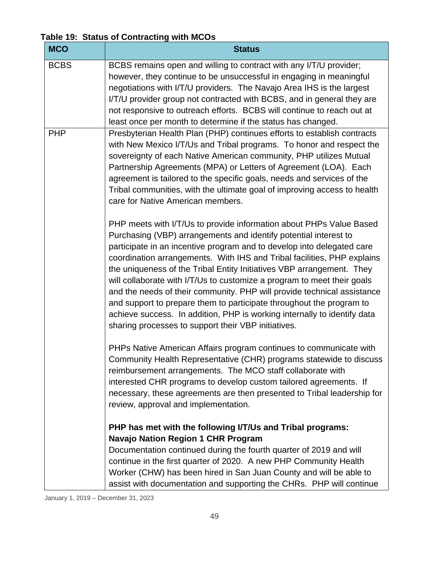**Table 19: Status of Contracting with MCOs**

| <b>MCO</b>  | <b>Status</b>                                                                                                                                                                                                                                                                                                                                                                                                                                                                                                                                                                                                                                                                                                                          |
|-------------|----------------------------------------------------------------------------------------------------------------------------------------------------------------------------------------------------------------------------------------------------------------------------------------------------------------------------------------------------------------------------------------------------------------------------------------------------------------------------------------------------------------------------------------------------------------------------------------------------------------------------------------------------------------------------------------------------------------------------------------|
| <b>BCBS</b> | BCBS remains open and willing to contract with any I/T/U provider;<br>however, they continue to be unsuccessful in engaging in meaningful<br>negotiations with I/T/U providers. The Navajo Area IHS is the largest<br>I/T/U provider group not contracted with BCBS, and in general they are<br>not responsive to outreach efforts. BCBS will continue to reach out at<br>least once per month to determine if the status has changed.                                                                                                                                                                                                                                                                                                 |
| <b>PHP</b>  | Presbyterian Health Plan (PHP) continues efforts to establish contracts<br>with New Mexico I/T/Us and Tribal programs. To honor and respect the<br>sovereignty of each Native American community, PHP utilizes Mutual<br>Partnership Agreements (MPA) or Letters of Agreement (LOA). Each<br>agreement is tailored to the specific goals, needs and services of the<br>Tribal communities, with the ultimate goal of improving access to health<br>care for Native American members.                                                                                                                                                                                                                                                   |
|             | PHP meets with I/T/Us to provide information about PHPs Value Based<br>Purchasing (VBP) arrangements and identify potential interest to<br>participate in an incentive program and to develop into delegated care<br>coordination arrangements. With IHS and Tribal facilities, PHP explains<br>the uniqueness of the Tribal Entity Initiatives VBP arrangement. They<br>will collaborate with I/T/Us to customize a program to meet their goals<br>and the needs of their community. PHP will provide technical assistance<br>and support to prepare them to participate throughout the program to<br>achieve success. In addition, PHP is working internally to identify data<br>sharing processes to support their VBP initiatives. |
|             | PHPs Native American Affairs program continues to communicate with<br>Community Health Representative (CHR) programs statewide to discuss<br>reimbursement arrangements. The MCO staff collaborate with<br>interested CHR programs to develop custom tailored agreements. If<br>necessary, these agreements are then presented to Tribal leadership for<br>review, approval and implementation.                                                                                                                                                                                                                                                                                                                                        |
|             | PHP has met with the following I/T/Us and Tribal programs:<br><b>Navajo Nation Region 1 CHR Program</b><br>Documentation continued during the fourth quarter of 2019 and will<br>continue in the first quarter of 2020. A new PHP Community Health<br>Worker (CHW) has been hired in San Juan County and will be able to<br>assist with documentation and supporting the CHRs. PHP will continue                                                                                                                                                                                                                                                                                                                                       |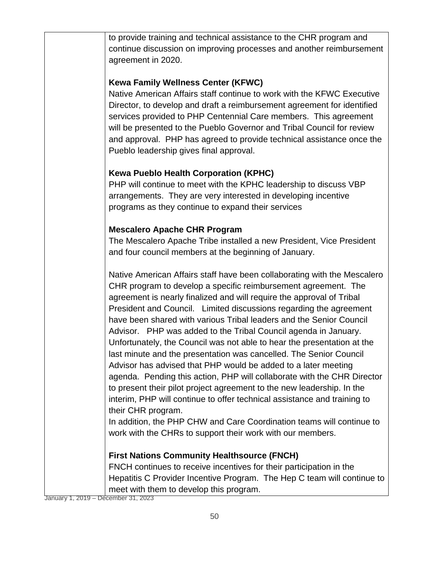to provide training and technical assistance to the CHR program and continue discussion on improving processes and another reimbursement agreement in 2020.

### **Kewa Family Wellness Center (KFWC)**

Native American Affairs staff continue to work with the KFWC Executive Director, to develop and draft a reimbursement agreement for identified services provided to PHP Centennial Care members. This agreement will be presented to the Pueblo Governor and Tribal Council for review and approval. PHP has agreed to provide technical assistance once the Pueblo leadership gives final approval.

# **Kewa Pueblo Health Corporation (KPHC)**

PHP will continue to meet with the KPHC leadership to discuss VBP arrangements. They are very interested in developing incentive programs as they continue to expand their services

# **Mescalero Apache CHR Program**

The Mescalero Apache Tribe installed a new President, Vice President and four council members at the beginning of January.

Native American Affairs staff have been collaborating with the Mescalero CHR program to develop a specific reimbursement agreement. The agreement is nearly finalized and will require the approval of Tribal President and Council. Limited discussions regarding the agreement have been shared with various Tribal leaders and the Senior Council Advisor. PHP was added to the Tribal Council agenda in January. Unfortunately, the Council was not able to hear the presentation at the last minute and the presentation was cancelled. The Senior Council Advisor has advised that PHP would be added to a later meeting agenda. Pending this action, PHP will collaborate with the CHR Director to present their pilot project agreement to the new leadership. In the interim, PHP will continue to offer technical assistance and training to their CHR program.

In addition, the PHP CHW and Care Coordination teams will continue to work with the CHRs to support their work with our members.

# **First Nations Community Healthsource (FNCH)**

FNCH continues to receive incentives for their participation in the Hepatitis C Provider Incentive Program. The Hep C team will continue to meet with them to develop this program.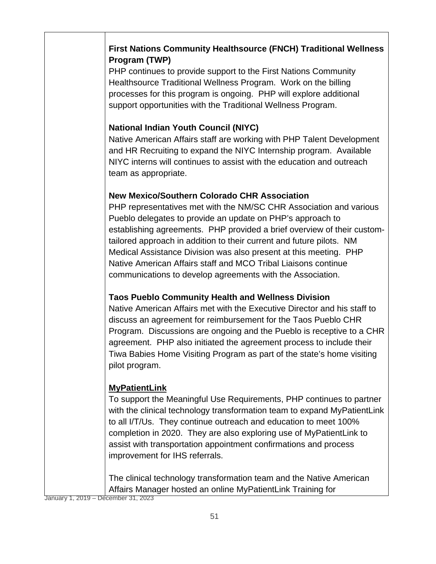# **First Nations Community Healthsource (FNCH) Traditional Wellness Program (TWP)**

PHP continues to provide support to the First Nations Community Healthsource Traditional Wellness Program. Work on the billing processes for this program is ongoing. PHP will explore additional support opportunities with the Traditional Wellness Program.

# **National Indian Youth Council (NIYC)**

Native American Affairs staff are working with PHP Talent Development and HR Recruiting to expand the NIYC Internship program. Available NIYC interns will continues to assist with the education and outreach team as appropriate.

#### **New Mexico/Southern Colorado CHR Association**

PHP representatives met with the NM/SC CHR Association and various Pueblo delegates to provide an update on PHP's approach to establishing agreements. PHP provided a brief overview of their customtailored approach in addition to their current and future pilots. NM Medical Assistance Division was also present at this meeting. PHP Native American Affairs staff and MCO Tribal Liaisons continue communications to develop agreements with the Association.

# **Taos Pueblo Community Health and Wellness Division**

Native American Affairs met with the Executive Director and his staff to discuss an agreement for reimbursement for the Taos Pueblo CHR Program. Discussions are ongoing and the Pueblo is receptive to a CHR agreement. PHP also initiated the agreement process to include their Tiwa Babies Home Visiting Program as part of the state's home visiting pilot program.

# **MyPatientLink**

To support the Meaningful Use Requirements, PHP continues to partner with the clinical technology transformation team to expand MyPatientLink to all I/T/Us. They continue outreach and education to meet 100% completion in 2020. They are also exploring use of MyPatientLink to assist with transportation appointment confirmations and process improvement for IHS referrals.

The clinical technology transformation team and the Native American Affairs Manager hosted an online MyPatientLink Training for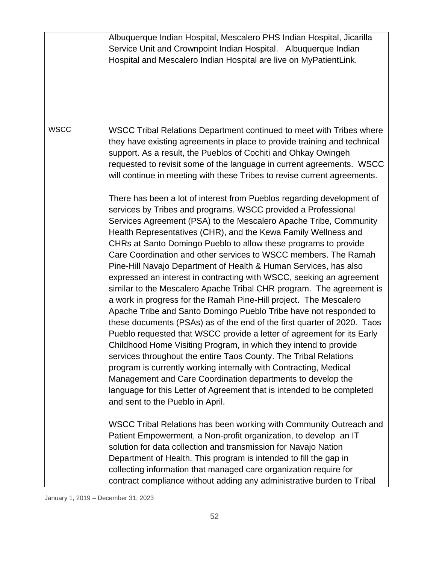|             | Albuquerque Indian Hospital, Mescalero PHS Indian Hospital, Jicarilla<br>Service Unit and Crownpoint Indian Hospital. Albuquerque Indian<br>Hospital and Mescalero Indian Hospital are live on MyPatientLink.                                                                                                                                                                                                                                                                                                                                                                                                                                                                                                                                                                                                                                                                                                                                                                                                                                                                                                                                                                                                                                                                                                                                                                                                                                                                                                                                                                                                                                                                                                                                                                                                                                                                                                             |
|-------------|---------------------------------------------------------------------------------------------------------------------------------------------------------------------------------------------------------------------------------------------------------------------------------------------------------------------------------------------------------------------------------------------------------------------------------------------------------------------------------------------------------------------------------------------------------------------------------------------------------------------------------------------------------------------------------------------------------------------------------------------------------------------------------------------------------------------------------------------------------------------------------------------------------------------------------------------------------------------------------------------------------------------------------------------------------------------------------------------------------------------------------------------------------------------------------------------------------------------------------------------------------------------------------------------------------------------------------------------------------------------------------------------------------------------------------------------------------------------------------------------------------------------------------------------------------------------------------------------------------------------------------------------------------------------------------------------------------------------------------------------------------------------------------------------------------------------------------------------------------------------------------------------------------------------------|
| <b>WSCC</b> | WSCC Tribal Relations Department continued to meet with Tribes where<br>they have existing agreements in place to provide training and technical<br>support. As a result, the Pueblos of Cochiti and Ohkay Owingeh<br>requested to revisit some of the language in current agreements. WSCC<br>will continue in meeting with these Tribes to revise current agreements.<br>There has been a lot of interest from Pueblos regarding development of<br>services by Tribes and programs. WSCC provided a Professional<br>Services Agreement (PSA) to the Mescalero Apache Tribe, Community<br>Health Representatives (CHR), and the Kewa Family Wellness and<br>CHRs at Santo Domingo Pueblo to allow these programs to provide<br>Care Coordination and other services to WSCC members. The Ramah<br>Pine-Hill Navajo Department of Health & Human Services, has also<br>expressed an interest in contracting with WSCC, seeking an agreement<br>similar to the Mescalero Apache Tribal CHR program. The agreement is<br>a work in progress for the Ramah Pine-Hill project. The Mescalero<br>Apache Tribe and Santo Domingo Pueblo Tribe have not responded to<br>these documents (PSAs) as of the end of the first quarter of 2020. Taos<br>Pueblo requested that WSCC provide a letter of agreement for its Early<br>Childhood Home Visiting Program, in which they intend to provide<br>services throughout the entire Taos County. The Tribal Relations<br>program is currently working internally with Contracting, Medical<br>Management and Care Coordination departments to develop the<br>language for this Letter of Agreement that is intended to be completed<br>and sent to the Pueblo in April.<br>WSCC Tribal Relations has been working with Community Outreach and<br>Patient Empowerment, a Non-profit organization, to develop an IT<br>solution for data collection and transmission for Navajo Nation |
|             | Department of Health. This program is intended to fill the gap in<br>collecting information that managed care organization require for<br>contract compliance without adding any administrative burden to Tribal                                                                                                                                                                                                                                                                                                                                                                                                                                                                                                                                                                                                                                                                                                                                                                                                                                                                                                                                                                                                                                                                                                                                                                                                                                                                                                                                                                                                                                                                                                                                                                                                                                                                                                          |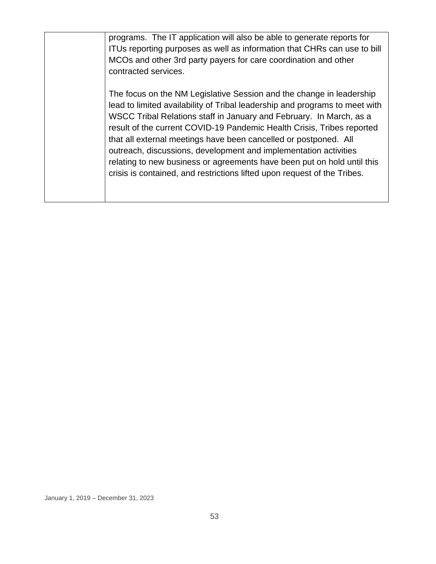programs. The IT application will also be able to generate reports for ITUs reporting purposes as well as information that CHRs can use to bill MCOs and other 3rd party payers for care coordination and other contracted services.

The focus on the NM Legislative Session and the change in leadership lead to limited availability of Tribal leadership and programs to meet with WSCC Tribal Relations staff in January and February. In March, as a result of the current COVID-19 Pandemic Health Crisis, Tribes reported that all external meetings have been cancelled or postponed. All outreach, discussions, development and implementation activities relating to new business or agreements have been put on hold until this crisis is contained, and restrictions lifted upon request of the Tribes.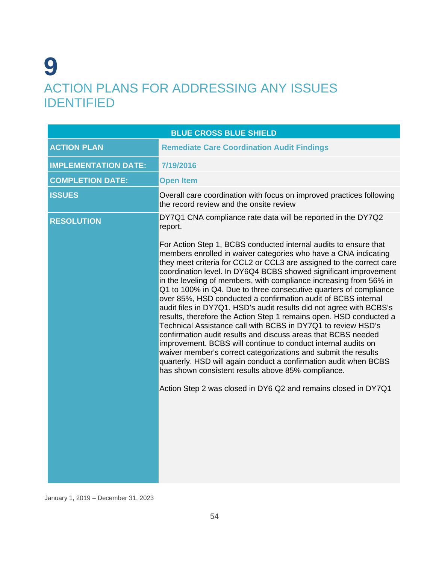# **9** ACTION PLANS FOR ADDRESSING ANY ISSUES IDENTIFIED

| <b>BLUE CROSS BLUE SHIELD</b> |                                                                                                                                                                                                                                                                                                                                                                                                                                                                                                                                                                                                                                                                                                                                                                                                                                                                                                                       |  |
|-------------------------------|-----------------------------------------------------------------------------------------------------------------------------------------------------------------------------------------------------------------------------------------------------------------------------------------------------------------------------------------------------------------------------------------------------------------------------------------------------------------------------------------------------------------------------------------------------------------------------------------------------------------------------------------------------------------------------------------------------------------------------------------------------------------------------------------------------------------------------------------------------------------------------------------------------------------------|--|
| <b>ACTION PLAN</b>            | <b>Remediate Care Coordination Audit Findings</b>                                                                                                                                                                                                                                                                                                                                                                                                                                                                                                                                                                                                                                                                                                                                                                                                                                                                     |  |
| <b>IMPLEMENTATION DATE:</b>   | 7/19/2016                                                                                                                                                                                                                                                                                                                                                                                                                                                                                                                                                                                                                                                                                                                                                                                                                                                                                                             |  |
| <b>COMPLETION DATE:</b>       | <b>Open Item</b>                                                                                                                                                                                                                                                                                                                                                                                                                                                                                                                                                                                                                                                                                                                                                                                                                                                                                                      |  |
| <b>ISSUES</b>                 | Overall care coordination with focus on improved practices following<br>the record review and the onsite review                                                                                                                                                                                                                                                                                                                                                                                                                                                                                                                                                                                                                                                                                                                                                                                                       |  |
| <b>RESOLUTION</b>             | DY7Q1 CNA compliance rate data will be reported in the DY7Q2<br>report.<br>For Action Step 1, BCBS conducted internal audits to ensure that<br>members enrolled in waiver categories who have a CNA indicating<br>they meet criteria for CCL2 or CCL3 are assigned to the correct care<br>coordination level. In DY6Q4 BCBS showed significant improvement<br>in the leveling of members, with compliance increasing from 56% in<br>Q1 to 100% in Q4. Due to three consecutive quarters of compliance<br>over 85%, HSD conducted a confirmation audit of BCBS internal<br>audit files in DY7Q1. HSD's audit results did not agree with BCBS's<br>results, therefore the Action Step 1 remains open. HSD conducted a<br>Technical Assistance call with BCBS in DY7Q1 to review HSD's<br>confirmation audit results and discuss areas that BCBS needed<br>improvement. BCBS will continue to conduct internal audits on |  |
|                               | waiver member's correct categorizations and submit the results<br>quarterly. HSD will again conduct a confirmation audit when BCBS<br>has shown consistent results above 85% compliance.<br>Action Step 2 was closed in DY6 Q2 and remains closed in DY7Q1                                                                                                                                                                                                                                                                                                                                                                                                                                                                                                                                                                                                                                                            |  |
|                               |                                                                                                                                                                                                                                                                                                                                                                                                                                                                                                                                                                                                                                                                                                                                                                                                                                                                                                                       |  |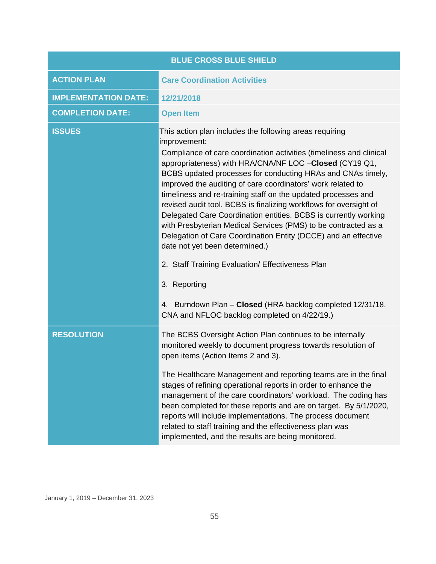| <b>BLUE CROSS BLUE SHIELD</b> |                                                                                                                                                                                                                                                                                                                                                                                                                                                                                                                                                                                                                                                                                                                                                                                                                                                                                                         |  |
|-------------------------------|---------------------------------------------------------------------------------------------------------------------------------------------------------------------------------------------------------------------------------------------------------------------------------------------------------------------------------------------------------------------------------------------------------------------------------------------------------------------------------------------------------------------------------------------------------------------------------------------------------------------------------------------------------------------------------------------------------------------------------------------------------------------------------------------------------------------------------------------------------------------------------------------------------|--|
| <b>ACTION PLAN</b>            | <b>Care Coordination Activities</b>                                                                                                                                                                                                                                                                                                                                                                                                                                                                                                                                                                                                                                                                                                                                                                                                                                                                     |  |
| <b>IMPLEMENTATION DATE:</b>   | 12/21/2018                                                                                                                                                                                                                                                                                                                                                                                                                                                                                                                                                                                                                                                                                                                                                                                                                                                                                              |  |
| <b>COMPLETION DATE:</b>       | <b>Open Item</b>                                                                                                                                                                                                                                                                                                                                                                                                                                                                                                                                                                                                                                                                                                                                                                                                                                                                                        |  |
| <b>ISSUES</b>                 | This action plan includes the following areas requiring<br>improvement:<br>Compliance of care coordination activities (timeliness and clinical<br>appropriateness) with HRA/CNA/NF LOC -Closed (CY19 Q1,<br>BCBS updated processes for conducting HRAs and CNAs timely,<br>improved the auditing of care coordinators' work related to<br>timeliness and re-training staff on the updated processes and<br>revised audit tool. BCBS is finalizing workflows for oversight of<br>Delegated Care Coordination entities. BCBS is currently working<br>with Presbyterian Medical Services (PMS) to be contracted as a<br>Delegation of Care Coordination Entity (DCCE) and an effective<br>date not yet been determined.)<br>2. Staff Training Evaluation/ Effectiveness Plan<br>3. Reporting<br>4. Burndown Plan - Closed (HRA backlog completed 12/31/18,<br>CNA and NFLOC backlog completed on 4/22/19.) |  |
| <b>RESOLUTION</b>             | The BCBS Oversight Action Plan continues to be internally<br>monitored weekly to document progress towards resolution of<br>open items (Action Items 2 and 3).<br>The Healthcare Management and reporting teams are in the final<br>stages of refining operational reports in order to enhance the<br>management of the care coordinators' workload. The coding has<br>been completed for these reports and are on target. By 5/1/2020,<br>reports will include implementations. The process document<br>related to staff training and the effectiveness plan was<br>implemented, and the results are being monitored.                                                                                                                                                                                                                                                                                  |  |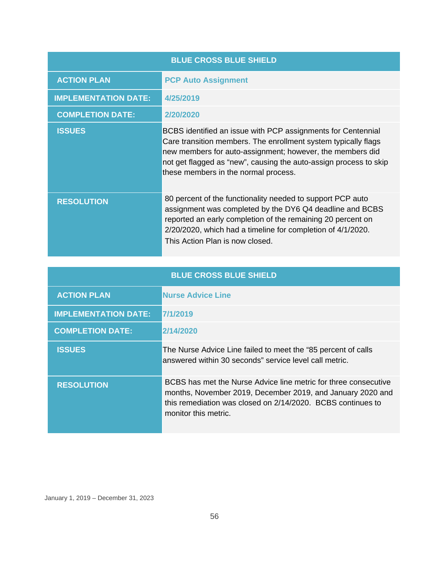| <b>BLUE CROSS BLUE SHIELD</b> |                                                                                                                                                                                                                                                                                                          |
|-------------------------------|----------------------------------------------------------------------------------------------------------------------------------------------------------------------------------------------------------------------------------------------------------------------------------------------------------|
| <b>ACTION PLAN</b>            | <b>PCP Auto Assignment</b>                                                                                                                                                                                                                                                                               |
| <b>IMPLEMENTATION DATE:</b>   | 4/25/2019                                                                                                                                                                                                                                                                                                |
| <b>COMPLETION DATE:</b>       | 2/20/2020                                                                                                                                                                                                                                                                                                |
| <b>ISSUES</b>                 | BCBS identified an issue with PCP assignments for Centennial<br>Care transition members. The enrollment system typically flags<br>new members for auto-assignment; however, the members did<br>not get flagged as "new", causing the auto-assign process to skip<br>these members in the normal process. |
| <b>RESOLUTION</b>             | 80 percent of the functionality needed to support PCP auto<br>assignment was completed by the DY6 Q4 deadline and BCBS<br>reported an early completion of the remaining 20 percent on<br>2/20/2020, which had a timeline for completion of 4/1/2020.<br>This Action Plan is now closed.                  |

| <b>BLUE CROSS BLUE SHIELD</b> |                                                                                                                                                                                                                      |
|-------------------------------|----------------------------------------------------------------------------------------------------------------------------------------------------------------------------------------------------------------------|
| <b>ACTION PLAN</b>            | <b>Nurse Advice Line</b>                                                                                                                                                                                             |
| <b>IMPLEMENTATION DATE:</b>   | 7/1/2019                                                                                                                                                                                                             |
| <b>COMPLETION DATE:</b>       | 2/14/2020                                                                                                                                                                                                            |
| <b>ISSUES</b>                 | The Nurse Advice Line failed to meet the "85 percent of calls"<br>answered within 30 seconds" service level call metric.                                                                                             |
| <b>RESOLUTION</b>             | BCBS has met the Nurse Advice line metric for three consecutive<br>months, November 2019, December 2019, and January 2020 and<br>this remediation was closed on 2/14/2020. BCBS continues to<br>monitor this metric. |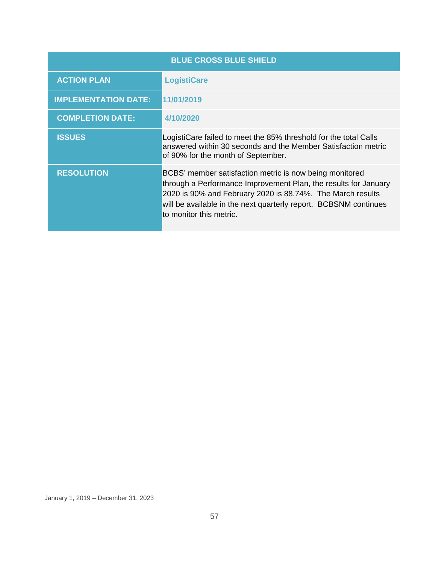| <b>BLUE CROSS BLUE SHIELD</b> |                                                                                                                                                                                                                                                                                         |
|-------------------------------|-----------------------------------------------------------------------------------------------------------------------------------------------------------------------------------------------------------------------------------------------------------------------------------------|
| <b>ACTION PLAN</b>            | <b>LogistiCare</b>                                                                                                                                                                                                                                                                      |
| <b>IMPLEMENTATION DATE:</b>   | 11/01/2019                                                                                                                                                                                                                                                                              |
| <b>COMPLETION DATE:</b>       | 4/10/2020                                                                                                                                                                                                                                                                               |
| <b>ISSUES</b>                 | LogistiCare failed to meet the 85% threshold for the total Calls<br>answered within 30 seconds and the Member Satisfaction metric<br>of 90% for the month of September.                                                                                                                 |
| <b>RESOLUTION</b>             | BCBS' member satisfaction metric is now being monitored<br>through a Performance Improvement Plan, the results for January<br>2020 is 90% and February 2020 is 88.74%. The March results<br>will be available in the next quarterly report. BCBSNM continues<br>to monitor this metric. |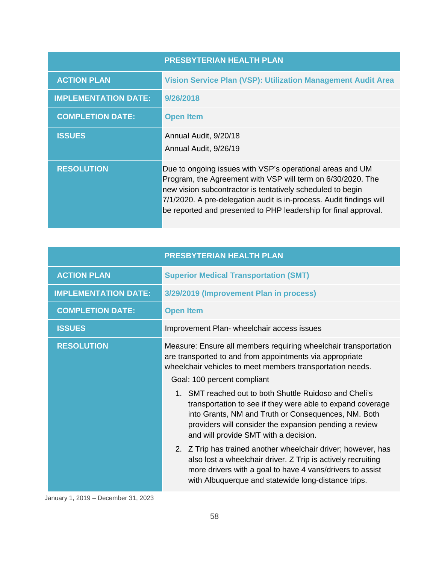|                             | <b>PRESBYTERIAN HEALTH PLAN</b>                                                                                                                                                                                                                                                                                                  |
|-----------------------------|----------------------------------------------------------------------------------------------------------------------------------------------------------------------------------------------------------------------------------------------------------------------------------------------------------------------------------|
| <b>ACTION PLAN</b>          | Vision Service Plan (VSP): Utilization Management Audit Area                                                                                                                                                                                                                                                                     |
| <b>IMPLEMENTATION DATE:</b> | 9/26/2018                                                                                                                                                                                                                                                                                                                        |
| <b>COMPLETION DATE:</b>     | <b>Open Item</b>                                                                                                                                                                                                                                                                                                                 |
| <b>ISSUES</b>               | Annual Audit, 9/20/18<br>Annual Audit, 9/26/19                                                                                                                                                                                                                                                                                   |
| <b>RESOLUTION</b>           | Due to ongoing issues with VSP's operational areas and UM<br>Program, the Agreement with VSP will term on 6/30/2020. The<br>new vision subcontractor is tentatively scheduled to begin<br>7/1/2020. A pre-delegation audit is in-process. Audit findings will<br>be reported and presented to PHP leadership for final approval. |

|                             | PRESBYTERIAN HEALTH PLAN                                                                                                                                                                                                                                                                                                                                                                                                                                                                                                                                                                                                                                                                                                                                       |
|-----------------------------|----------------------------------------------------------------------------------------------------------------------------------------------------------------------------------------------------------------------------------------------------------------------------------------------------------------------------------------------------------------------------------------------------------------------------------------------------------------------------------------------------------------------------------------------------------------------------------------------------------------------------------------------------------------------------------------------------------------------------------------------------------------|
| <b>ACTION PLAN</b>          | <b>Superior Medical Transportation (SMT)</b>                                                                                                                                                                                                                                                                                                                                                                                                                                                                                                                                                                                                                                                                                                                   |
| <b>IMPLEMENTATION DATE:</b> | 3/29/2019 (Improvement Plan in process)                                                                                                                                                                                                                                                                                                                                                                                                                                                                                                                                                                                                                                                                                                                        |
| <b>COMPLETION DATE:</b>     | <b>Open Item</b>                                                                                                                                                                                                                                                                                                                                                                                                                                                                                                                                                                                                                                                                                                                                               |
| <b>ISSUES</b>               | Improvement Plan- wheelchair access issues                                                                                                                                                                                                                                                                                                                                                                                                                                                                                                                                                                                                                                                                                                                     |
| <b>RESOLUTION</b>           | Measure: Ensure all members requiring wheelchair transportation<br>are transported to and from appointments via appropriate<br>wheelchair vehicles to meet members transportation needs.<br>Goal: 100 percent compliant<br>1. SMT reached out to both Shuttle Ruidoso and Cheli's<br>transportation to see if they were able to expand coverage<br>into Grants, NM and Truth or Consequences, NM. Both<br>providers will consider the expansion pending a review<br>and will provide SMT with a decision.<br>2. Z Trip has trained another wheelchair driver; however, has<br>also lost a wheelchair driver. Z Trip is actively recruiting<br>more drivers with a goal to have 4 vans/drivers to assist<br>with Albuquerque and statewide long-distance trips. |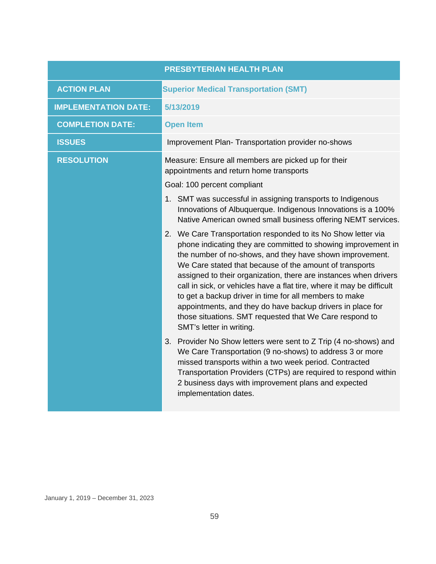|                             | <b>PRESBYTERIAN HEALTH PLAN</b>                                                                                                                                                                                                                                                                                                                                                                                                                                                                                                                                                                                   |
|-----------------------------|-------------------------------------------------------------------------------------------------------------------------------------------------------------------------------------------------------------------------------------------------------------------------------------------------------------------------------------------------------------------------------------------------------------------------------------------------------------------------------------------------------------------------------------------------------------------------------------------------------------------|
| <b>ACTION PLAN</b>          | <b>Superior Medical Transportation (SMT)</b>                                                                                                                                                                                                                                                                                                                                                                                                                                                                                                                                                                      |
| <b>IMPLEMENTATION DATE:</b> | 5/13/2019                                                                                                                                                                                                                                                                                                                                                                                                                                                                                                                                                                                                         |
| <b>COMPLETION DATE:</b>     | <b>Open Item</b>                                                                                                                                                                                                                                                                                                                                                                                                                                                                                                                                                                                                  |
| <b>ISSUES</b>               | Improvement Plan- Transportation provider no-shows                                                                                                                                                                                                                                                                                                                                                                                                                                                                                                                                                                |
| <b>RESOLUTION</b>           | Measure: Ensure all members are picked up for their<br>appointments and return home transports                                                                                                                                                                                                                                                                                                                                                                                                                                                                                                                    |
|                             | Goal: 100 percent compliant                                                                                                                                                                                                                                                                                                                                                                                                                                                                                                                                                                                       |
|                             | 1. SMT was successful in assigning transports to Indigenous<br>Innovations of Albuquerque. Indigenous Innovations is a 100%<br>Native American owned small business offering NEMT services.                                                                                                                                                                                                                                                                                                                                                                                                                       |
|                             | 2. We Care Transportation responded to its No Show letter via<br>phone indicating they are committed to showing improvement in<br>the number of no-shows, and they have shown improvement.<br>We Care stated that because of the amount of transports<br>assigned to their organization, there are instances when drivers<br>call in sick, or vehicles have a flat tire, where it may be difficult<br>to get a backup driver in time for all members to make<br>appointments, and they do have backup drivers in place for<br>those situations. SMT requested that We Care respond to<br>SMT's letter in writing. |
|                             | 3.<br>Provider No Show letters were sent to Z Trip (4 no-shows) and<br>We Care Transportation (9 no-shows) to address 3 or more<br>missed transports within a two week period. Contracted<br>Transportation Providers (CTPs) are required to respond within<br>2 business days with improvement plans and expected<br>implementation dates.                                                                                                                                                                                                                                                                       |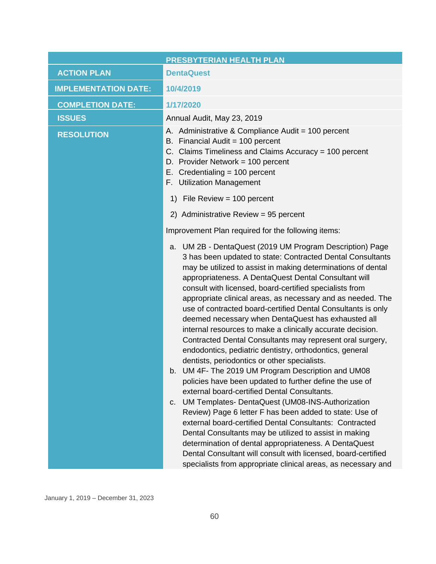|                             | PRESBYTERIAN HEALTH PLAN                                                                                                                                                                                                                                                                                                                                                                                                                                                                                                                                                                                                                                                                                                                                                                                                                                                                                                                                                                                                                                                                                                                                                                                                                                                                                                                         |
|-----------------------------|--------------------------------------------------------------------------------------------------------------------------------------------------------------------------------------------------------------------------------------------------------------------------------------------------------------------------------------------------------------------------------------------------------------------------------------------------------------------------------------------------------------------------------------------------------------------------------------------------------------------------------------------------------------------------------------------------------------------------------------------------------------------------------------------------------------------------------------------------------------------------------------------------------------------------------------------------------------------------------------------------------------------------------------------------------------------------------------------------------------------------------------------------------------------------------------------------------------------------------------------------------------------------------------------------------------------------------------------------|
| <b>ACTION PLAN</b>          | <b>DentaQuest</b>                                                                                                                                                                                                                                                                                                                                                                                                                                                                                                                                                                                                                                                                                                                                                                                                                                                                                                                                                                                                                                                                                                                                                                                                                                                                                                                                |
| <b>IMPLEMENTATION DATE:</b> | 10/4/2019                                                                                                                                                                                                                                                                                                                                                                                                                                                                                                                                                                                                                                                                                                                                                                                                                                                                                                                                                                                                                                                                                                                                                                                                                                                                                                                                        |
| <b>COMPLETION DATE:</b>     | 1/17/2020                                                                                                                                                                                                                                                                                                                                                                                                                                                                                                                                                                                                                                                                                                                                                                                                                                                                                                                                                                                                                                                                                                                                                                                                                                                                                                                                        |
| <b>ISSUES</b>               | Annual Audit, May 23, 2019                                                                                                                                                                                                                                                                                                                                                                                                                                                                                                                                                                                                                                                                                                                                                                                                                                                                                                                                                                                                                                                                                                                                                                                                                                                                                                                       |
| <b>RESOLUTION</b>           | A. Administrative & Compliance Audit = 100 percent<br>B. Financial Audit = 100 percent<br>C. Claims Timeliness and Claims Accuracy = 100 percent<br>D. Provider Network = 100 percent<br>E. Credentialing $= 100$ percent<br>F. Utilization Management                                                                                                                                                                                                                                                                                                                                                                                                                                                                                                                                                                                                                                                                                                                                                                                                                                                                                                                                                                                                                                                                                           |
|                             | 1) File Review = $100$ percent                                                                                                                                                                                                                                                                                                                                                                                                                                                                                                                                                                                                                                                                                                                                                                                                                                                                                                                                                                                                                                                                                                                                                                                                                                                                                                                   |
|                             | 2) Administrative Review = 95 percent                                                                                                                                                                                                                                                                                                                                                                                                                                                                                                                                                                                                                                                                                                                                                                                                                                                                                                                                                                                                                                                                                                                                                                                                                                                                                                            |
|                             | Improvement Plan required for the following items:                                                                                                                                                                                                                                                                                                                                                                                                                                                                                                                                                                                                                                                                                                                                                                                                                                                                                                                                                                                                                                                                                                                                                                                                                                                                                               |
|                             | UM 2B - DentaQuest (2019 UM Program Description) Page<br>a.<br>3 has been updated to state: Contracted Dental Consultants<br>may be utilized to assist in making determinations of dental<br>appropriateness. A DentaQuest Dental Consultant will<br>consult with licensed, board-certified specialists from<br>appropriate clinical areas, as necessary and as needed. The<br>use of contracted board-certified Dental Consultants is only<br>deemed necessary when DentaQuest has exhausted all<br>internal resources to make a clinically accurate decision.<br>Contracted Dental Consultants may represent oral surgery,<br>endodontics, pediatric dentistry, orthodontics, general<br>dentists, periodontics or other specialists.<br>UM 4F- The 2019 UM Program Description and UM08<br>b.<br>policies have been updated to further define the use of<br>external board-certified Dental Consultants.<br>UM Templates- DentaQuest (UM08-INS-Authorization<br>C.<br>Review) Page 6 letter F has been added to state: Use of<br>external board-certified Dental Consultants: Contracted<br>Dental Consultants may be utilized to assist in making<br>determination of dental appropriateness. A DentaQuest<br>Dental Consultant will consult with licensed, board-certified<br>specialists from appropriate clinical areas, as necessary and |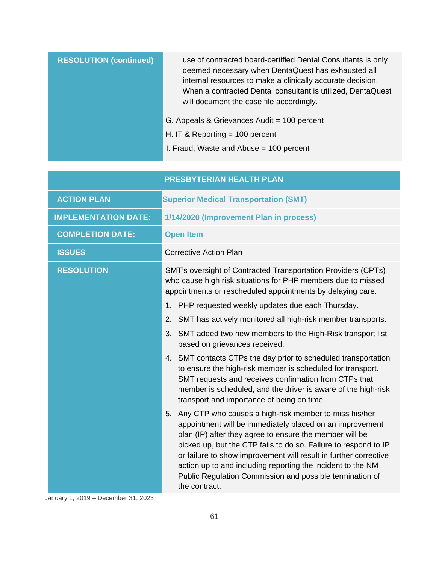| <b>RESOLUTION (continued)</b> | use of contracted board-certified Dental Consultants is only<br>deemed necessary when DentaQuest has exhausted all<br>internal resources to make a clinically accurate decision.<br>When a contracted Dental consultant is utilized, DentaQuest<br>will document the case file accordingly. |
|-------------------------------|---------------------------------------------------------------------------------------------------------------------------------------------------------------------------------------------------------------------------------------------------------------------------------------------|
|                               | G. Appeals & Grievances Audit = 100 percent                                                                                                                                                                                                                                                 |
|                               | H. IT & Reporting $=$ 100 percent                                                                                                                                                                                                                                                           |
|                               | I. Fraud, Waste and Abuse = 100 percent                                                                                                                                                                                                                                                     |

|                             | <b>PRESBYTERIAN HEALTH PLAN</b>                                                                                                                                                                                                                                                                                                                                                                                                                                       |
|-----------------------------|-----------------------------------------------------------------------------------------------------------------------------------------------------------------------------------------------------------------------------------------------------------------------------------------------------------------------------------------------------------------------------------------------------------------------------------------------------------------------|
| <b>ACTION PLAN</b>          | <b>Superior Medical Transportation (SMT)</b>                                                                                                                                                                                                                                                                                                                                                                                                                          |
| <b>IMPLEMENTATION DATE:</b> | 1/14/2020 (Improvement Plan in process)                                                                                                                                                                                                                                                                                                                                                                                                                               |
| <b>COMPLETION DATE:</b>     | <b>Open Item</b>                                                                                                                                                                                                                                                                                                                                                                                                                                                      |
| <b>ISSUES</b>               | <b>Corrective Action Plan</b>                                                                                                                                                                                                                                                                                                                                                                                                                                         |
| <b>RESOLUTION</b>           | SMT's oversight of Contracted Transportation Providers (CPTs)<br>who cause high risk situations for PHP members due to missed<br>appointments or rescheduled appointments by delaying care.                                                                                                                                                                                                                                                                           |
|                             | PHP requested weekly updates due each Thursday.<br>1.                                                                                                                                                                                                                                                                                                                                                                                                                 |
|                             | SMT has actively monitored all high-risk member transports.<br>2.                                                                                                                                                                                                                                                                                                                                                                                                     |
|                             | SMT added two new members to the High-Risk transport list<br>3.<br>based on grievances received.                                                                                                                                                                                                                                                                                                                                                                      |
|                             | 4. SMT contacts CTPs the day prior to scheduled transportation<br>to ensure the high-risk member is scheduled for transport.<br>SMT requests and receives confirmation from CTPs that<br>member is scheduled, and the driver is aware of the high-risk<br>transport and importance of being on time.                                                                                                                                                                  |
|                             | Any CTP who causes a high-risk member to miss his/her<br>5.<br>appointment will be immediately placed on an improvement<br>plan (IP) after they agree to ensure the member will be<br>picked up, but the CTP fails to do so. Failure to respond to IP<br>or failure to show improvement will result in further corrective<br>action up to and including reporting the incident to the NM<br>Public Regulation Commission and possible termination of<br>the contract. |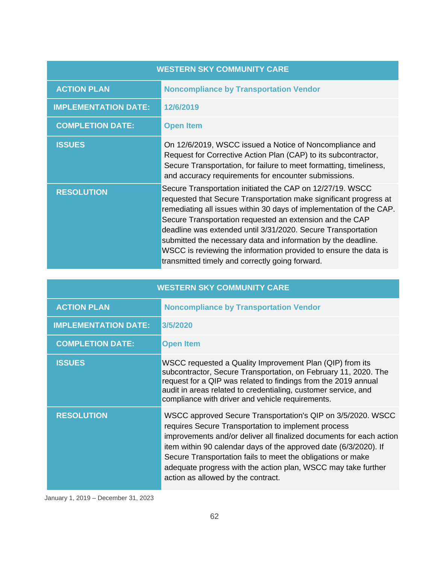| <b>WESTERN SKY COMMUNITY CARE</b> |                                                                                                                                                                                                                                                                                                                                                                                                                                                                                                                           |  |  |
|-----------------------------------|---------------------------------------------------------------------------------------------------------------------------------------------------------------------------------------------------------------------------------------------------------------------------------------------------------------------------------------------------------------------------------------------------------------------------------------------------------------------------------------------------------------------------|--|--|
| <b>ACTION PLAN</b>                | <b>Noncompliance by Transportation Vendor</b>                                                                                                                                                                                                                                                                                                                                                                                                                                                                             |  |  |
| <b>IMPLEMENTATION DATE:</b>       | 12/6/2019                                                                                                                                                                                                                                                                                                                                                                                                                                                                                                                 |  |  |
| <b>COMPLETION DATE:</b>           | <b>Open Item</b>                                                                                                                                                                                                                                                                                                                                                                                                                                                                                                          |  |  |
| <b>ISSUES</b>                     | On 12/6/2019, WSCC issued a Notice of Noncompliance and<br>Request for Corrective Action Plan (CAP) to its subcontractor,<br>Secure Transportation, for failure to meet formatting, timeliness,<br>and accuracy requirements for encounter submissions.                                                                                                                                                                                                                                                                   |  |  |
| <b>RESOLUTION</b>                 | Secure Transportation initiated the CAP on 12/27/19. WSCC<br>requested that Secure Transportation make significant progress at<br>remediating all issues within 30 days of implementation of the CAP.<br>Secure Transportation requested an extension and the CAP<br>deadline was extended until 3/31/2020. Secure Transportation<br>submitted the necessary data and information by the deadline.<br>WSCC is reviewing the information provided to ensure the data is<br>transmitted timely and correctly going forward. |  |  |

|                             | <b>WESTERN SKY COMMUNITY CARE</b>                                                                                                                                                                                                                                                                                                                                                                                                   |
|-----------------------------|-------------------------------------------------------------------------------------------------------------------------------------------------------------------------------------------------------------------------------------------------------------------------------------------------------------------------------------------------------------------------------------------------------------------------------------|
| <b>ACTION PLAN</b>          | <b>Noncompliance by Transportation Vendor</b>                                                                                                                                                                                                                                                                                                                                                                                       |
| <b>IMPLEMENTATION DATE:</b> | 3/5/2020                                                                                                                                                                                                                                                                                                                                                                                                                            |
| <b>COMPLETION DATE:</b>     | <b>Open Item</b>                                                                                                                                                                                                                                                                                                                                                                                                                    |
| <b>ISSUES</b>               | WSCC requested a Quality Improvement Plan (QIP) from its<br>subcontractor, Secure Transportation, on February 11, 2020. The<br>request for a QIP was related to findings from the 2019 annual<br>audit in areas related to credentialing, customer service, and<br>compliance with driver and vehicle requirements.                                                                                                                 |
| <b>RESOLUTION</b>           | WSCC approved Secure Transportation's QIP on 3/5/2020. WSCC<br>requires Secure Transportation to implement process<br>improvements and/or deliver all finalized documents for each action<br>item within 90 calendar days of the approved date (6/3/2020). If<br>Secure Transportation fails to meet the obligations or make<br>adequate progress with the action plan, WSCC may take further<br>action as allowed by the contract. |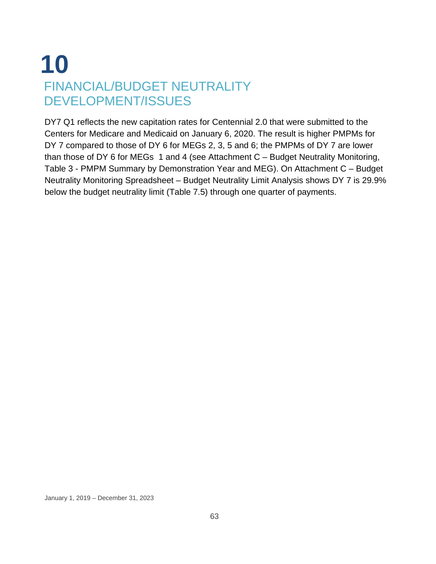# **10** FINANCIAL/BUDGET NEUTRALITY DEVELOPMENT/ISSUES

DY7 Q1 reflects the new capitation rates for Centennial 2.0 that were submitted to the Centers for Medicare and Medicaid on January 6, 2020. The result is higher PMPMs for DY 7 compared to those of DY 6 for MEGs 2, 3, 5 and 6; the PMPMs of DY 7 are lower than those of DY 6 for MEGs 1 and 4 (see Attachment C – Budget Neutrality Monitoring, Table 3 - PMPM Summary by Demonstration Year and MEG). On Attachment C – Budget Neutrality Monitoring Spreadsheet – Budget Neutrality Limit Analysis shows DY 7 is 29.9% below the budget neutrality limit (Table 7.5) through one quarter of payments.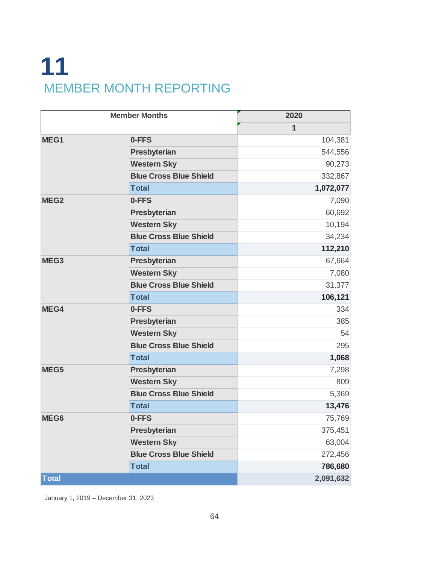# **11** MEMBER MONTH REPORTING

| <b>Member Months</b> |                               | 2020         |
|----------------------|-------------------------------|--------------|
|                      |                               | $\mathbf{1}$ |
| MEG1                 | 0-FFS                         | 104,381      |
|                      | Presbyterian                  | 544,556      |
|                      | <b>Western Sky</b>            | 90,273       |
|                      | <b>Blue Cross Blue Shield</b> | 332,867      |
|                      | <b>Total</b>                  | 1,072,077    |
| MEG <sub>2</sub>     | 0-FFS                         | 7,090        |
|                      | Presbyterian                  | 60,692       |
|                      | <b>Western Sky</b>            | 10,194       |
|                      | <b>Blue Cross Blue Shield</b> | 34,234       |
|                      | <b>Total</b>                  | 112,210      |
| MEG3                 | <b>Presbyterian</b>           | 67,664       |
|                      | <b>Western Sky</b>            | 7,080        |
|                      | <b>Blue Cross Blue Shield</b> | 31,377       |
|                      | <b>Total</b>                  | 106,121      |
| MEG4                 | 0-FFS                         | 334          |
|                      | Presbyterian                  | 385          |
|                      | <b>Western Sky</b>            | 54           |
|                      | <b>Blue Cross Blue Shield</b> | 295          |
|                      | <b>Total</b>                  | 1,068        |
| MEG5                 | Presbyterian                  | 7,298        |
|                      | <b>Western Sky</b>            | 809          |
|                      | <b>Blue Cross Blue Shield</b> | 5,369        |
|                      | <b>Total</b>                  | 13,476       |
| MEG6                 | 0-FFS                         | 75,769       |
|                      | Presbyterian                  | 375,451      |
|                      | <b>Western Sky</b>            | 63,004       |
|                      | <b>Blue Cross Blue Shield</b> | 272,456      |
|                      | <b>Total</b>                  | 786,680      |
| <b>Total</b>         |                               | 2,091,632    |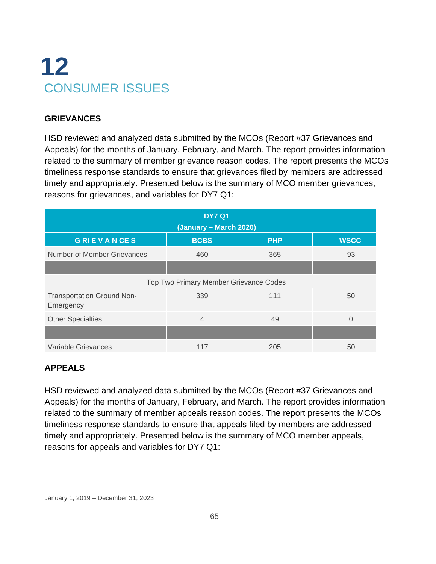# **12** CONSUMER ISSUES

### **GRIEVANCES**

HSD reviewed and analyzed data submitted by the MCOs (Report #37 Grievances and Appeals) for the months of January, February, and March. The report provides information related to the summary of member grievance reason codes. The report presents the MCOs timeliness response standards to ensure that grievances filed by members are addressed timely and appropriately. Presented below is the summary of MCO member grievances, reasons for grievances, and variables for DY7 Q1:

|                                                | <b>DY7 Q1</b><br>(January – March 2020) |            |             |
|------------------------------------------------|-----------------------------------------|------------|-------------|
| <b>GRIEVANCES</b>                              | <b>BCBS</b>                             | <b>PHP</b> | <b>WSCC</b> |
| Number of Member Grievances                    | 460                                     | 365        | 93          |
|                                                |                                         |            |             |
|                                                | Top Two Primary Member Grievance Codes  |            |             |
| <b>Transportation Ground Non-</b><br>Emergency | 339                                     | 111        | 50          |
| <b>Other Specialties</b>                       | 4                                       | 49         | 0           |
|                                                |                                         |            |             |
| Variable Grievances                            | 117                                     | 205        | 50          |

# **APPEALS**

HSD reviewed and analyzed data submitted by the MCOs (Report #37 Grievances and Appeals) for the months of January, February, and March. The report provides information related to the summary of member appeals reason codes. The report presents the MCOs timeliness response standards to ensure that appeals filed by members are addressed timely and appropriately. Presented below is the summary of MCO member appeals, reasons for appeals and variables for DY7 Q1: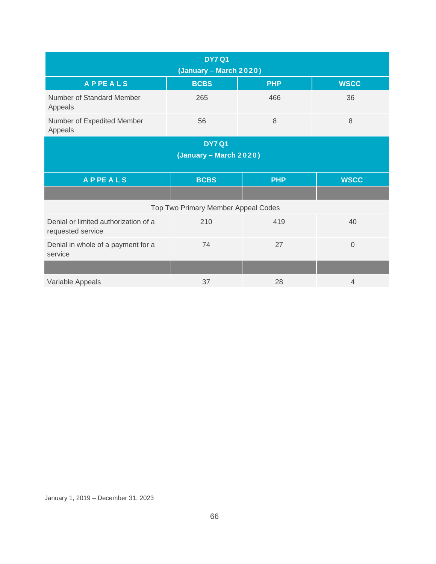| <b>DY7 Q1</b><br>(January - March 2020)                   |                                     |            |                |  |  |
|-----------------------------------------------------------|-------------------------------------|------------|----------------|--|--|
| <b>APPEALS</b>                                            | <b>BCBS</b>                         | <b>PHP</b> | <b>WSCC</b>    |  |  |
| Number of Standard Member<br>Appeals                      | 265                                 | 466        | 36             |  |  |
| Number of Expedited Member<br>Appeals                     | 56                                  | 8          | 8              |  |  |
| <b>DY7 Q1</b><br>(January - March 2020)                   |                                     |            |                |  |  |
| <b>APPEALS</b>                                            | <b>BCBS</b>                         | <b>PHP</b> | <b>WSCC</b>    |  |  |
|                                                           |                                     |            |                |  |  |
|                                                           | Top Two Primary Member Appeal Codes |            |                |  |  |
| Denial or limited authorization of a<br>requested service | 210                                 | 419        | 40             |  |  |
| Denial in whole of a payment for a<br>service             | 74                                  | 27         | $\overline{0}$ |  |  |
|                                                           |                                     |            |                |  |  |
| Variable Appeals                                          | 37                                  | 28         | $\overline{4}$ |  |  |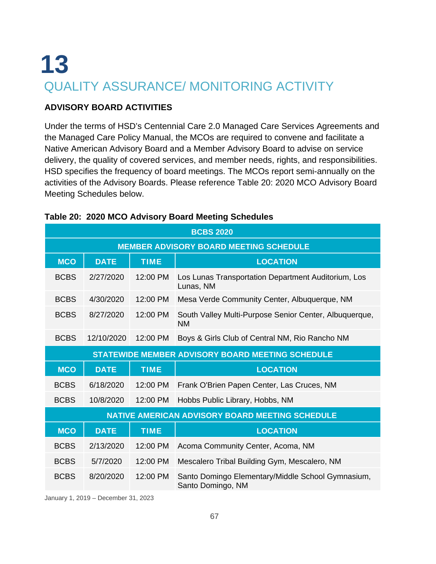# **13** QUALITY ASSURANCE/ MONITORING ACTIVITY

#### **ADVISORY BOARD ACTIVITIES**

Under the terms of HSD's Centennial Care 2.0 Managed Care Services Agreements and the Managed Care Policy Manual, the MCOs are required to convene and facilitate a Native American Advisory Board and a Member Advisory Board to advise on service delivery, the quality of covered services, and member needs, rights, and responsibilities. HSD specifies the frequency of board meetings. The MCOs report semi-annually on the activities of the Advisory Boards. Please reference Table 20: 2020 MCO Advisory Board Meeting Schedules below.

| <b>BCBS 2020</b> |                                               |             |                                                                        |  |  |
|------------------|-----------------------------------------------|-------------|------------------------------------------------------------------------|--|--|
|                  | <b>MEMBER ADVISORY BOARD MEETING SCHEDULE</b> |             |                                                                        |  |  |
| <b>MCO</b>       | <b>DATE</b>                                   | <b>TIME</b> | <b>LOCATION</b>                                                        |  |  |
| <b>BCBS</b>      | 2/27/2020                                     | 12:00 PM    | Los Lunas Transportation Department Auditorium, Los<br>Lunas, NM       |  |  |
| <b>BCBS</b>      | 4/30/2020                                     | 12:00 PM    | Mesa Verde Community Center, Albuquerque, NM                           |  |  |
| <b>BCBS</b>      | 8/27/2020                                     | 12:00 PM    | South Valley Multi-Purpose Senior Center, Albuquerque,<br>NM.          |  |  |
| <b>BCBS</b>      | 12/10/2020                                    | 12:00 PM    | Boys & Girls Club of Central NM, Rio Rancho NM                         |  |  |
|                  |                                               |             | <b>STATEWIDE MEMBER ADVISORY BOARD MEETING SCHEDULE</b>                |  |  |
| <b>MCO</b>       | <b>DATE</b>                                   | <b>TIME</b> | <b>LOCATION</b>                                                        |  |  |
| <b>BCBS</b>      | 6/18/2020                                     | 12:00 PM    | Frank O'Brien Papen Center, Las Cruces, NM                             |  |  |
| <b>BCBS</b>      | 10/8/2020                                     | 12:00 PM    | Hobbs Public Library, Hobbs, NM                                        |  |  |
|                  |                                               |             | <b>NATIVE AMERICAN ADVISORY BOARD MEETING SCHEDULE</b>                 |  |  |
| <b>MCO</b>       | <b>DATE</b>                                   | <b>TIME</b> | <b>LOCATION</b>                                                        |  |  |
| <b>BCBS</b>      | 2/13/2020                                     | 12:00 PM    | Acoma Community Center, Acoma, NM                                      |  |  |
| <b>BCBS</b>      | 5/7/2020                                      | 12:00 PM    | Mescalero Tribal Building Gym, Mescalero, NM                           |  |  |
| <b>BCBS</b>      | 8/20/2020                                     | 12:00 PM    | Santo Domingo Elementary/Middle School Gymnasium,<br>Santo Domingo, NM |  |  |

#### **Table 20: 2020 MCO Advisory Board Meeting Schedules**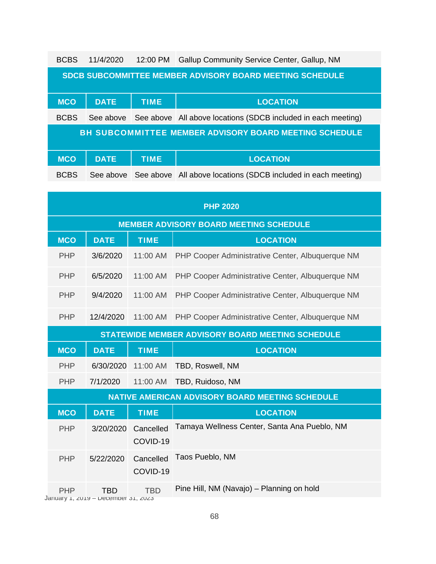| <b>BCBS</b> | 11/4/2020   | 12:00 PM    | Gallup Community Service Center, Gallup, NM                     |
|-------------|-------------|-------------|-----------------------------------------------------------------|
|             |             |             | <b>SDCB SUBCOMMITTEE MEMBER ADVISORY BOARD MEETING SCHEDULE</b> |
| <b>MCO</b>  | <b>DATE</b> | <b>TIME</b> | <b>LOCATION</b>                                                 |
| <b>BCBS</b> | See above   |             | See above All above locations (SDCB included in each meeting)   |
|             |             |             | <b>BH SUBCOMMITTEE MEMBER ADVISORY BOARD MEETING SCHEDULE</b>   |
|             |             |             |                                                                 |
| <b>MCO</b>  | <b>DATE</b> | <b>TIME</b> | <b>LOCATION</b>                                                 |
| <b>BCBS</b> | See above   |             | See above All above locations (SDCB included in each meeting)   |

|            | <b>PHP 2020</b>                                   |                       |                                                         |  |  |
|------------|---------------------------------------------------|-----------------------|---------------------------------------------------------|--|--|
|            | <b>MEMBER ADVISORY BOARD MEETING SCHEDULE</b>     |                       |                                                         |  |  |
| <b>MCO</b> | <b>DATE</b>                                       | <b>TIME</b>           | <b>LOCATION</b>                                         |  |  |
| <b>PHP</b> | 3/6/2020                                          | 11:00 AM              | PHP Cooper Administrative Center, Albuquerque NM        |  |  |
| <b>PHP</b> | 6/5/2020                                          | 11:00 AM              | PHP Cooper Administrative Center, Albuquerque NM        |  |  |
| <b>PHP</b> | 9/4/2020                                          | 11:00 AM              | PHP Cooper Administrative Center, Albuquerque NM        |  |  |
| <b>PHP</b> | 12/4/2020                                         | 11:00 AM              | PHP Cooper Administrative Center, Albuquerque NM        |  |  |
|            |                                                   |                       | <b>STATEWIDE MEMBER ADVISORY BOARD MEETING SCHEDULE</b> |  |  |
| <b>MCO</b> | <b>DATE</b>                                       | <b>TIME</b>           | <b>LOCATION</b>                                         |  |  |
| <b>PHP</b> | 6/30/2020                                         | 11:00 AM              | TBD, Roswell, NM                                        |  |  |
| <b>PHP</b> | 7/1/2020                                          | 11:00 AM              | TBD, Ruidoso, NM                                        |  |  |
|            |                                                   |                       | <b>NATIVE AMERICAN ADVISORY BOARD MEETING SCHEDULE</b>  |  |  |
| <b>MCO</b> | <b>DATE</b>                                       | <b>TIME</b>           | <b>LOCATION</b>                                         |  |  |
| <b>PHP</b> | 3/20/2020                                         | Cancelled<br>COVID-19 | Tamaya Wellness Center, Santa Ana Pueblo, NM            |  |  |
| <b>PHP</b> | 5/22/2020                                         | Cancelled<br>COVID-19 | Taos Pueblo, NM                                         |  |  |
| <b>PHP</b> | <b>TBD</b><br>January 1, zu19 – December 31, zuz3 | <b>TBD</b>            | Pine Hill, NM (Navajo) - Planning on hold               |  |  |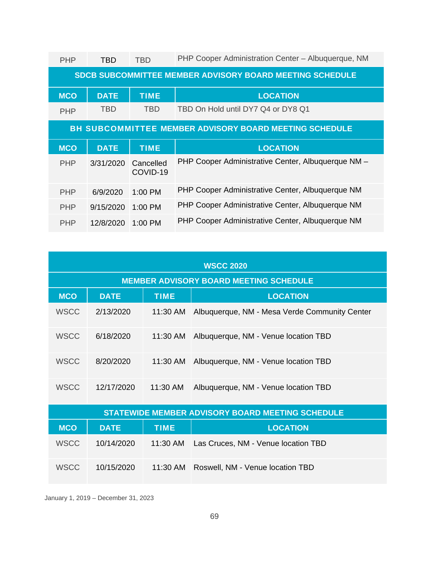| <b>PHP</b> | TBD                                                             | TBD                   | PHP Cooper Administration Center - Albuquerque, NM            |  |  |
|------------|-----------------------------------------------------------------|-----------------------|---------------------------------------------------------------|--|--|
|            | <b>SDCB SUBCOMMITTEE MEMBER ADVISORY BOARD MEETING SCHEDULE</b> |                       |                                                               |  |  |
| <b>MCO</b> | <b>DATE</b>                                                     | <b>TIME</b>           | <b>LOCATION</b>                                               |  |  |
| <b>PHP</b> | TBD                                                             | <b>TBD</b>            | TBD On Hold until DY7 Q4 or DY8 Q1                            |  |  |
|            |                                                                 |                       | <b>BH SUBCOMMITTEE MEMBER ADVISORY BOARD MEETING SCHEDULE</b> |  |  |
|            |                                                                 |                       |                                                               |  |  |
| <b>MCO</b> | <b>DATE</b>                                                     | <b>TIME</b>           | <b>LOCATION</b>                                               |  |  |
| <b>PHP</b> | 3/31/2020                                                       | Cancelled<br>COVID-19 | PHP Cooper Administrative Center, Albuquerque NM -            |  |  |
| <b>PHP</b> | 6/9/2020                                                        | $1:00 \text{ PM}$     | PHP Cooper Administrative Center, Albuquerque NM              |  |  |
| <b>PHP</b> | 9/15/2020                                                       | $1:00$ PM             | PHP Cooper Administrative Center, Albuquerque NM              |  |  |

| <b>WSCC 2020</b> |                                               |             |                                                         |  |  |
|------------------|-----------------------------------------------|-------------|---------------------------------------------------------|--|--|
|                  | <b>MEMBER ADVISORY BOARD MEETING SCHEDULE</b> |             |                                                         |  |  |
| <b>MCO</b>       | <b>DATE</b>                                   | <b>TIME</b> | <b>LOCATION</b>                                         |  |  |
| <b>WSCC</b>      | 2/13/2020                                     | 11:30 AM    | Albuquerque, NM - Mesa Verde Community Center           |  |  |
| <b>WSCC</b>      | 6/18/2020                                     | 11:30 AM    | Albuquerque, NM - Venue location TBD                    |  |  |
| <b>WSCC</b>      | 8/20/2020                                     | 11:30 AM    | Albuquerque, NM - Venue location TBD                    |  |  |
| <b>WSCC</b>      | 12/17/2020                                    | 11:30 AM    | Albuquerque, NM - Venue location TBD                    |  |  |
|                  |                                               |             | <b>STATEWIDE MEMBER ADVISORY BOARD MEETING SCHEDULE</b> |  |  |
| <b>MCO</b>       | <b>DATE</b>                                   | <b>TIME</b> | <b>LOCATION</b>                                         |  |  |
| <b>WSCC</b>      | 10/14/2020                                    | 11:30 AM    | Las Cruces, NM - Venue location TBD                     |  |  |
| <b>WSCC</b>      | 10/15/2020                                    | 11:30 AM    | Roswell, NM - Venue location TBD                        |  |  |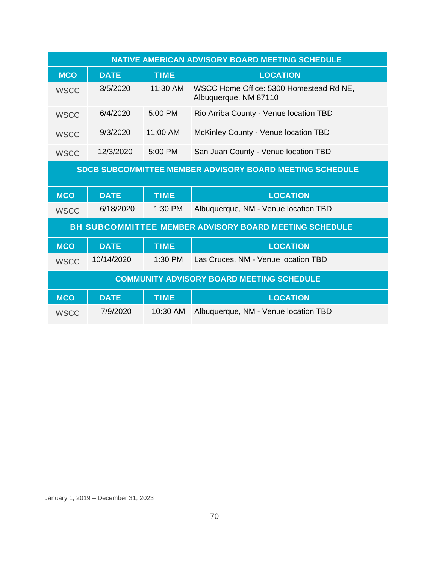| <b>NATIVE AMERICAN ADVISORY BOARD MEETING SCHEDULE</b>          |             |             |                                                                  |  |
|-----------------------------------------------------------------|-------------|-------------|------------------------------------------------------------------|--|
| <b>MCO</b>                                                      | <b>DATE</b> | <b>TIME</b> | <b>LOCATION</b>                                                  |  |
| <b>WSCC</b>                                                     | 3/5/2020    | 11:30 AM    | WSCC Home Office: 5300 Homestead Rd NE,<br>Albuquerque, NM 87110 |  |
| <b>WSCC</b>                                                     | 6/4/2020    | 5:00 PM     | Rio Arriba County - Venue location TBD                           |  |
| <b>WSCC</b>                                                     | 9/3/2020    | 11:00 AM    | McKinley County - Venue location TBD                             |  |
| <b>WSCC</b>                                                     | 12/3/2020   | 5:00 PM     | San Juan County - Venue location TBD                             |  |
| <b>SDCB SUBCOMMITTEE MEMBER ADVISORY BOARD MEETING SCHEDULE</b> |             |             |                                                                  |  |
|                                                                 |             |             |                                                                  |  |
| <b>MCO</b>                                                      | <b>DATE</b> | <b>TIME</b> | <b>LOCATION</b>                                                  |  |
| <b>WSCC</b>                                                     | 6/18/2020   | $1:30$ PM   | Albuquerque, NM - Venue location TBD                             |  |
|                                                                 |             |             | <b>BH SUBCOMMITTEE MEMBER ADVISORY BOARD MEETING SCHEDULE</b>    |  |
| <b>MCO</b>                                                      | <b>DATE</b> | <b>TIME</b> | <b>LOCATION</b>                                                  |  |
| <b>WSCC</b>                                                     | 10/14/2020  | 1:30 PM     | Las Cruces, NM - Venue location TBD                              |  |
|                                                                 |             |             | <b>COMMUNITY ADVISORY BOARD MEETING SCHEDULE</b>                 |  |
| <b>MCO</b>                                                      | <b>DATE</b> | <b>TIME</b> | <b>LOCATION</b>                                                  |  |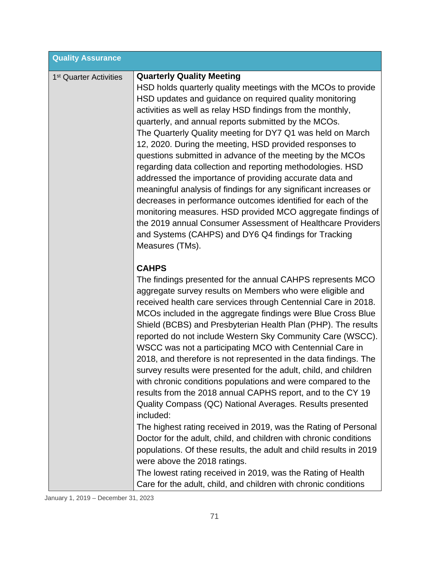| <b>Quality Assurance</b>           |                                                                                                                                                                                                                                                                                                                                                                                                                                                                                                                                                                                                                                                                                                                                                                                                                                                                                                                                                                                                                                                                                                                                                                                                        |
|------------------------------------|--------------------------------------------------------------------------------------------------------------------------------------------------------------------------------------------------------------------------------------------------------------------------------------------------------------------------------------------------------------------------------------------------------------------------------------------------------------------------------------------------------------------------------------------------------------------------------------------------------------------------------------------------------------------------------------------------------------------------------------------------------------------------------------------------------------------------------------------------------------------------------------------------------------------------------------------------------------------------------------------------------------------------------------------------------------------------------------------------------------------------------------------------------------------------------------------------------|
| 1 <sup>st</sup> Quarter Activities | <b>Quarterly Quality Meeting</b><br>HSD holds quarterly quality meetings with the MCOs to provide<br>HSD updates and guidance on required quality monitoring<br>activities as well as relay HSD findings from the monthly,<br>quarterly, and annual reports submitted by the MCOs.<br>The Quarterly Quality meeting for DY7 Q1 was held on March<br>12, 2020. During the meeting, HSD provided responses to<br>questions submitted in advance of the meeting by the MCOs<br>regarding data collection and reporting methodologies. HSD<br>addressed the importance of providing accurate data and<br>meaningful analysis of findings for any significant increases or<br>decreases in performance outcomes identified for each of the<br>monitoring measures. HSD provided MCO aggregate findings of<br>the 2019 annual Consumer Assessment of Healthcare Providers<br>and Systems (CAHPS) and DY6 Q4 findings for Tracking<br>Measures (TMs).                                                                                                                                                                                                                                                         |
|                                    | <b>CAHPS</b><br>The findings presented for the annual CAHPS represents MCO<br>aggregate survey results on Members who were eligible and<br>received health care services through Centennial Care in 2018.<br>MCOs included in the aggregate findings were Blue Cross Blue<br>Shield (BCBS) and Presbyterian Health Plan (PHP). The results<br>reported do not include Western Sky Community Care (WSCC).<br>WSCC was not a participating MCO with Centennial Care in<br>2018, and therefore is not represented in the data findings. The<br>survey results were presented for the adult, child, and children<br>with chronic conditions populations and were compared to the<br>results from the 2018 annual CAPHS report, and to the CY 19<br>Quality Compass (QC) National Averages. Results presented<br>included:<br>The highest rating received in 2019, was the Rating of Personal<br>Doctor for the adult, child, and children with chronic conditions<br>populations. Of these results, the adult and child results in 2019<br>were above the 2018 ratings.<br>The lowest rating received in 2019, was the Rating of Health<br>Care for the adult, child, and children with chronic conditions |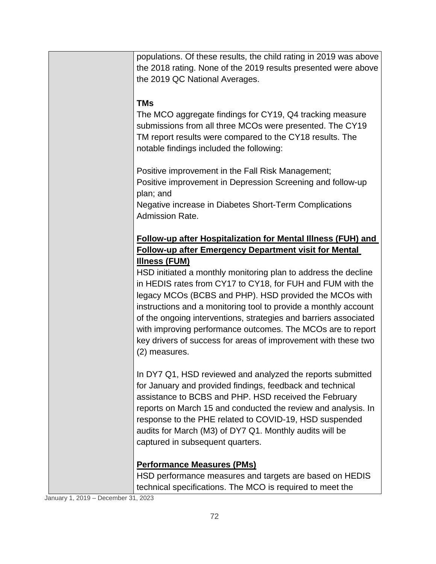| populations. Of these results, the child rating in 2019 was above                                                            |
|------------------------------------------------------------------------------------------------------------------------------|
| the 2018 rating. None of the 2019 results presented were above<br>the 2019 QC National Averages.                             |
|                                                                                                                              |
| <b>TMs</b>                                                                                                                   |
| The MCO aggregate findings for CY19, Q4 tracking measure                                                                     |
| submissions from all three MCOs were presented. The CY19<br>TM report results were compared to the CY18 results. The         |
| notable findings included the following:                                                                                     |
|                                                                                                                              |
| Positive improvement in the Fall Risk Management;                                                                            |
| Positive improvement in Depression Screening and follow-up<br>plan; and                                                      |
| Negative increase in Diabetes Short-Term Complications                                                                       |
| Admission Rate.                                                                                                              |
|                                                                                                                              |
| Follow-up after Hospitalization for Mental Illness (FUH) and<br><b>Follow-up after Emergency Department visit for Mental</b> |
| <b>Illness (FUM)</b>                                                                                                         |
| HSD initiated a monthly monitoring plan to address the decline                                                               |
| in HEDIS rates from CY17 to CY18, for FUH and FUM with the                                                                   |
| legacy MCOs (BCBS and PHP). HSD provided the MCOs with<br>instructions and a monitoring tool to provide a monthly account    |
| of the ongoing interventions, strategies and barriers associated                                                             |
| with improving performance outcomes. The MCOs are to report                                                                  |
| key drivers of success for areas of improvement with these two                                                               |
| (2) measures.                                                                                                                |
| In DY7 Q1, HSD reviewed and analyzed the reports submitted                                                                   |
| for January and provided findings, feedback and technical                                                                    |
| assistance to BCBS and PHP. HSD received the February                                                                        |
| reports on March 15 and conducted the review and analysis. In<br>response to the PHE related to COVID-19, HSD suspended      |
| audits for March (M3) of DY7 Q1. Monthly audits will be                                                                      |
| captured in subsequent quarters.                                                                                             |
|                                                                                                                              |
| <b>Performance Measures (PMs)</b><br>HSD performance measures and targets are based on HEDIS                                 |
| technical specifications. The MCO is required to meet the                                                                    |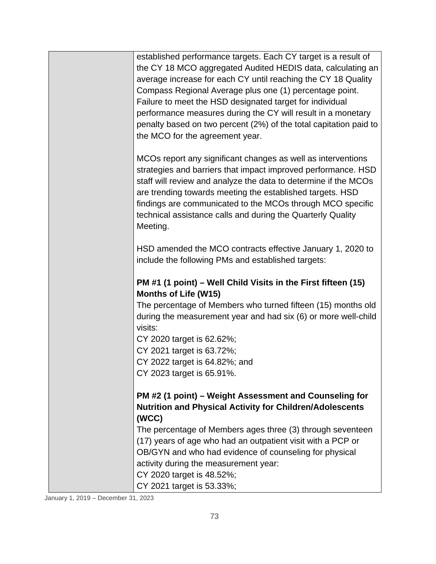| established performance targets. Each CY target is a result of<br>the CY 18 MCO aggregated Audited HEDIS data, calculating an<br>average increase for each CY until reaching the CY 18 Quality<br>Compass Regional Average plus one (1) percentage point.<br>Failure to meet the HSD designated target for individual<br>performance measures during the CY will result in a monetary<br>penalty based on two percent (2%) of the total capitation paid to<br>the MCO for the agreement year. |
|-----------------------------------------------------------------------------------------------------------------------------------------------------------------------------------------------------------------------------------------------------------------------------------------------------------------------------------------------------------------------------------------------------------------------------------------------------------------------------------------------|
| MCOs report any significant changes as well as interventions<br>strategies and barriers that impact improved performance. HSD<br>staff will review and analyze the data to determine if the MCOs<br>are trending towards meeting the established targets. HSD<br>findings are communicated to the MCOs through MCO specific<br>technical assistance calls and during the Quarterly Quality<br>Meeting.                                                                                        |
| HSD amended the MCO contracts effective January 1, 2020 to<br>include the following PMs and established targets:                                                                                                                                                                                                                                                                                                                                                                              |
| PM #1 (1 point) – Well Child Visits in the First fifteen (15)<br><b>Months of Life (W15)</b>                                                                                                                                                                                                                                                                                                                                                                                                  |
| The percentage of Members who turned fifteen (15) months old<br>during the measurement year and had six (6) or more well-child<br>visits:                                                                                                                                                                                                                                                                                                                                                     |
| CY 2020 target is 62.62%;                                                                                                                                                                                                                                                                                                                                                                                                                                                                     |
| CY 2021 target is 63.72%;                                                                                                                                                                                                                                                                                                                                                                                                                                                                     |
| CY 2022 target is 64.82%; and                                                                                                                                                                                                                                                                                                                                                                                                                                                                 |
| CY 2023 target is 65.91%.                                                                                                                                                                                                                                                                                                                                                                                                                                                                     |
| PM #2 (1 point) – Weight Assessment and Counseling for<br><b>Nutrition and Physical Activity for Children/Adolescents</b>                                                                                                                                                                                                                                                                                                                                                                     |
| (WCC)                                                                                                                                                                                                                                                                                                                                                                                                                                                                                         |
| The percentage of Members ages three (3) through seventeen                                                                                                                                                                                                                                                                                                                                                                                                                                    |
| (17) years of age who had an outpatient visit with a PCP or<br>OB/GYN and who had evidence of counseling for physical                                                                                                                                                                                                                                                                                                                                                                         |
| activity during the measurement year:                                                                                                                                                                                                                                                                                                                                                                                                                                                         |
| CY 2020 target is 48.52%;                                                                                                                                                                                                                                                                                                                                                                                                                                                                     |
| CY 2021 target is 53.33%;                                                                                                                                                                                                                                                                                                                                                                                                                                                                     |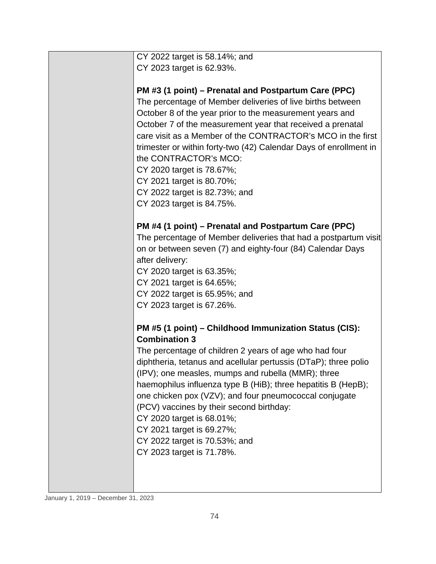| CY 2022 target is 58.14%; and                                     |
|-------------------------------------------------------------------|
| CY 2023 target is 62.93%.                                         |
|                                                                   |
| PM #3 (1 point) – Prenatal and Postpartum Care (PPC)              |
| The percentage of Member deliveries of live births between        |
| October 8 of the year prior to the measurement years and          |
| October 7 of the measurement year that received a prenatal        |
| care visit as a Member of the CONTRACTOR's MCO in the first       |
| trimester or within forty-two (42) Calendar Days of enrollment in |
| the CONTRACTOR's MCO:                                             |
| CY 2020 target is 78.67%;                                         |
| CY 2021 target is 80.70%;                                         |
| CY 2022 target is 82.73%; and                                     |
| CY 2023 target is 84.75%.                                         |
|                                                                   |
| PM #4 (1 point) – Prenatal and Postpartum Care (PPC)              |
| The percentage of Member deliveries that had a postpartum visit   |
| on or between seven (7) and eighty-four (84) Calendar Days        |
|                                                                   |
| after delivery:                                                   |
| CY 2020 target is 63.35%;                                         |
| CY 2021 target is 64.65%;                                         |
| CY 2022 target is 65.95%; and                                     |
| CY 2023 target is 67.26%.                                         |
| PM #5 (1 point) - Childhood Immunization Status (CIS):            |
| <b>Combination 3</b>                                              |
| The percentage of children 2 years of age who had four            |
| diphtheria, tetanus and acellular pertussis (DTaP); three polio   |
| (IPV); one measles, mumps and rubella (MMR); three                |
| haemophilus influenza type B (HiB); three hepatitis B (HepB);     |
| one chicken pox (VZV); and four pneumococcal conjugate            |
| (PCV) vaccines by their second birthday:                          |
| CY 2020 target is 68.01%;                                         |
| CY 2021 target is 69.27%;                                         |
| CY 2022 target is 70.53%; and                                     |
| CY 2023 target is 71.78%.                                         |
|                                                                   |
|                                                                   |
|                                                                   |
|                                                                   |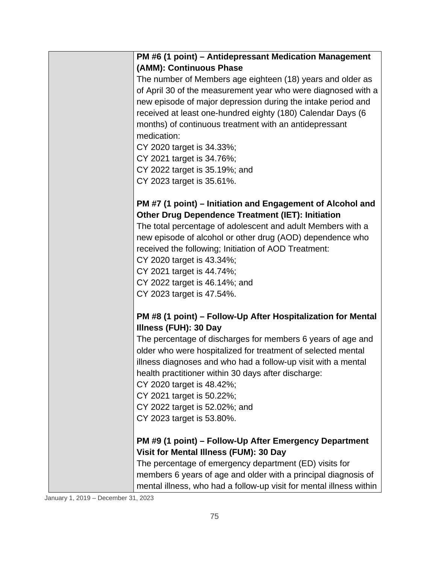|                        | PM #6 (1 point) - Antidepressant Medication Management                                                                      |
|------------------------|-----------------------------------------------------------------------------------------------------------------------------|
|                        | (AMM): Continuous Phase                                                                                                     |
|                        | The number of Members age eighteen (18) years and older as<br>of April 30 of the measurement year who were diagnosed with a |
|                        | new episode of major depression during the intake period and                                                                |
|                        | received at least one-hundred eighty (180) Calendar Days (6                                                                 |
|                        | months) of continuous treatment with an antidepressant                                                                      |
|                        | medication:                                                                                                                 |
|                        | CY 2020 target is 34.33%;                                                                                                   |
|                        | CY 2021 target is 34.76%;                                                                                                   |
|                        | CY 2022 target is 35.19%; and                                                                                               |
|                        | CY 2023 target is 35.61%.                                                                                                   |
|                        | PM #7 (1 point) – Initiation and Engagement of Alcohol and                                                                  |
|                        | <b>Other Drug Dependence Treatment (IET): Initiation</b>                                                                    |
|                        | The total percentage of adolescent and adult Members with a                                                                 |
|                        | new episode of alcohol or other drug (AOD) dependence who                                                                   |
|                        | received the following; Initiation of AOD Treatment:                                                                        |
|                        | CY 2020 target is 43.34%;                                                                                                   |
|                        | CY 2021 target is 44.74%;                                                                                                   |
|                        | CY 2022 target is 46.14%; and                                                                                               |
|                        | CY 2023 target is 47.54%.                                                                                                   |
|                        | PM #8 (1 point) – Follow-Up After Hospitalization for Mental                                                                |
|                        | Illness (FUH): 30 Day                                                                                                       |
|                        | The percentage of discharges for members 6 years of age and                                                                 |
|                        | older who were hospitalized for treatment of selected mental                                                                |
|                        | illness diagnoses and who had a follow-up visit with a mental<br>health practitioner within 30 days after discharge:        |
|                        | CY 2020 target is 48.42%;                                                                                                   |
|                        | CY 2021 target is 50.22%;                                                                                                   |
|                        | CY 2022 target is 52.02%; and                                                                                               |
|                        | CY 2023 target is 53.80%.                                                                                                   |
|                        | PM #9 (1 point) – Follow-Up After Emergency Department                                                                      |
|                        | Visit for Mental Illness (FUM): 30 Day                                                                                      |
|                        | The percentage of emergency department (ED) visits for                                                                      |
|                        | members 6 years of age and older with a principal diagnosis of                                                              |
|                        | mental illness, who had a follow-up visit for mental illness within                                                         |
| 2010 December 21, 2022 |                                                                                                                             |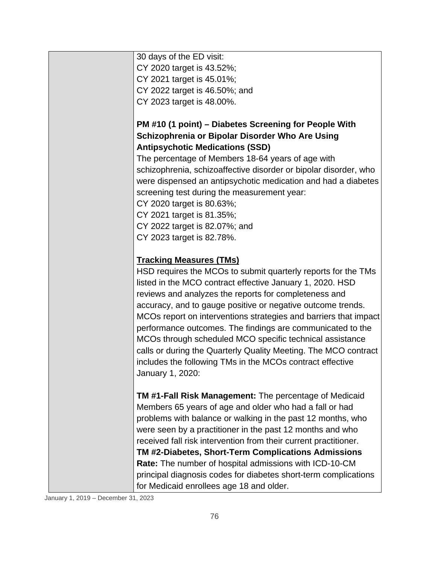| 30 days of the ED visit:                                         |
|------------------------------------------------------------------|
| CY 2020 target is 43.52%;                                        |
| CY 2021 target is 45.01%;                                        |
| CY 2022 target is 46.50%; and                                    |
| CY 2023 target is 48.00%.                                        |
|                                                                  |
| PM #10 (1 point) – Diabetes Screening for People With            |
| Schizophrenia or Bipolar Disorder Who Are Using                  |
| <b>Antipsychotic Medications (SSD)</b>                           |
| The percentage of Members 18-64 years of age with                |
| schizophrenia, schizoaffective disorder or bipolar disorder, who |
| were dispensed an antipsychotic medication and had a diabetes    |
| screening test during the measurement year:                      |
| CY 2020 target is 80.63%;                                        |
| CY 2021 target is 81.35%;                                        |
| CY 2022 target is 82.07%; and                                    |
| CY 2023 target is 82.78%.                                        |
|                                                                  |
| <b>Tracking Measures (TMs)</b>                                   |
| HSD requires the MCOs to submit quarterly reports for the TMs    |
| listed in the MCO contract effective January 1, 2020. HSD        |
| reviews and analyzes the reports for completeness and            |
| accuracy, and to gauge positive or negative outcome trends.      |
| MCOs report on interventions strategies and barriers that impact |
| performance outcomes. The findings are communicated to the       |
| MCOs through scheduled MCO specific technical assistance         |
| calls or during the Quarterly Quality Meeting. The MCO contract  |
| includes the following TMs in the MCOs contract effective        |
| January 1, 2020:                                                 |
|                                                                  |
| <b>TM #1-Fall Risk Management:</b> The percentage of Medicaid    |
| Members 65 years of age and older who had a fall or had          |
| problems with balance or walking in the past 12 months, who      |
| were seen by a practitioner in the past 12 months and who        |
| received fall risk intervention from their current practitioner. |
| TM #2-Diabetes, Short-Term Complications Admissions              |
| Rate: The number of hospital admissions with ICD-10-CM           |
| principal diagnosis codes for diabetes short-term complications  |
| for Medicaid enrollees age 18 and older.                         |
|                                                                  |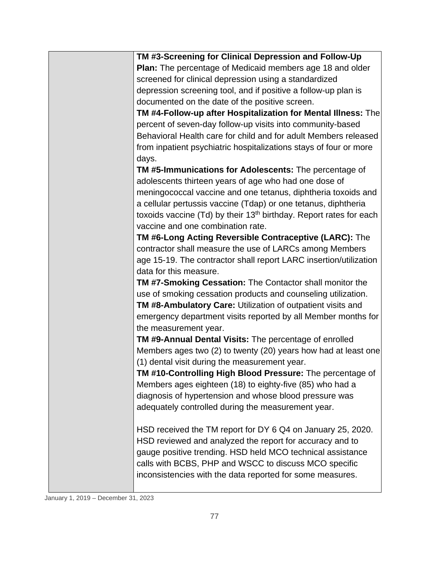| TM #3-Screening for Clinical Depression and Follow-Up                          |
|--------------------------------------------------------------------------------|
| Plan: The percentage of Medicaid members age 18 and older                      |
| screened for clinical depression using a standardized                          |
| depression screening tool, and if positive a follow-up plan is                 |
| documented on the date of the positive screen.                                 |
| TM #4-Follow-up after Hospitalization for Mental Illness: The                  |
| percent of seven-day follow-up visits into community-based                     |
| Behavioral Health care for child and for adult Members released                |
| from inpatient psychiatric hospitalizations stays of four or more<br>days.     |
| TM #5-Immunications for Adolescents: The percentage of                         |
| adolescents thirteen years of age who had one dose of                          |
| meningococcal vaccine and one tetanus, diphtheria toxoids and                  |
| a cellular pertussis vaccine (Tdap) or one tetanus, diphtheria                 |
| toxoids vaccine (Td) by their 13 <sup>th</sup> birthday. Report rates for each |
| vaccine and one combination rate.                                              |
| TM #6-Long Acting Reversible Contraceptive (LARC): The                         |
| contractor shall measure the use of LARCs among Members                        |
| age 15-19. The contractor shall report LARC insertion/utilization              |
| data for this measure.                                                         |
| <b>TM #7-Smoking Cessation: The Contactor shall monitor the</b>                |
|                                                                                |
| use of smoking cessation products and counseling utilization.                  |
| TM #8-Ambulatory Care: Utilization of outpatient visits and                    |
| emergency department visits reported by all Member months for                  |
| the measurement year.                                                          |
| TM #9-Annual Dental Visits: The percentage of enrolled                         |
| Members ages two (2) to twenty (20) years how had at least one                 |
| (1) dental visit during the measurement year.                                  |
| TM #10-Controlling High Blood Pressure: The percentage of                      |
| Members ages eighteen (18) to eighty-five (85) who had a                       |
| diagnosis of hypertension and whose blood pressure was                         |
| adequately controlled during the measurement year.                             |
| HSD received the TM report for DY 6 Q4 on January 25, 2020.                    |
| HSD reviewed and analyzed the report for accuracy and to                       |
| gauge positive trending. HSD held MCO technical assistance                     |
| calls with BCBS, PHP and WSCC to discuss MCO specific                          |
| inconsistencies with the data reported for some measures.                      |
|                                                                                |

January 1, 2019 – December 31, 2023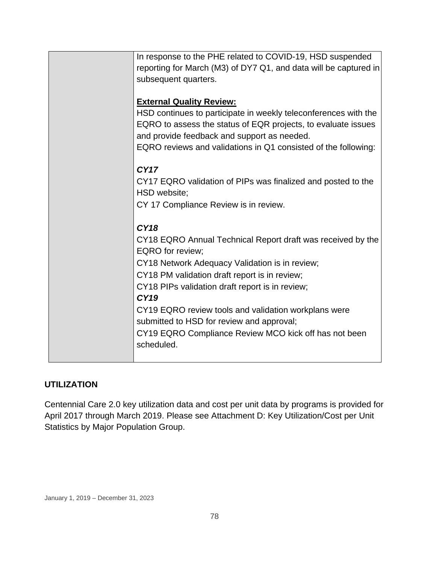| In response to the PHE related to COVID-19, HSD suspended<br>reporting for March (M3) of DY7 Q1, and data will be captured in<br>subsequent quarters. |
|-------------------------------------------------------------------------------------------------------------------------------------------------------|
| <b>External Quality Review:</b><br>HSD continues to participate in weekly teleconferences with the                                                    |
| EQRO to assess the status of EQR projects, to evaluate issues<br>and provide feedback and support as needed.                                          |
| EQRO reviews and validations in Q1 consisted of the following:                                                                                        |
| CY17<br>CY17 EQRO validation of PIPs was finalized and posted to the                                                                                  |
| HSD website;<br>CY 17 Compliance Review is in review.                                                                                                 |
| <b>CY18</b>                                                                                                                                           |
| CY18 EQRO Annual Technical Report draft was received by the<br><b>EQRO</b> for review;                                                                |
| CY18 Network Adequacy Validation is in review;                                                                                                        |
| CY18 PM validation draft report is in review;                                                                                                         |
| CY18 PIPs validation draft report is in review;<br><b>CY19</b>                                                                                        |
| CY19 EQRO review tools and validation workplans were<br>submitted to HSD for review and approval;                                                     |
| CY19 EQRO Compliance Review MCO kick off has not been<br>scheduled.                                                                                   |
|                                                                                                                                                       |

### **UTILIZATION**

Centennial Care 2.0 key utilization data and cost per unit data by programs is provided for April 2017 through March 2019. Please see Attachment D: Key Utilization/Cost per Unit Statistics by Major Population Group.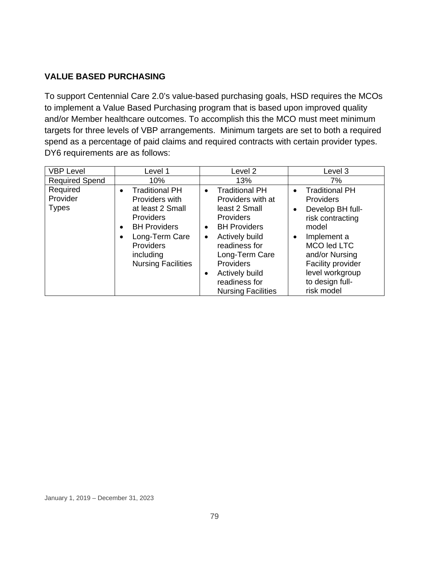### **VALUE BASED PURCHASING**

To support Centennial Care 2.0's value-based purchasing goals, HSD requires the MCOs to implement a Value Based Purchasing program that is based upon improved quality and/or Member healthcare outcomes. To accomplish this the MCO must meet minimum targets for three levels of VBP arrangements. Minimum targets are set to both a required spend as a percentage of paid claims and required contracts with certain provider types. DY6 requirements are as follows:

| <b>VBP Level</b>                     | Level 1                                                                                                                                                                                            | Level 2                                                                                                                                                                                                                                                                                             | Level 3                                                                                                                                                                                                                                |
|--------------------------------------|----------------------------------------------------------------------------------------------------------------------------------------------------------------------------------------------------|-----------------------------------------------------------------------------------------------------------------------------------------------------------------------------------------------------------------------------------------------------------------------------------------------------|----------------------------------------------------------------------------------------------------------------------------------------------------------------------------------------------------------------------------------------|
| <b>Required Spend</b>                | 10%                                                                                                                                                                                                | 13%                                                                                                                                                                                                                                                                                                 | 7%                                                                                                                                                                                                                                     |
| Required<br>Provider<br><b>Types</b> | <b>Traditional PH</b><br>$\bullet$<br>Providers with<br>at least 2 Small<br>Providers<br><b>BH Providers</b><br>$\bullet$<br>Long-Term Care<br>Providers<br>including<br><b>Nursing Facilities</b> | <b>Traditional PH</b><br>$\bullet$<br>Providers with at<br>least 2 Small<br><b>Providers</b><br><b>BH Providers</b><br>$\bullet$<br>Actively build<br>$\bullet$<br>readiness for<br>Long-Term Care<br><b>Providers</b><br>Actively build<br>$\bullet$<br>readiness for<br><b>Nursing Facilities</b> | <b>Traditional PH</b><br>$\bullet$<br>Providers<br>Develop BH full-<br>$\bullet$<br>risk contracting<br>model<br>Implement a<br>MCO led LTC<br>and/or Nursing<br>Facility provider<br>level workgroup<br>to design full-<br>risk model |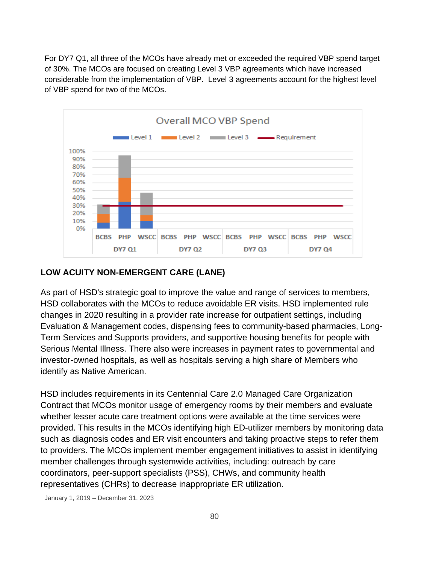For DY7 Q1, all three of the MCOs have already met or exceeded the required VBP spend target of 30%. The MCOs are focused on creating Level 3 VBP agreements which have increased considerable from the implementation of VBP. Level 3 agreements account for the highest level of VBP spend for two of the MCOs.



#### **LOW ACUITY NON-EMERGENT CARE (LANE)**

As part of HSD's strategic goal to improve the value and range of services to members, HSD collaborates with the MCOs to reduce avoidable ER visits. HSD implemented rule changes in 2020 resulting in a provider rate increase for outpatient settings, including Evaluation & Management codes, dispensing fees to community-based pharmacies, Long-Term Services and Supports providers, and supportive housing benefits for people with Serious Mental Illness. There also were increases in payment rates to governmental and investor-owned hospitals, as well as hospitals serving a high share of Members who identify as Native American.

HSD includes requirements in its Centennial Care 2.0 Managed Care Organization Contract that MCOs monitor usage of emergency rooms by their members and evaluate whether lesser acute care treatment options were available at the time services were provided. This results in the MCOs identifying high ED-utilizer members by monitoring data such as diagnosis codes and ER visit encounters and taking proactive steps to refer them to providers. The MCOs implement member engagement initiatives to assist in identifying member challenges through systemwide activities, including: outreach by care coordinators, peer-support specialists (PSS), CHWs, and community health representatives (CHRs) to decrease inappropriate ER utilization.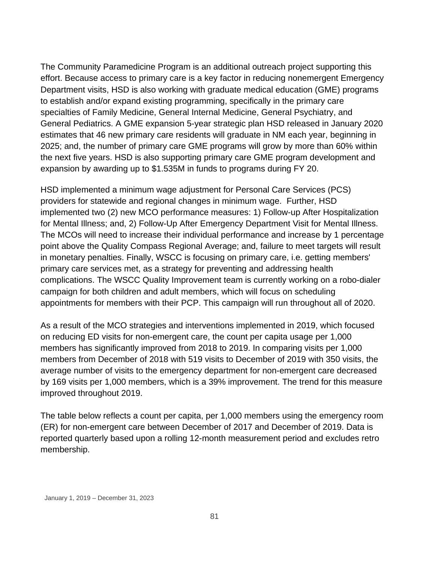The Community Paramedicine Program is an additional outreach project supporting this effort. Because access to primary care is a key factor in reducing nonemergent Emergency Department visits, HSD is also working with graduate medical education (GME) programs to establish and/or expand existing programming, specifically in the primary care specialties of Family Medicine, General Internal Medicine, General Psychiatry, and General Pediatrics. A GME expansion 5-year strategic plan HSD released in January 2020 estimates that 46 new primary care residents will graduate in NM each year, beginning in 2025; and, the number of primary care GME programs will grow by more than 60% within the next five years. HSD is also supporting primary care GME program development and expansion by awarding up to \$1.535M in funds to programs during FY 20.

HSD implemented a minimum wage adjustment for Personal Care Services (PCS) providers for statewide and regional changes in minimum wage. Further, HSD implemented two (2) new MCO performance measures: 1) Follow-up After Hospitalization for Mental Illness; and, 2) Follow-Up After Emergency Department Visit for Mental Illness. The MCOs will need to increase their individual performance and increase by 1 percentage point above the Quality Compass Regional Average; and, failure to meet targets will result in monetary penalties. Finally, WSCC is focusing on primary care, i.e. getting members' primary care services met, as a strategy for preventing and addressing health complications. The WSCC Quality Improvement team is currently working on a robo-dialer campaign for both children and adult members, which will focus on scheduling appointments for members with their PCP. This campaign will run throughout all of 2020.

As a result of the MCO strategies and interventions implemented in 2019, which focused on reducing ED visits for non-emergent care, the count per capita usage per 1,000 members has significantly improved from 2018 to 2019. In comparing visits per 1,000 members from December of 2018 with 519 visits to December of 2019 with 350 visits, the average number of visits to the emergency department for non-emergent care decreased by 169 visits per 1,000 members, which is a 39% improvement. The trend for this measure improved throughout 2019.

The table below reflects a count per capita, per 1,000 members using the emergency room (ER) for non-emergent care between December of 2017 and December of 2019. Data is reported quarterly based upon a rolling 12-month measurement period and excludes retro membership.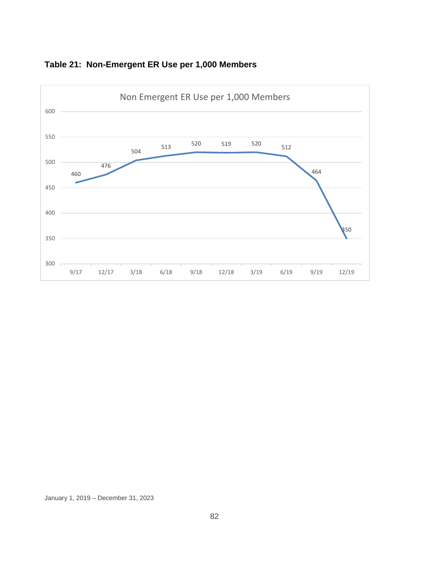

### **Table 21: Non-Emergent ER Use per 1,000 Members**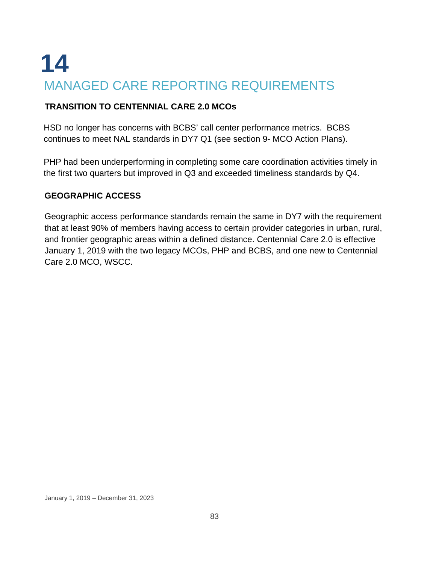## **14** MANAGED CARE REPORTING REQUIREMENTS

### **TRANSITION TO CENTENNIAL CARE 2.0 MCOs**

HSD no longer has concerns with BCBS' call center performance metrics. BCBS continues to meet NAL standards in DY7 Q1 (see section 9- MCO Action Plans).

PHP had been underperforming in completing some care coordination activities timely in the first two quarters but improved in Q3 and exceeded timeliness standards by Q4.

### **GEOGRAPHIC ACCESS**

Geographic access performance standards remain the same in DY7 with the requirement that at least 90% of members having access to certain provider categories in urban, rural, and frontier geographic areas within a defined distance. Centennial Care 2.0 is effective January 1, 2019 with the two legacy MCOs, PHP and BCBS, and one new to Centennial Care 2.0 MCO, WSCC.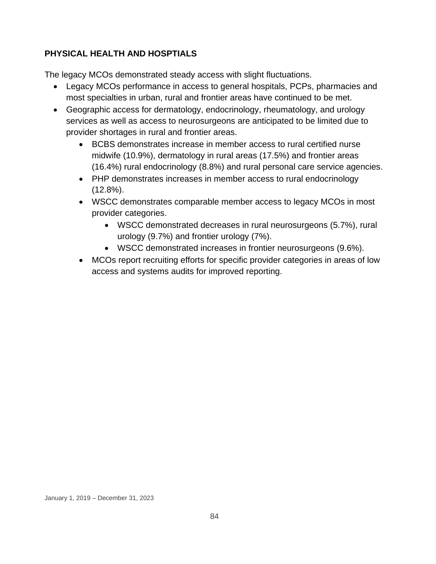### **PHYSICAL HEALTH AND HOSPTIALS**

The legacy MCOs demonstrated steady access with slight fluctuations.

- Legacy MCOs performance in access to general hospitals, PCPs, pharmacies and most specialties in urban, rural and frontier areas have continued to be met.
- Geographic access for dermatology, endocrinology, rheumatology, and urology services as well as access to neurosurgeons are anticipated to be limited due to provider shortages in rural and frontier areas.
	- BCBS demonstrates increase in member access to rural certified nurse midwife (10.9%), dermatology in rural areas (17.5%) and frontier areas (16.4%) rural endocrinology (8.8%) and rural personal care service agencies.
	- PHP demonstrates increases in member access to rural endocrinology (12.8%).
	- WSCC demonstrates comparable member access to legacy MCOs in most provider categories.
		- WSCC demonstrated decreases in rural neurosurgeons (5.7%), rural urology (9.7%) and frontier urology (7%).
		- WSCC demonstrated increases in frontier neurosurgeons (9.6%).
	- MCOs report recruiting efforts for specific provider categories in areas of low access and systems audits for improved reporting.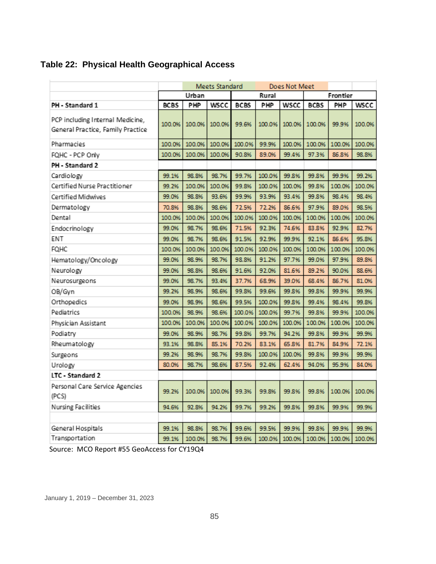|  |  |  | Table 22: Physical Health Geographical Access |  |
|--|--|--|-----------------------------------------------|--|
|--|--|--|-----------------------------------------------|--|

|                                                                       | Meets Standard<br>Does Not Meet |        |        |             |          |        |             |        |        |
|-----------------------------------------------------------------------|---------------------------------|--------|--------|-------------|----------|--------|-------------|--------|--------|
|                                                                       | Urban                           |        | Rural  |             | Frontier |        |             |        |        |
| PH - Standard 1                                                       | <b>BCBS</b>                     | PHP    | WSCC   | <b>BCBS</b> | PHP      | WSCC   | <b>BCBS</b> | PHP    | WSCC   |
| PCP including Internal Medicine,<br>General Practice, Family Practice | 100.0%                          | 100.0% | 100.0% | 99.6%       | 100.0%   | 100.0% | 100.0%      | 99.9%  | 100.0% |
| Pharmacies                                                            | 100.0%                          | 100.0% | 100.0% | 100.0%      | 99.9%    | 100.0% | 100.0%      | 100.0% | 100.0% |
| FQHC - PCP Only                                                       | 100.0%                          | 100.0% | 100.0% | 90.8%       | 89.0%    | 99.4%  | 97.3%       | 86.8%  | 98.8%  |
| PH - Standard 2                                                       |                                 |        |        |             |          |        |             |        |        |
| Cardiology                                                            | 99.1%                           | 98.8%  | 98.7%  | 99.7%       | 100.0%   | 99.8%  | 99.8%       | 99.9%  | 99.2%  |
| Certified Nurse Practitioner                                          | 99.2%                           | 100.0% | 100.0% | 99.8%       | 100.0%   | 100.0% | 99.8%       | 100.0% | 100.0% |
| Certified Midwives                                                    | 99.0%                           | 98.8%  | 93.6%  | 99.9%       | 93.9%    | 93.4%  | 99.8%       | 98.4%  | 98.4%  |
| Dermatology                                                           | 70.8%                           | 98.8%  | 98.6%  | 72.5%       | 72.2%    | 86.6%  | 97.9%       | 89.0%  | 98.5%  |
| Dental                                                                | 100.0%                          | 100.0% | 100.0% | 100.0%      | 100.0%   | 100.0% | 100.0%      | 100.0% | 100.0% |
| Endocrinology                                                         | 99.0%                           | 98.7%  | 98.6%  | 71.5%       | 92.3%    | 74.6%  | 83.8%       | 92.9%  | 82.7%  |
| ENT                                                                   | 99.0%                           | 98.7%  | 98.6%  | 91.5%       | 92.9%    | 99.9%  | 92.1%       | 86.6%  | 95.8%  |
| FQHC                                                                  | 100.0%                          | 100.0% | 100.0% | 100.0%      | 100.0%   | 100.0% | 100.0%      | 100.0% | 100.0% |
| Hematology/Oncology                                                   | 99.0%                           | 98.9%  | 98.7%  | 98.8%       | 91.2%    | 97.7%  | 99.0%       | 97.9%  | 89.8%  |
| Neurology                                                             | 99.0%                           | 98.8%  | 98.6%  | 91.6%       | 92.0%    | 81.6%  | 89.2%       | 90.0%  | 88.6%  |
| Neurosurgeons                                                         | 99.0%                           | 98.7%  | 93.4%  | 37.7%       | 68.9%    | 39.0%  | 68.4%       | 86.7%  | 81.0%  |
| OB/Gyn                                                                | 99.2%                           | 98.9%  | 98.6%  | 99.8%       | 99.6%    | 99.8%  | 99.8%       | 99.9%  | 99.9%  |
| Orthopedics                                                           | 99.0%                           | 98.9%  | 98.6%  | 99.5%       | 100.0%   | 99.8%  | 99.4%       | 98.4%  | 99.8%  |
| Pediatrics                                                            | 100.0%                          | 98.9%  | 98.6%  | 100.0%      | 100.0%   | 99.7%  | 99.8%       | 99.9%  | 100.0% |
| Physician Assistant                                                   | 100.0%                          | 100.0% | 100.0% | 100.0%      | 100.0%   | 100.0% | 100.0%      | 100.0% | 100.0% |
| Podiatry                                                              | 99.0%                           | 98.9%  | 98.7%  | 99.8%       | 99.7%    | 94.2%  | 99.8%       | 99.9%  | 99.9%  |
| Rheumatology                                                          | 93.1%                           | 98.8%  | 85.1%  | 70.2%       | 83.1%    | 65.8%  | 81.7%       | 84.9%  | 72.1%  |
| Surgeons                                                              | 99.2%                           | 98.9%  | 98.7%  | 99.8%       | 100.0%   | 100.0% | 99.8%       | 99.9%  | 99.9%  |
| Urology                                                               | 80.0%                           | 98.7%  | 98.6%  | 87.5%       | 92.4%    | 62.4%  | 94.0%       | 95.9%  | 84.0%  |
| LTC - Standard 2                                                      |                                 |        |        |             |          |        |             |        |        |
| Personal Care Service Agencies<br>(PCS)                               | 99.2%                           | 100.0% | 100.0% | 99.3%       | 99.8%    | 99.8%  | 99.8%       | 100.0% | 100.0% |
| Nursing Facilities                                                    | 94.6%                           | 92.8%  | 94.2%  | 99.7%       | 99.2%    | 99.8%  | 99.8%       | 99.9%  | 99.9%  |
|                                                                       |                                 |        |        |             |          |        |             |        |        |
| General Hospitals                                                     | 99.1%                           | 98.8%  | 98.7%  | 99.6%       | 99.5%    | 99.9%  | 99.8%       | 99.9%  | 99.9%  |
| Transportation                                                        | 99.1%                           | 100.0% | 98.7%  | 99.6%       | 100.0%   | 100.0% | 100.0%      | 100.0% | 100.0% |

Source: MCO Report #55 GeoAccess for CY19Q4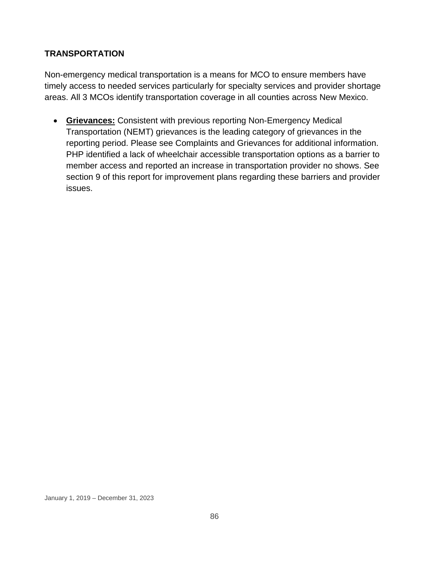### **TRANSPORTATION**

Non-emergency medical transportation is a means for MCO to ensure members have timely access to needed services particularly for specialty services and provider shortage areas. All 3 MCOs identify transportation coverage in all counties across New Mexico.

• **Grievances:** Consistent with previous reporting Non-Emergency Medical Transportation (NEMT) grievances is the leading category of grievances in the reporting period. Please see Complaints and Grievances for additional information. PHP identified a lack of wheelchair accessible transportation options as a barrier to member access and reported an increase in transportation provider no shows. See section 9 of this report for improvement plans regarding these barriers and provider issues.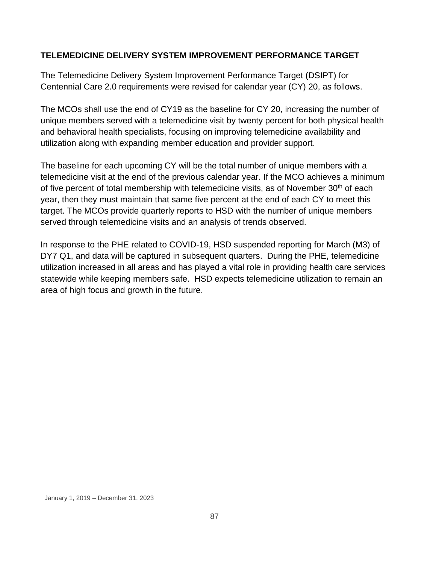### **TELEMEDICINE DELIVERY SYSTEM IMPROVEMENT PERFORMANCE TARGET**

The Telemedicine Delivery System Improvement Performance Target (DSIPT) for Centennial Care 2.0 requirements were revised for calendar year (CY) 20, as follows.

The MCOs shall use the end of CY19 as the baseline for CY 20, increasing the number of unique members served with a telemedicine visit by twenty percent for both physical health and behavioral health specialists, focusing on improving telemedicine availability and utilization along with expanding member education and provider support.

The baseline for each upcoming CY will be the total number of unique members with a telemedicine visit at the end of the previous calendar year. If the MCO achieves a minimum of five percent of total membership with telemedicine visits, as of November  $30<sup>th</sup>$  of each year, then they must maintain that same five percent at the end of each CY to meet this target. The MCOs provide quarterly reports to HSD with the number of unique members served through telemedicine visits and an analysis of trends observed.

In response to the PHE related to COVID-19, HSD suspended reporting for March (M3) of DY7 Q1, and data will be captured in subsequent quarters. During the PHE, telemedicine utilization increased in all areas and has played a vital role in providing health care services statewide while keeping members safe. HSD expects telemedicine utilization to remain an area of high focus and growth in the future.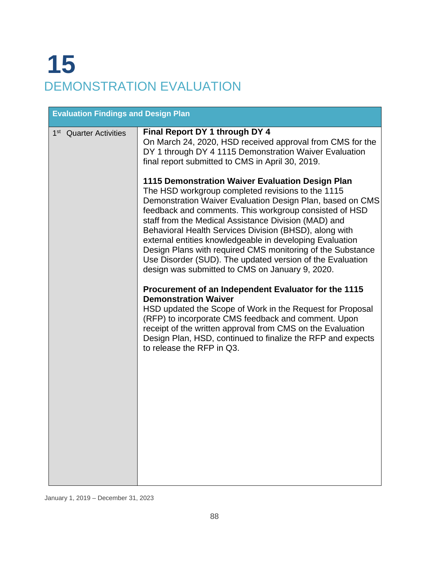# **15** DEMONSTRATION EVALUATION

| <b>Evaluation Findings and Design Plan</b> |                                                                                                                                                                                                                                                                                                                                                                                                                                                                                                                                                                                                                                                                                                                                                                                                     |
|--------------------------------------------|-----------------------------------------------------------------------------------------------------------------------------------------------------------------------------------------------------------------------------------------------------------------------------------------------------------------------------------------------------------------------------------------------------------------------------------------------------------------------------------------------------------------------------------------------------------------------------------------------------------------------------------------------------------------------------------------------------------------------------------------------------------------------------------------------------|
| 1 <sup>st</sup> Quarter Activities         | Final Report DY 1 through DY 4<br>On March 24, 2020, HSD received approval from CMS for the<br>DY 1 through DY 4 1115 Demonstration Waiver Evaluation<br>final report submitted to CMS in April 30, 2019.                                                                                                                                                                                                                                                                                                                                                                                                                                                                                                                                                                                           |
|                                            | 1115 Demonstration Waiver Evaluation Design Plan<br>The HSD workgroup completed revisions to the 1115<br>Demonstration Waiver Evaluation Design Plan, based on CMS<br>feedback and comments. This workgroup consisted of HSD<br>staff from the Medical Assistance Division (MAD) and<br>Behavioral Health Services Division (BHSD), along with<br>external entities knowledgeable in developing Evaluation<br>Design Plans with required CMS monitoring of the Substance<br>Use Disorder (SUD). The updated version of the Evaluation<br>design was submitted to CMS on January 9, 2020.<br>Procurement of an Independent Evaluator for the 1115<br><b>Demonstration Waiver</b><br>HSD updated the Scope of Work in the Request for Proposal<br>(RFP) to incorporate CMS feedback and comment. Upon |
|                                            | receipt of the written approval from CMS on the Evaluation<br>Design Plan, HSD, continued to finalize the RFP and expects<br>to release the RFP in Q3.                                                                                                                                                                                                                                                                                                                                                                                                                                                                                                                                                                                                                                              |
|                                            |                                                                                                                                                                                                                                                                                                                                                                                                                                                                                                                                                                                                                                                                                                                                                                                                     |

January 1, 2019 – December 31, 2023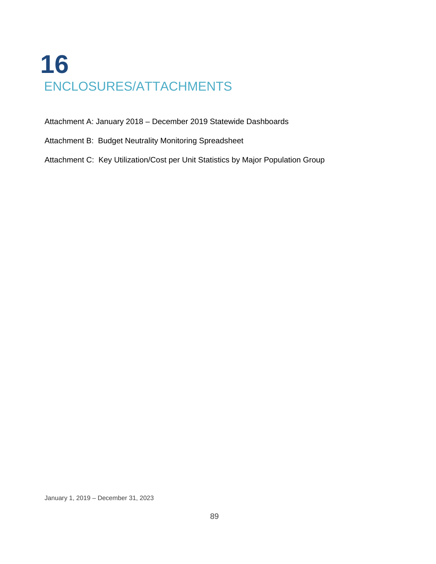## **16** ENCLOSURES/ATTACHMENTS

Attachment A: January 2018 – December 2019 Statewide Dashboards

Attachment B: Budget Neutrality Monitoring Spreadsheet

Attachment C: Key Utilization/Cost per Unit Statistics by Major Population Group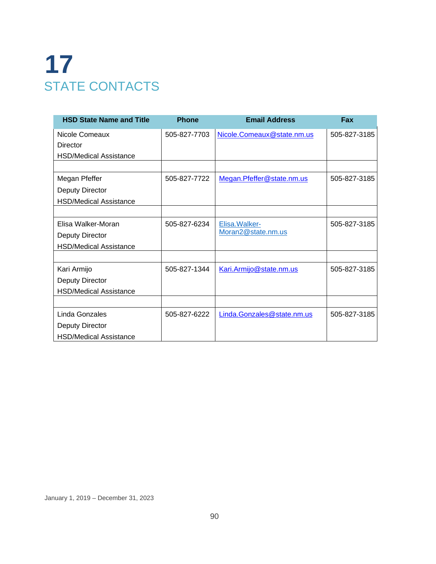## **17** STATE CONTACTS

| <b>HSD State Name and Title</b> | <b>Phone</b> | <b>Email Address</b>       | Fax          |
|---------------------------------|--------------|----------------------------|--------------|
| Nicole Comeaux                  | 505-827-7703 | Nicole.Comeaux@state.nm.us | 505-827-3185 |
| Director                        |              |                            |              |
| <b>HSD/Medical Assistance</b>   |              |                            |              |
|                                 |              |                            |              |
| Megan Pfeffer                   | 505-827-7722 | Megan.Pfeffer@state.nm.us  | 505-827-3185 |
| <b>Deputy Director</b>          |              |                            |              |
| <b>HSD/Medical Assistance</b>   |              |                            |              |
|                                 |              |                            |              |
| Elisa Walker-Moran              | 505-827-6234 | Elisa. Walker-             | 505-827-3185 |
| <b>Deputy Director</b>          |              | Moran2@state.nm.us         |              |
| <b>HSD/Medical Assistance</b>   |              |                            |              |
|                                 |              |                            |              |
| Kari Armijo                     | 505-827-1344 | Kari.Armijo@state.nm.us    | 505-827-3185 |
| <b>Deputy Director</b>          |              |                            |              |
| <b>HSD/Medical Assistance</b>   |              |                            |              |
|                                 |              |                            |              |
| Linda Gonzales                  | 505-827-6222 | Linda.Gonzales@state.nm.us | 505-827-3185 |
| <b>Deputy Director</b>          |              |                            |              |
| <b>HSD/Medical Assistance</b>   |              |                            |              |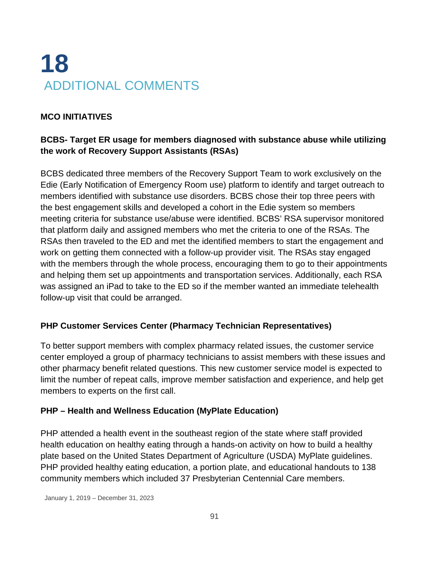## **18** ADDITIONAL COMMENTS

### **MCO INITIATIVES**

### **BCBS- Target ER usage for members diagnosed with substance abuse while utilizing the work of Recovery Support Assistants (RSAs)**

BCBS dedicated three members of the Recovery Support Team to work exclusively on the Edie (Early Notification of Emergency Room use) platform to identify and target outreach to members identified with substance use disorders. BCBS chose their top three peers with the best engagement skills and developed a cohort in the Edie system so members meeting criteria for substance use/abuse were identified. BCBS' RSA supervisor monitored that platform daily and assigned members who met the criteria to one of the RSAs. The RSAs then traveled to the ED and met the identified members to start the engagement and work on getting them connected with a follow-up provider visit. The RSAs stay engaged with the members through the whole process, encouraging them to go to their appointments and helping them set up appointments and transportation services. Additionally, each RSA was assigned an iPad to take to the ED so if the member wanted an immediate telehealth follow-up visit that could be arranged.

### **PHP Customer Services Center (Pharmacy Technician Representatives)**

To better support members with complex pharmacy related issues, the customer service center employed a group of pharmacy technicians to assist members with these issues and other pharmacy benefit related questions. This new customer service model is expected to limit the number of repeat calls, improve member satisfaction and experience, and help get members to experts on the first call.

### **PHP – Health and Wellness Education (MyPlate Education)**

PHP attended a health event in the southeast region of the state where staff provided health education on healthy eating through a hands-on activity on how to build a healthy plate based on the United States Department of Agriculture (USDA) MyPlate guidelines. PHP provided healthy eating education, a portion plate, and educational handouts to 138 community members which included 37 Presbyterian Centennial Care members.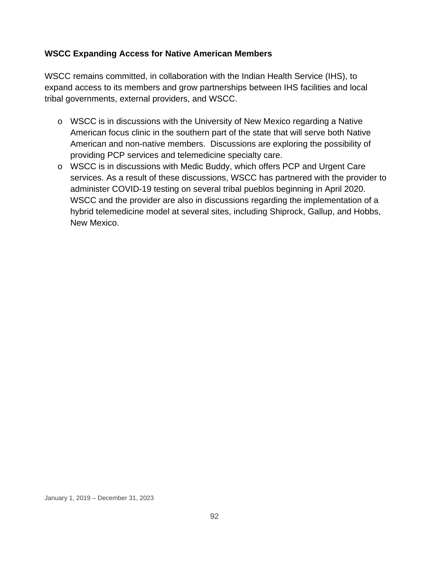### **WSCC Expanding Access for Native American Members**

WSCC remains committed, in collaboration with the Indian Health Service (IHS), to expand access to its members and grow partnerships between IHS facilities and local tribal governments, external providers, and WSCC.

- o WSCC is in discussions with the University of New Mexico regarding a Native American focus clinic in the southern part of the state that will serve both Native American and non-native members. Discussions are exploring the possibility of providing PCP services and telemedicine specialty care.
- o WSCC is in discussions with Medic Buddy, which offers PCP and Urgent Care services. As a result of these discussions, WSCC has partnered with the provider to administer COVID-19 testing on several tribal pueblos beginning in April 2020. WSCC and the provider are also in discussions regarding the implementation of a hybrid telemedicine model at several sites, including Shiprock, Gallup, and Hobbs, New Mexico.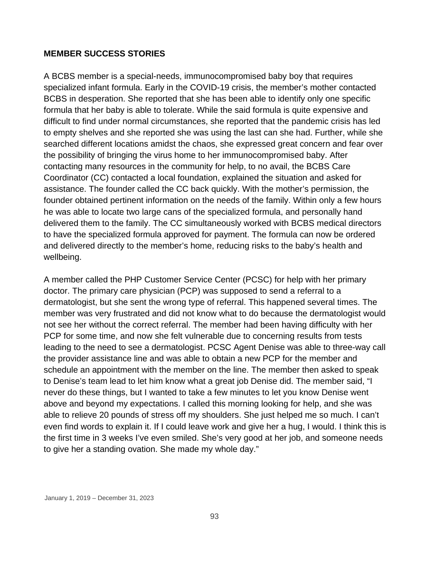#### **MEMBER SUCCESS STORIES**

A BCBS member is a special-needs, immunocompromised baby boy that requires specialized infant formula. Early in the COVID-19 crisis, the member's mother contacted BCBS in desperation. She reported that she has been able to identify only one specific formula that her baby is able to tolerate. While the said formula is quite expensive and difficult to find under normal circumstances, she reported that the pandemic crisis has led to empty shelves and she reported she was using the last can she had. Further, while she searched different locations amidst the chaos, she expressed great concern and fear over the possibility of bringing the virus home to her immunocompromised baby. After contacting many resources in the community for help, to no avail, the BCBS Care Coordinator (CC) contacted a local foundation, explained the situation and asked for assistance. The founder called the CC back quickly. With the mother's permission, the founder obtained pertinent information on the needs of the family. Within only a few hours he was able to locate two large cans of the specialized formula, and personally hand delivered them to the family. The CC simultaneously worked with BCBS medical directors to have the specialized formula approved for payment. The formula can now be ordered and delivered directly to the member's home, reducing risks to the baby's health and wellbeing.

A member called the PHP Customer Service Center (PCSC) for help with her primary doctor. The primary care physician (PCP) was supposed to send a referral to a dermatologist, but she sent the wrong type of referral. This happened several times. The member was very frustrated and did not know what to do because the dermatologist would not see her without the correct referral. The member had been having difficulty with her PCP for some time, and now she felt vulnerable due to concerning results from tests leading to the need to see a dermatologist. PCSC Agent Denise was able to three-way call the provider assistance line and was able to obtain a new PCP for the member and schedule an appointment with the member on the line. The member then asked to speak to Denise's team lead to let him know what a great job Denise did. The member said, "I never do these things, but I wanted to take a few minutes to let you know Denise went above and beyond my expectations. I called this morning looking for help, and she was able to relieve 20 pounds of stress off my shoulders. She just helped me so much. I can't even find words to explain it. If I could leave work and give her a hug, I would. I think this is the first time in 3 weeks I've even smiled. She's very good at her job, and someone needs to give her a standing ovation. She made my whole day."